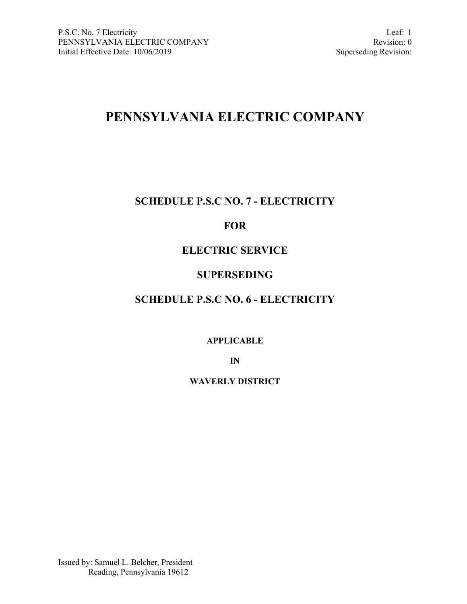# **PENNSYLVANIA ELECTRIC COMPANY**

## **SCHEDULE P.S.C NO. 7 - ELECTRICITY**

## **FOR**

## **ELECTRIC SERVICE**

## **SUPERSEDING**

## **SCHEDULE P.S.C NO. 6 - ELECTRICITY**

**APPLICABLE** 

**IN** 

**WAVERLY DISTRICT** 

Issued by: Samuel L. Belcher, President Reading, Pennsylvania 19612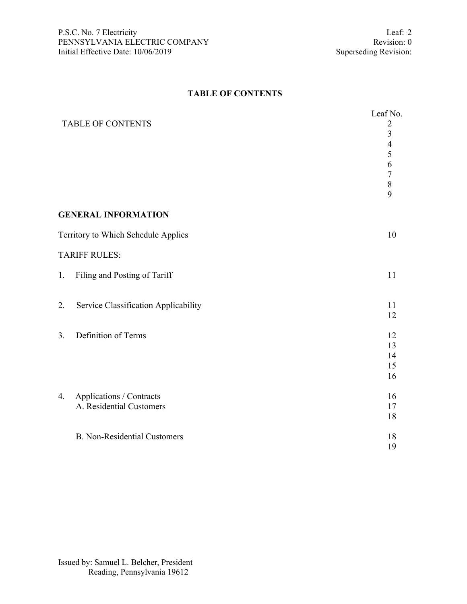|    | <b>TABLE OF CONTENTS</b>                             | Leaf No.<br>$\overline{c}$<br>$\overline{\mathbf{3}}$<br>$\overline{4}$<br>5<br>6<br>$\sqrt{ }$<br>$\,8\,$<br>9 |
|----|------------------------------------------------------|-----------------------------------------------------------------------------------------------------------------|
|    | <b>GENERAL INFORMATION</b>                           |                                                                                                                 |
|    | Territory to Which Schedule Applies                  | 10                                                                                                              |
|    | <b>TARIFF RULES:</b>                                 |                                                                                                                 |
| 1. | Filing and Posting of Tariff                         | 11                                                                                                              |
| 2. | Service Classification Applicability                 | 11<br>12                                                                                                        |
| 3. | Definition of Terms                                  | 12<br>13<br>14<br>15<br>16                                                                                      |
| 4. | Applications / Contracts<br>A. Residential Customers | 16<br>17<br>18                                                                                                  |
|    | <b>B. Non-Residential Customers</b>                  | 18<br>19                                                                                                        |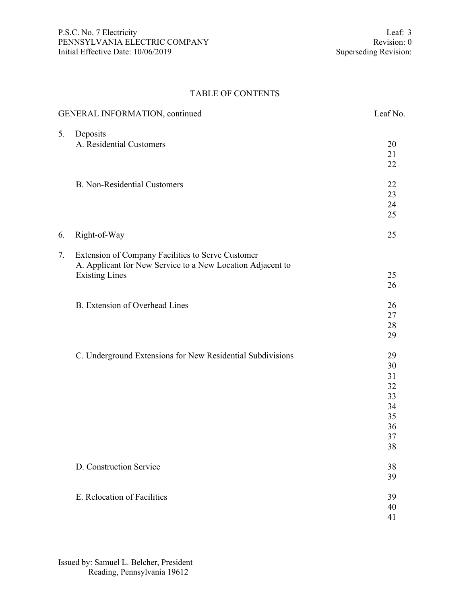|    | GENERAL INFORMATION, continued                                                                                  | Leaf No.             |
|----|-----------------------------------------------------------------------------------------------------------------|----------------------|
| 5. | Deposits<br>A. Residential Customers                                                                            | 20                   |
|    |                                                                                                                 | 21<br>22             |
|    | <b>B. Non-Residential Customers</b>                                                                             | 22<br>23<br>24<br>25 |
| 6. | Right-of-Way                                                                                                    | 25                   |
| 7. | Extension of Company Facilities to Serve Customer<br>A. Applicant for New Service to a New Location Adjacent to |                      |
|    | <b>Existing Lines</b>                                                                                           | 25<br>26             |
|    | <b>B.</b> Extension of Overhead Lines                                                                           | 26<br>27             |
|    |                                                                                                                 | 28<br>29             |
|    | C. Underground Extensions for New Residential Subdivisions                                                      | 29<br>30             |
|    |                                                                                                                 | 31                   |
|    |                                                                                                                 | 32                   |
|    |                                                                                                                 | 33<br>34             |
|    |                                                                                                                 | 35                   |
|    |                                                                                                                 | 36                   |
|    |                                                                                                                 | 37                   |
|    |                                                                                                                 | 38                   |
|    | D. Construction Service                                                                                         | 38                   |
|    |                                                                                                                 | 39                   |
|    | E. Relocation of Facilities                                                                                     | 39                   |
|    |                                                                                                                 | 40                   |
|    |                                                                                                                 | 41                   |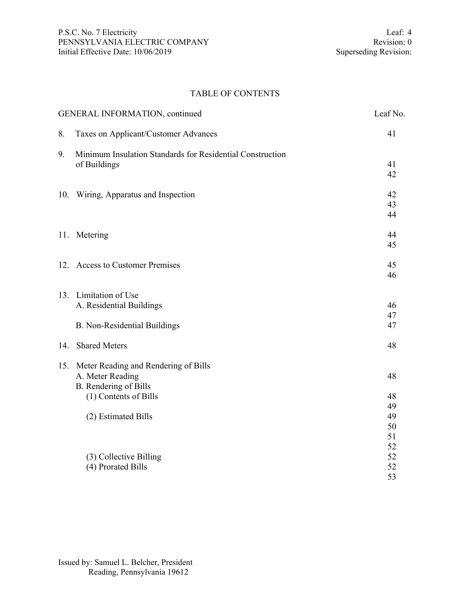|     | <b>GENERAL INFORMATION, continued</b>                     | Leaf No. |
|-----|-----------------------------------------------------------|----------|
| 8.  | Taxes on Applicant/Customer Advances                      | 41       |
| 9.  | Minimum Insulation Standards for Residential Construction |          |
|     | of Buildings                                              | 41       |
|     |                                                           | 42       |
| 10. | Wiring, Apparatus and Inspection                          | 42       |
|     |                                                           | 43       |
|     |                                                           | 44       |
|     | 11. Metering                                              | 44       |
|     |                                                           | 45       |
|     | 12. Access to Customer Premises                           | 45       |
|     |                                                           | 46       |
|     | 13. Limitation of Use                                     |          |
|     | A. Residential Buildings                                  | 46       |
|     |                                                           | 47       |
|     | <b>B. Non-Residential Buildings</b>                       | 47       |
| 14. | <b>Shared Meters</b>                                      | 48       |
| 15. | Meter Reading and Rendering of Bills                      |          |
|     | A. Meter Reading                                          | 48       |
|     | <b>B.</b> Rendering of Bills                              |          |
|     | (1) Contents of Bills                                     | 48       |
|     |                                                           | 49       |
|     | (2) Estimated Bills                                       | 49       |
|     |                                                           | 50<br>51 |
|     |                                                           | 52       |
|     | (3) Collective Billing                                    | 52       |
|     | (4) Prorated Bills                                        | 52       |
|     |                                                           | 53       |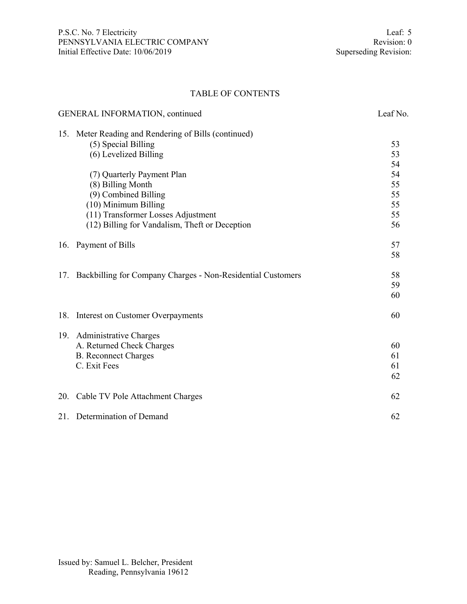| <b>GENERAL INFORMATION</b> , continued |                                                                 | Leaf No. |
|----------------------------------------|-----------------------------------------------------------------|----------|
|                                        | 15. Meter Reading and Rendering of Bills (continued)            |          |
|                                        | (5) Special Billing                                             | 53       |
|                                        | (6) Levelized Billing                                           | 53       |
|                                        |                                                                 | 54       |
|                                        | (7) Quarterly Payment Plan                                      | 54       |
|                                        | (8) Billing Month                                               | 55       |
|                                        | (9) Combined Billing                                            | 55       |
|                                        | (10) Minimum Billing                                            | 55       |
|                                        | (11) Transformer Losses Adjustment                              | 55       |
|                                        | (12) Billing for Vandalism, Theft or Deception                  | 56       |
|                                        | 16. Payment of Bills                                            | 57       |
|                                        |                                                                 | 58       |
|                                        | 17. Backbilling for Company Charges - Non-Residential Customers | 58       |
|                                        |                                                                 | 59       |
|                                        |                                                                 | 60       |
| 18.                                    | Interest on Customer Overpayments                               | 60       |
| 19.                                    | <b>Administrative Charges</b>                                   |          |
|                                        | A. Returned Check Charges                                       | 60       |
|                                        | <b>B.</b> Reconnect Charges                                     | 61       |
|                                        | C. Exit Fees                                                    | 61       |
|                                        |                                                                 | 62       |
|                                        | 20. Cable TV Pole Attachment Charges                            | 62       |
|                                        | 21. Determination of Demand                                     | 62       |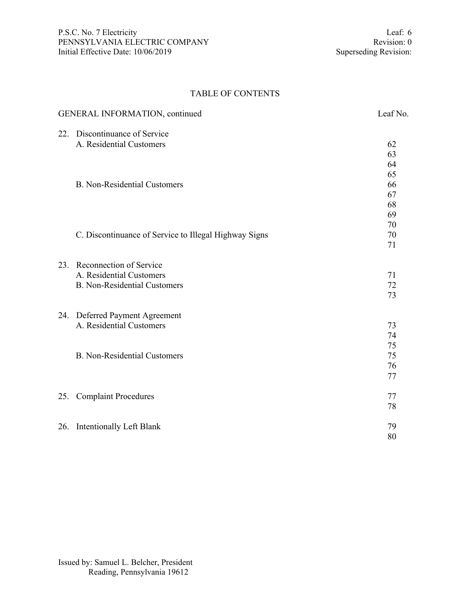| GENERAL INFORMATION, continued |                                                       | Leaf No. |
|--------------------------------|-------------------------------------------------------|----------|
| 22.                            | Discontinuance of Service                             |          |
|                                | A. Residential Customers                              | 62       |
|                                |                                                       | 63       |
|                                |                                                       | 64       |
|                                |                                                       | 65       |
|                                | <b>B. Non-Residential Customers</b>                   | 66       |
|                                |                                                       | 67       |
|                                |                                                       | 68       |
|                                |                                                       | 69       |
|                                |                                                       | 70       |
|                                | C. Discontinuance of Service to Illegal Highway Signs | 70       |
|                                |                                                       | 71       |
|                                | 23. Reconnection of Service                           |          |
|                                | A. Residential Customers                              | 71       |
|                                | <b>B. Non-Residential Customers</b>                   | 72       |
|                                |                                                       | 73       |
|                                | 24. Deferred Payment Agreement                        |          |
|                                | A. Residential Customers                              | 73       |
|                                |                                                       | 74       |
|                                |                                                       | 75       |
|                                | <b>B. Non-Residential Customers</b>                   | 75       |
|                                |                                                       | 76       |
|                                |                                                       | 77       |
| 25.                            | <b>Complaint Procedures</b>                           | 77       |
|                                |                                                       | 78       |
|                                | 26. Intentionally Left Blank                          | 79       |
|                                |                                                       | 80       |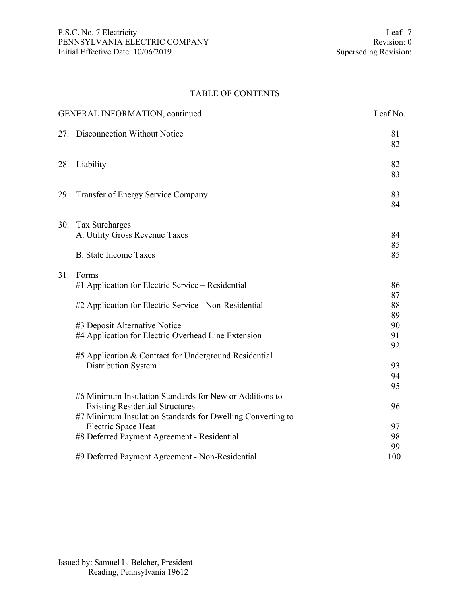| <b>GENERAL INFORMATION</b> , continued |                                                            | Leaf No. |
|----------------------------------------|------------------------------------------------------------|----------|
|                                        | 27. Disconnection Without Notice                           | 81       |
|                                        |                                                            | 82       |
|                                        | 28. Liability                                              | 82       |
|                                        |                                                            | 83       |
|                                        | 29. Transfer of Energy Service Company                     | 83       |
|                                        |                                                            | 84       |
|                                        | 30. Tax Surcharges                                         |          |
|                                        | A. Utility Gross Revenue Taxes                             | 84<br>85 |
|                                        | <b>B.</b> State Income Taxes                               | 85       |
| 31.                                    | Forms                                                      |          |
|                                        | #1 Application for Electric Service – Residential          | 86       |
|                                        | #2 Application for Electric Service - Non-Residential      | 87<br>88 |
|                                        |                                                            | 89       |
|                                        | #3 Deposit Alternative Notice                              | 90       |
|                                        | #4 Application for Electric Overhead Line Extension        | 91       |
|                                        | #5 Application & Contract for Underground Residential      | 92       |
|                                        | Distribution System                                        | 93       |
|                                        |                                                            | 94       |
|                                        |                                                            | 95       |
|                                        | #6 Minimum Insulation Standards for New or Additions to    |          |
|                                        | <b>Existing Residential Structures</b>                     | 96       |
|                                        | #7 Minimum Insulation Standards for Dwelling Converting to |          |
|                                        | Electric Space Heat                                        | 97       |
|                                        | #8 Deferred Payment Agreement - Residential                | 98       |
|                                        |                                                            | 99       |
|                                        | #9 Deferred Payment Agreement - Non-Residential            | 100      |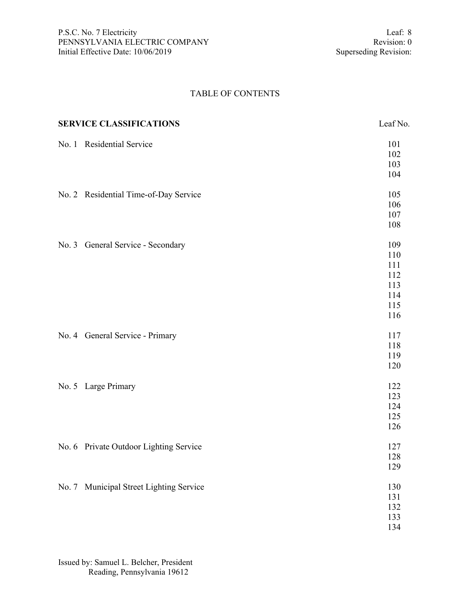| <b>SERVICE CLASSIFICATIONS</b> |                                         | Leaf No.   |
|--------------------------------|-----------------------------------------|------------|
|                                | No. 1 Residential Service               | 101<br>102 |
|                                |                                         | 103        |
|                                |                                         | 104        |
|                                |                                         |            |
|                                | No. 2 Residential Time-of-Day Service   | 105        |
|                                |                                         | 106        |
|                                |                                         | 107        |
|                                |                                         | 108        |
|                                | No. 3 General Service - Secondary       | 109        |
|                                |                                         | 110        |
|                                |                                         | 111        |
|                                |                                         | 112        |
|                                |                                         | 113        |
|                                |                                         | 114        |
|                                |                                         | 115        |
|                                |                                         | 116        |
|                                | No. 4 General Service - Primary         | 117        |
|                                |                                         | 118        |
|                                |                                         | 119        |
|                                |                                         | 120        |
|                                |                                         |            |
|                                | No. 5 Large Primary                     | 122        |
|                                |                                         | 123        |
|                                |                                         | 124        |
|                                |                                         | 125        |
|                                |                                         | 126        |
|                                | No. 6 Private Outdoor Lighting Service  | 127        |
|                                |                                         | 128        |
|                                |                                         | 129        |
|                                | No. 7 Municipal Street Lighting Service | 130        |
|                                |                                         | 131        |
|                                |                                         | 132        |
|                                |                                         | 133        |
|                                |                                         | 134        |
|                                |                                         |            |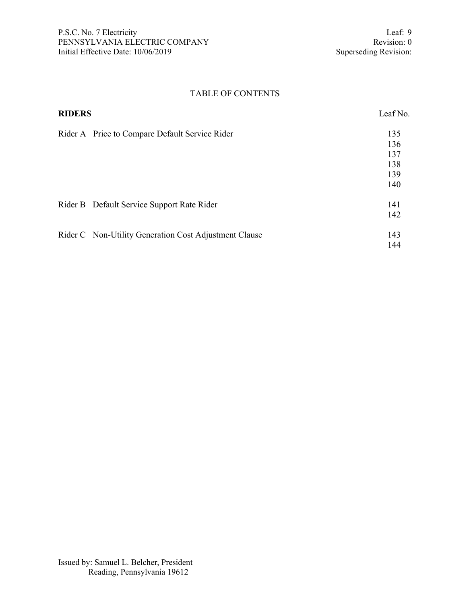| <b>RIDERS</b> |                                                       | Leaf No. |
|---------------|-------------------------------------------------------|----------|
|               | Rider A Price to Compare Default Service Rider        | 135      |
|               |                                                       | 136      |
|               |                                                       | 137      |
|               |                                                       | 138      |
|               |                                                       | 139      |
|               |                                                       | 140      |
|               | Rider B Default Service Support Rate Rider            | 141      |
|               |                                                       | 142      |
|               | Rider C Non-Utility Generation Cost Adjustment Clause | 143      |
|               |                                                       | 144      |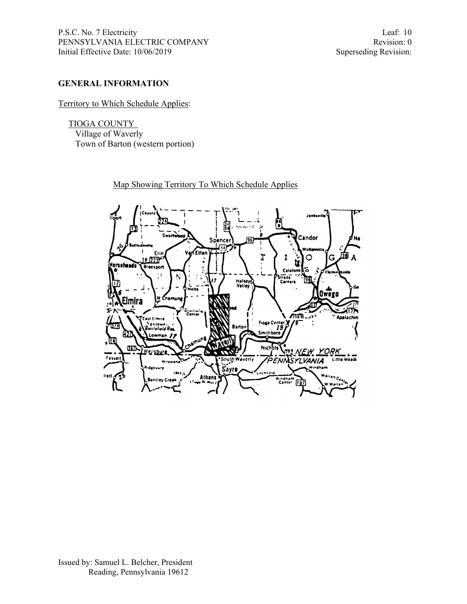#### **GENERAL INFORMATION**

Territory to Which Schedule Applies:

TIOGA COUNTY Village of Waverly Town of Barton (western portion)

Map Showing Territory To Which Schedule Applies

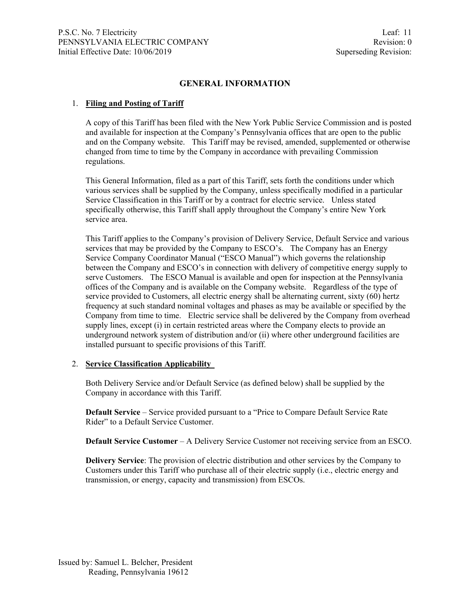#### **GENERAL INFORMATION**

#### 1. **Filing and Posting of Tariff**

A copy of this Tariff has been filed with the New York Public Service Commission and is posted and available for inspection at the Company's Pennsylvania offices that are open to the public and on the Company website. This Tariff may be revised, amended, supplemented or otherwise changed from time to time by the Company in accordance with prevailing Commission regulations.

This General Information, filed as a part of this Tariff, sets forth the conditions under which various services shall be supplied by the Company, unless specifically modified in a particular Service Classification in this Tariff or by a contract for electric service. Unless stated specifically otherwise, this Tariff shall apply throughout the Company's entire New York service area.

This Tariff applies to the Company's provision of Delivery Service, Default Service and various services that may be provided by the Company to ESCO's. The Company has an Energy Service Company Coordinator Manual ("ESCO Manual") which governs the relationship between the Company and ESCO's in connection with delivery of competitive energy supply to serve Customers. The ESCO Manual is available and open for inspection at the Pennsylvania offices of the Company and is available on the Company website. Regardless of the type of service provided to Customers, all electric energy shall be alternating current, sixty (60) hertz frequency at such standard nominal voltages and phases as may be available or specified by the Company from time to time. Electric service shall be delivered by the Company from overhead supply lines, except (i) in certain restricted areas where the Company elects to provide an underground network system of distribution and/or (ii) where other underground facilities are installed pursuant to specific provisions of this Tariff.

#### 2. **Service Classification Applicability**

Both Delivery Service and/or Default Service (as defined below) shall be supplied by the Company in accordance with this Tariff.

**Default Service** – Service provided pursuant to a "Price to Compare Default Service Rate Rider" to a Default Service Customer.

**Default Service Customer** – A Delivery Service Customer not receiving service from an ESCO.

**Delivery Service**: The provision of electric distribution and other services by the Company to Customers under this Tariff who purchase all of their electric supply (i.e., electric energy and transmission, or energy, capacity and transmission) from ESCOs.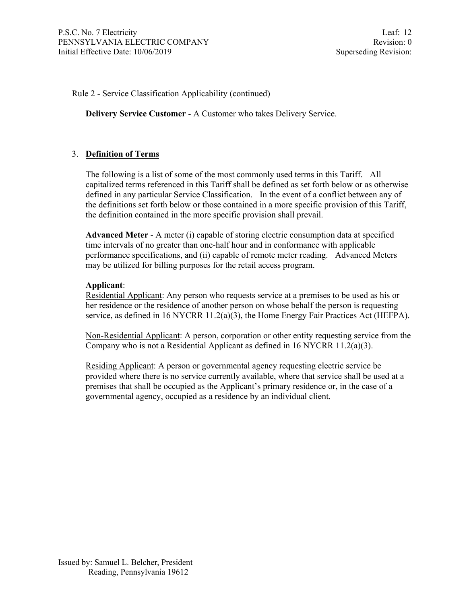Rule 2 - Service Classification Applicability (continued)

**Delivery Service Customer** - A Customer who takes Delivery Service.

#### 3. **Definition of Terms**

The following is a list of some of the most commonly used terms in this Tariff. All capitalized terms referenced in this Tariff shall be defined as set forth below or as otherwise defined in any particular Service Classification. In the event of a conflict between any of the definitions set forth below or those contained in a more specific provision of this Tariff, the definition contained in the more specific provision shall prevail.

**Advanced Meter** - A meter (i) capable of storing electric consumption data at specified time intervals of no greater than one-half hour and in conformance with applicable performance specifications, and (ii) capable of remote meter reading. Advanced Meters may be utilized for billing purposes for the retail access program.

#### **Applicant**:

Residential Applicant: Any person who requests service at a premises to be used as his or her residence or the residence of another person on whose behalf the person is requesting service, as defined in  $16$  NYCRR  $11.2(a)(3)$ , the Home Energy Fair Practices Act (HEFPA).

Non-Residential Applicant: A person, corporation or other entity requesting service from the Company who is not a Residential Applicant as defined in 16 NYCRR 11.2(a)(3).

Residing Applicant: A person or governmental agency requesting electric service be provided where there is no service currently available, where that service shall be used at a premises that shall be occupied as the Applicant's primary residence or, in the case of a governmental agency, occupied as a residence by an individual client.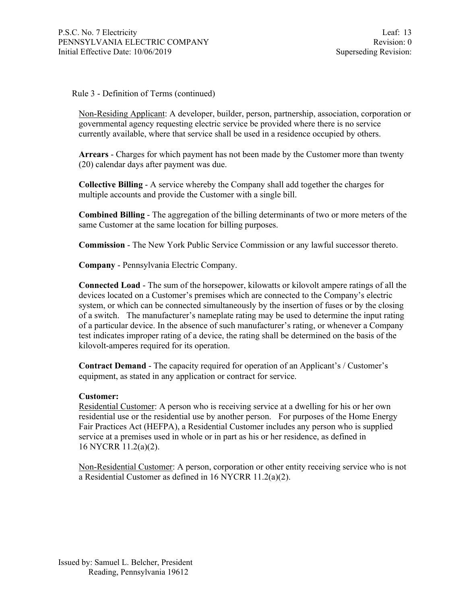Non-Residing Applicant: A developer, builder, person, partnership, association, corporation or governmental agency requesting electric service be provided where there is no service currently available, where that service shall be used in a residence occupied by others.

**Arrears** - Charges for which payment has not been made by the Customer more than twenty (20) calendar days after payment was due.

**Collective Billing** - A service whereby the Company shall add together the charges for multiple accounts and provide the Customer with a single bill.

**Combined Billing** - The aggregation of the billing determinants of two or more meters of the same Customer at the same location for billing purposes.

**Commission** - The New York Public Service Commission or any lawful successor thereto.

**Company** - Pennsylvania Electric Company.

**Connected Load** - The sum of the horsepower, kilowatts or kilovolt ampere ratings of all the devices located on a Customer's premises which are connected to the Company's electric system, or which can be connected simultaneously by the insertion of fuses or by the closing of a switch. The manufacturer's nameplate rating may be used to determine the input rating of a particular device. In the absence of such manufacturer's rating, or whenever a Company test indicates improper rating of a device, the rating shall be determined on the basis of the kilovolt-amperes required for its operation.

**Contract Demand** - The capacity required for operation of an Applicant's / Customer's equipment, as stated in any application or contract for service.

#### **Customer:**

Residential Customer: A person who is receiving service at a dwelling for his or her own residential use or the residential use by another person. For purposes of the Home Energy Fair Practices Act (HEFPA), a Residential Customer includes any person who is supplied service at a premises used in whole or in part as his or her residence, as defined in 16 NYCRR 11.2(a)(2).

Non-Residential Customer: A person, corporation or other entity receiving service who is not a Residential Customer as defined in 16 NYCRR 11.2(a)(2).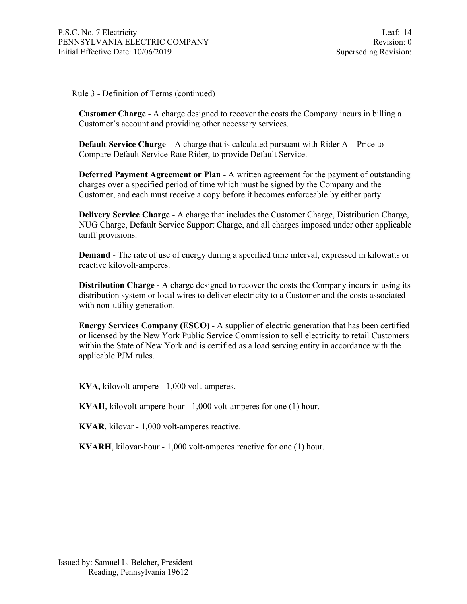**Customer Charge** - A charge designed to recover the costs the Company incurs in billing a Customer's account and providing other necessary services.

**Default Service Charge** – A charge that is calculated pursuant with Rider A – Price to Compare Default Service Rate Rider, to provide Default Service.

**Deferred Payment Agreement or Plan** - A written agreement for the payment of outstanding charges over a specified period of time which must be signed by the Company and the Customer, and each must receive a copy before it becomes enforceable by either party.

**Delivery Service Charge** - A charge that includes the Customer Charge, Distribution Charge, NUG Charge, Default Service Support Charge, and all charges imposed under other applicable tariff provisions.

**Demand** - The rate of use of energy during a specified time interval, expressed in kilowatts or reactive kilovolt-amperes.

**Distribution Charge** - A charge designed to recover the costs the Company incurs in using its distribution system or local wires to deliver electricity to a Customer and the costs associated with non-utility generation.

**Energy Services Company (ESCO)** - A supplier of electric generation that has been certified or licensed by the New York Public Service Commission to sell electricity to retail Customers within the State of New York and is certified as a load serving entity in accordance with the applicable PJM rules.

**KVA,** kilovolt-ampere - 1,000 volt-amperes.

**KVAH**, kilovolt-ampere-hour - 1,000 volt-amperes for one (1) hour.

**KVAR**, kilovar - 1,000 volt-amperes reactive.

**KVARH**, kilovar-hour - 1,000 volt-amperes reactive for one (1) hour.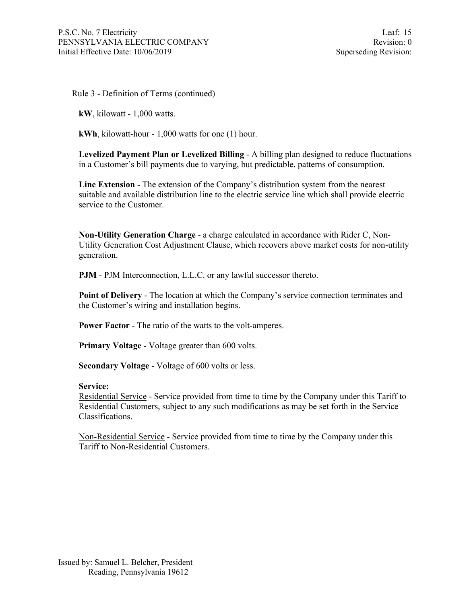**kW**, kilowatt - 1,000 watts.

**kWh**, kilowatt-hour - 1,000 watts for one (1) hour.

**Levelized Payment Plan or Levelized Billing** - A billing plan designed to reduce fluctuations in a Customer's bill payments due to varying, but predictable, patterns of consumption.

**Line Extension** - The extension of the Company's distribution system from the nearest suitable and available distribution line to the electric service line which shall provide electric service to the Customer.

**Non-Utility Generation Charge** - a charge calculated in accordance with Rider C, Non-Utility Generation Cost Adjustment Clause, which recovers above market costs for non-utility generation.

**PJM** - PJM Interconnection, L.L.C. or any lawful successor thereto.

**Point of Delivery** - The location at which the Company's service connection terminates and the Customer's wiring and installation begins.

**Power Factor** - The ratio of the watts to the volt-amperes.

**Primary Voltage** - Voltage greater than 600 volts.

**Secondary Voltage** - Voltage of 600 volts or less.

#### **Service:**

Residential Service - Service provided from time to time by the Company under this Tariff to Residential Customers, subject to any such modifications as may be set forth in the Service Classifications.

Non-Residential Service - Service provided from time to time by the Company under this Tariff to Non-Residential Customers.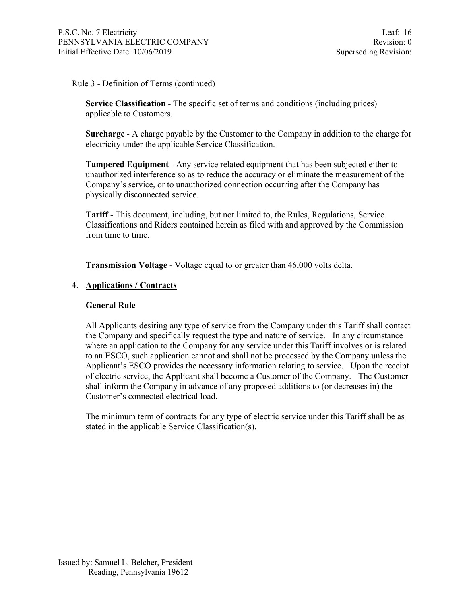**Service Classification** - The specific set of terms and conditions (including prices) applicable to Customers.

**Surcharge** - A charge payable by the Customer to the Company in addition to the charge for electricity under the applicable Service Classification.

**Tampered Equipment** - Any service related equipment that has been subjected either to unauthorized interference so as to reduce the accuracy or eliminate the measurement of the Company's service, or to unauthorized connection occurring after the Company has physically disconnected service.

**Tariff** - This document, including, but not limited to, the Rules, Regulations, Service Classifications and Riders contained herein as filed with and approved by the Commission from time to time.

**Transmission Voltage** - Voltage equal to or greater than 46,000 volts delta.

#### 4. **Applications / Contracts**

#### **General Rule**

All Applicants desiring any type of service from the Company under this Tariff shall contact the Company and specifically request the type and nature of service. In any circumstance where an application to the Company for any service under this Tariff involves or is related to an ESCO, such application cannot and shall not be processed by the Company unless the Applicant's ESCO provides the necessary information relating to service. Upon the receipt of electric service, the Applicant shall become a Customer of the Company. The Customer shall inform the Company in advance of any proposed additions to (or decreases in) the Customer's connected electrical load.

The minimum term of contracts for any type of electric service under this Tariff shall be as stated in the applicable Service Classification(s).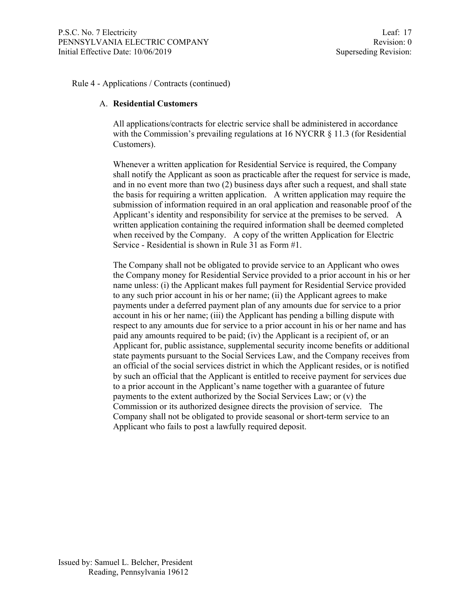Rule 4 - Applications / Contracts (continued)

#### A. **Residential Customers**

All applications/contracts for electric service shall be administered in accordance with the Commission's prevailing regulations at 16 NYCRR § 11.3 (for Residential Customers).

 Whenever a written application for Residential Service is required, the Company shall notify the Applicant as soon as practicable after the request for service is made, and in no event more than two (2) business days after such a request, and shall state the basis for requiring a written application. A written application may require the submission of information required in an oral application and reasonable proof of the Applicant's identity and responsibility for service at the premises to be served. A written application containing the required information shall be deemed completed when received by the Company. A copy of the written Application for Electric Service - Residential is shown in Rule 31 as Form #1.

 The Company shall not be obligated to provide service to an Applicant who owes the Company money for Residential Service provided to a prior account in his or her name unless: (i) the Applicant makes full payment for Residential Service provided to any such prior account in his or her name; (ii) the Applicant agrees to make payments under a deferred payment plan of any amounts due for service to a prior account in his or her name; (iii) the Applicant has pending a billing dispute with respect to any amounts due for service to a prior account in his or her name and has paid any amounts required to be paid; (iv) the Applicant is a recipient of, or an Applicant for, public assistance, supplemental security income benefits or additional state payments pursuant to the Social Services Law, and the Company receives from an official of the social services district in which the Applicant resides, or is notified by such an official that the Applicant is entitled to receive payment for services due to a prior account in the Applicant's name together with a guarantee of future payments to the extent authorized by the Social Services Law; or (v) the Commission or its authorized designee directs the provision of service. The Company shall not be obligated to provide seasonal or short-term service to an Applicant who fails to post a lawfully required deposit.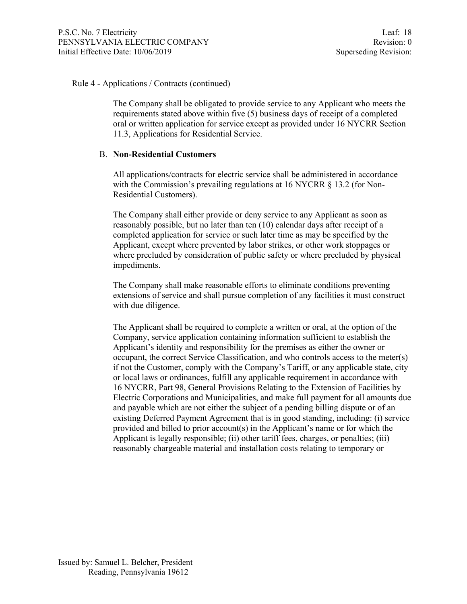#### Rule 4 - Applications / Contracts (continued)

The Company shall be obligated to provide service to any Applicant who meets the requirements stated above within five (5) business days of receipt of a completed oral or written application for service except as provided under 16 NYCRR Section 11.3, Applications for Residential Service.

#### B. **Non-Residential Customers**

All applications/contracts for electric service shall be administered in accordance with the Commission's prevailing regulations at 16 NYCRR § 13.2 (for Non-Residential Customers).

The Company shall either provide or deny service to any Applicant as soon as reasonably possible, but no later than ten (10) calendar days after receipt of a completed application for service or such later time as may be specified by the Applicant, except where prevented by labor strikes, or other work stoppages or where precluded by consideration of public safety or where precluded by physical impediments.

The Company shall make reasonable efforts to eliminate conditions preventing extensions of service and shall pursue completion of any facilities it must construct with due diligence.

 The Applicant shall be required to complete a written or oral, at the option of the Company, service application containing information sufficient to establish the Applicant's identity and responsibility for the premises as either the owner or occupant, the correct Service Classification, and who controls access to the meter(s) if not the Customer, comply with the Company's Tariff, or any applicable state, city or local laws or ordinances, fulfill any applicable requirement in accordance with 16 NYCRR, Part 98, General Provisions Relating to the Extension of Facilities by Electric Corporations and Municipalities, and make full payment for all amounts due and payable which are not either the subject of a pending billing dispute or of an existing Deferred Payment Agreement that is in good standing, including: (i) service provided and billed to prior account(s) in the Applicant's name or for which the Applicant is legally responsible; (ii) other tariff fees, charges, or penalties; (iii) reasonably chargeable material and installation costs relating to temporary or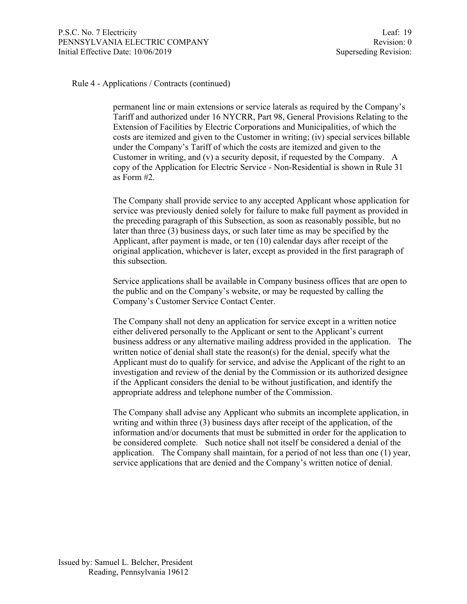#### Rule 4 - Applications / Contracts (continued)

permanent line or main extensions or service laterals as required by the Company's Tariff and authorized under 16 NYCRR, Part 98, General Provisions Relating to the Extension of Facilities by Electric Corporations and Municipalities, of which the costs are itemized and given to the Customer in writing; (iv) special services billable under the Company's Tariff of which the costs are itemized and given to the Customer in writing, and (v) a security deposit, if requested by the Company. A copy of the Application for Electric Service - Non-Residential is shown in Rule 31 as Form #2.

The Company shall provide service to any accepted Applicant whose application for service was previously denied solely for failure to make full payment as provided in the preceding paragraph of this Subsection, as soon as reasonably possible, but no later than three (3) business days, or such later time as may be specified by the Applicant, after payment is made, or ten (10) calendar days after receipt of the original application, whichever is later, except as provided in the first paragraph of this subsection.

Service applications shall be available in Company business offices that are open to the public and on the Company's website, or may be requested by calling the Company's Customer Service Contact Center.

The Company shall not deny an application for service except in a written notice either delivered personally to the Applicant or sent to the Applicant's current business address or any alternative mailing address provided in the application. The written notice of denial shall state the reason(s) for the denial, specify what the Applicant must do to qualify for service, and advise the Applicant of the right to an investigation and review of the denial by the Commission or its authorized designee if the Applicant considers the denial to be without justification, and identify the appropriate address and telephone number of the Commission.

 The Company shall advise any Applicant who submits an incomplete application, in writing and within three (3) business days after receipt of the application, of the information and/or documents that must be submitted in order for the application to be considered complete. Such notice shall not itself be considered a denial of the application. The Company shall maintain, for a period of not less than one (1) year, service applications that are denied and the Company's written notice of denial.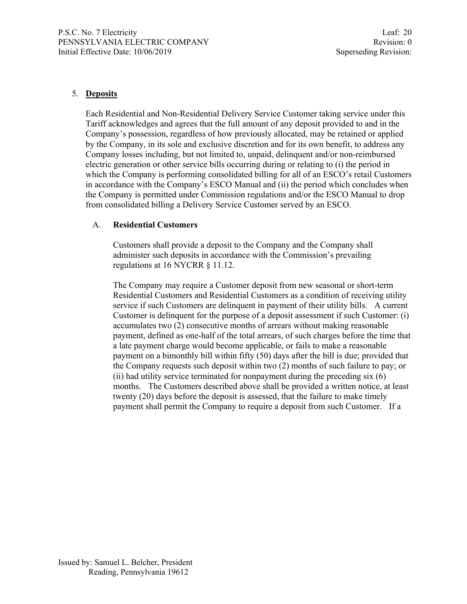### 5. **Deposits**

Each Residential and Non-Residential Delivery Service Customer taking service under this Tariff acknowledges and agrees that the full amount of any deposit provided to and in the Company's possession, regardless of how previously allocated, may be retained or applied by the Company, in its sole and exclusive discretion and for its own benefit, to address any Company losses including, but not limited to, unpaid, delinquent and/or non-reimbursed electric generation or other service bills occurring during or relating to (i) the period in which the Company is performing consolidated billing for all of an ESCO's retail Customers in accordance with the Company's ESCO Manual and (ii) the period which concludes when the Company is permitted under Commission regulations and/or the ESCO Manual to drop from consolidated billing a Delivery Service Customer served by an ESCO.

#### A. **Residential Customers**

Customers shall provide a deposit to the Company and the Company shall administer such deposits in accordance with the Commission's prevailing regulations at 16 NYCRR § 11.12.

 The Company may require a Customer deposit from new seasonal or short-term Residential Customers and Residential Customers as a condition of receiving utility service if such Customers are delinquent in payment of their utility bills. A current Customer is delinquent for the purpose of a deposit assessment if such Customer: (i) accumulates two (2) consecutive months of arrears without making reasonable payment, defined as one-half of the total arrears, of such charges before the time that a late payment charge would become applicable, or fails to make a reasonable payment on a bimonthly bill within fifty (50) days after the bill is due; provided that the Company requests such deposit within two (2) months of such failure to pay; or (ii) had utility service terminated for nonpayment during the preceding six (6) months. The Customers described above shall be provided a written notice, at least twenty (20) days before the deposit is assessed, that the failure to make timely payment shall permit the Company to require a deposit from such Customer. If a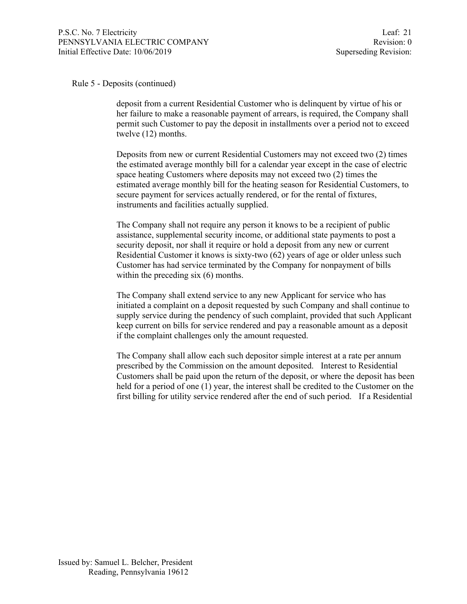deposit from a current Residential Customer who is delinquent by virtue of his or her failure to make a reasonable payment of arrears, is required, the Company shall permit such Customer to pay the deposit in installments over a period not to exceed twelve (12) months.

Deposits from new or current Residential Customers may not exceed two (2) times the estimated average monthly bill for a calendar year except in the case of electric space heating Customers where deposits may not exceed two (2) times the estimated average monthly bill for the heating season for Residential Customers, to secure payment for services actually rendered, or for the rental of fixtures, instruments and facilities actually supplied.

The Company shall not require any person it knows to be a recipient of public assistance, supplemental security income, or additional state payments to post a security deposit, nor shall it require or hold a deposit from any new or current Residential Customer it knows is sixty-two (62) years of age or older unless such Customer has had service terminated by the Company for nonpayment of bills within the preceding six  $(6)$  months.

The Company shall extend service to any new Applicant for service who has initiated a complaint on a deposit requested by such Company and shall continue to supply service during the pendency of such complaint, provided that such Applicant keep current on bills for service rendered and pay a reasonable amount as a deposit if the complaint challenges only the amount requested.

 The Company shall allow each such depositor simple interest at a rate per annum prescribed by the Commission on the amount deposited. Interest to Residential Customers shall be paid upon the return of the deposit, or where the deposit has been held for a period of one (1) year, the interest shall be credited to the Customer on the first billing for utility service rendered after the end of such period. If a Residential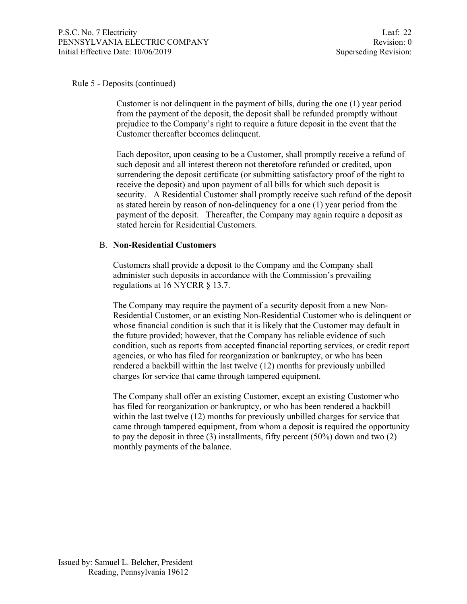Customer is not delinquent in the payment of bills, during the one (1) year period from the payment of the deposit, the deposit shall be refunded promptly without prejudice to the Company's right to require a future deposit in the event that the Customer thereafter becomes delinquent.

 Each depositor, upon ceasing to be a Customer, shall promptly receive a refund of such deposit and all interest thereon not theretofore refunded or credited, upon surrendering the deposit certificate (or submitting satisfactory proof of the right to receive the deposit) and upon payment of all bills for which such deposit is security. A Residential Customer shall promptly receive such refund of the deposit as stated herein by reason of non-delinquency for a one (1) year period from the payment of the deposit. Thereafter, the Company may again require a deposit as stated herein for Residential Customers.

#### B. **Non-Residential Customers**

 Customers shall provide a deposit to the Company and the Company shall administer such deposits in accordance with the Commission's prevailing regulations at 16 NYCRR § 13.7.

 The Company may require the payment of a security deposit from a new Non-Residential Customer, or an existing Non-Residential Customer who is delinquent or whose financial condition is such that it is likely that the Customer may default in the future provided; however, that the Company has reliable evidence of such condition, such as reports from accepted financial reporting services, or credit report agencies, or who has filed for reorganization or bankruptcy, or who has been rendered a backbill within the last twelve (12) months for previously unbilled charges for service that came through tampered equipment.

The Company shall offer an existing Customer, except an existing Customer who has filed for reorganization or bankruptcy, or who has been rendered a backbill within the last twelve (12) months for previously unbilled charges for service that came through tampered equipment, from whom a deposit is required the opportunity to pay the deposit in three  $(3)$  installments, fifty percent  $(50\%)$  down and two  $(2)$ monthly payments of the balance.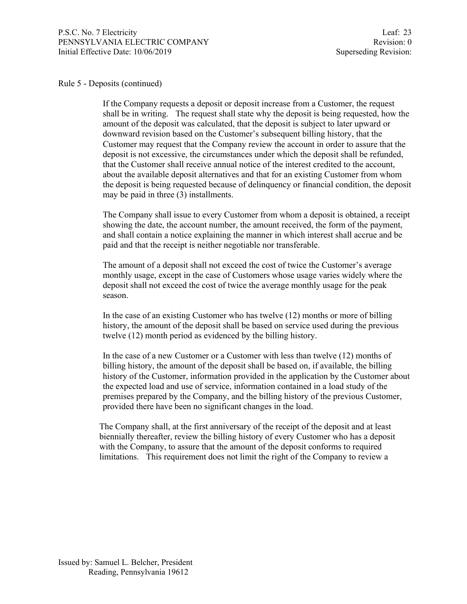If the Company requests a deposit or deposit increase from a Customer, the request shall be in writing. The request shall state why the deposit is being requested, how the amount of the deposit was calculated, that the deposit is subject to later upward or downward revision based on the Customer's subsequent billing history, that the Customer may request that the Company review the account in order to assure that the deposit is not excessive, the circumstances under which the deposit shall be refunded, that the Customer shall receive annual notice of the interest credited to the account, about the available deposit alternatives and that for an existing Customer from whom the deposit is being requested because of delinquency or financial condition, the deposit may be paid in three (3) installments.

The Company shall issue to every Customer from whom a deposit is obtained, a receipt showing the date, the account number, the amount received, the form of the payment, and shall contain a notice explaining the manner in which interest shall accrue and be paid and that the receipt is neither negotiable nor transferable.

 The amount of a deposit shall not exceed the cost of twice the Customer's average monthly usage, except in the case of Customers whose usage varies widely where the deposit shall not exceed the cost of twice the average monthly usage for the peak season.

 In the case of an existing Customer who has twelve (12) months or more of billing history, the amount of the deposit shall be based on service used during the previous twelve (12) month period as evidenced by the billing history.

 In the case of a new Customer or a Customer with less than twelve (12) months of billing history, the amount of the deposit shall be based on, if available, the billing history of the Customer, information provided in the application by the Customer about the expected load and use of service, information contained in a load study of the premises prepared by the Company, and the billing history of the previous Customer, provided there have been no significant changes in the load.

 The Company shall, at the first anniversary of the receipt of the deposit and at least biennially thereafter, review the billing history of every Customer who has a deposit with the Company, to assure that the amount of the deposit conforms to required limitations. This requirement does not limit the right of the Company to review a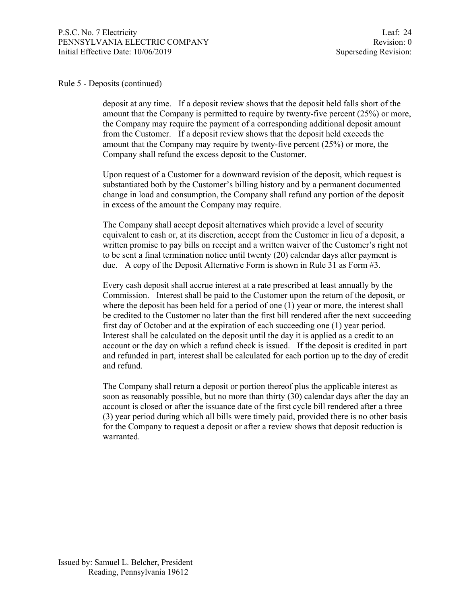deposit at any time. If a deposit review shows that the deposit held falls short of the amount that the Company is permitted to require by twenty-five percent (25%) or more, the Company may require the payment of a corresponding additional deposit amount from the Customer. If a deposit review shows that the deposit held exceeds the amount that the Company may require by twenty-five percent (25%) or more, the Company shall refund the excess deposit to the Customer.

 Upon request of a Customer for a downward revision of the deposit, which request is substantiated both by the Customer's billing history and by a permanent documented change in load and consumption, the Company shall refund any portion of the deposit in excess of the amount the Company may require.

 The Company shall accept deposit alternatives which provide a level of security equivalent to cash or, at its discretion, accept from the Customer in lieu of a deposit, a written promise to pay bills on receipt and a written waiver of the Customer's right not to be sent a final termination notice until twenty (20) calendar days after payment is due. A copy of the Deposit Alternative Form is shown in Rule 31 as Form #3.

 Every cash deposit shall accrue interest at a rate prescribed at least annually by the Commission. Interest shall be paid to the Customer upon the return of the deposit, or where the deposit has been held for a period of one (1) year or more, the interest shall be credited to the Customer no later than the first bill rendered after the next succeeding first day of October and at the expiration of each succeeding one (1) year period. Interest shall be calculated on the deposit until the day it is applied as a credit to an account or the day on which a refund check is issued. If the deposit is credited in part and refunded in part, interest shall be calculated for each portion up to the day of credit and refund.

The Company shall return a deposit or portion thereof plus the applicable interest as soon as reasonably possible, but no more than thirty (30) calendar days after the day an account is closed or after the issuance date of the first cycle bill rendered after a three (3) year period during which all bills were timely paid, provided there is no other basis for the Company to request a deposit or after a review shows that deposit reduction is warranted.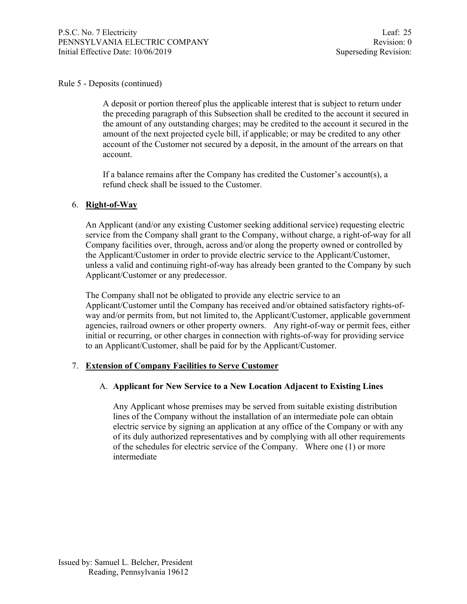A deposit or portion thereof plus the applicable interest that is subject to return under the preceding paragraph of this Subsection shall be credited to the account it secured in the amount of any outstanding charges; may be credited to the account it secured in the amount of the next projected cycle bill, if applicable; or may be credited to any other account of the Customer not secured by a deposit, in the amount of the arrears on that account.

 If a balance remains after the Company has credited the Customer's account(s), a refund check shall be issued to the Customer.

#### 6. **Right-of-Way**

An Applicant (and/or any existing Customer seeking additional service) requesting electric service from the Company shall grant to the Company, without charge, a right-of-way for all Company facilities over, through, across and/or along the property owned or controlled by the Applicant/Customer in order to provide electric service to the Applicant/Customer, unless a valid and continuing right-of-way has already been granted to the Company by such Applicant/Customer or any predecessor.

The Company shall not be obligated to provide any electric service to an Applicant/Customer until the Company has received and/or obtained satisfactory rights-ofway and/or permits from, but not limited to, the Applicant/Customer, applicable government agencies, railroad owners or other property owners. Any right-of-way or permit fees, either initial or recurring, or other charges in connection with rights-of-way for providing service to an Applicant/Customer, shall be paid for by the Applicant/Customer.

#### 7. **Extension of Company Facilities to Serve Customer**

#### A. **Applicant for New Service to a New Location Adjacent to Existing Lines**

Any Applicant whose premises may be served from suitable existing distribution lines of the Company without the installation of an intermediate pole can obtain electric service by signing an application at any office of the Company or with any of its duly authorized representatives and by complying with all other requirements of the schedules for electric service of the Company. Where one (1) or more intermediate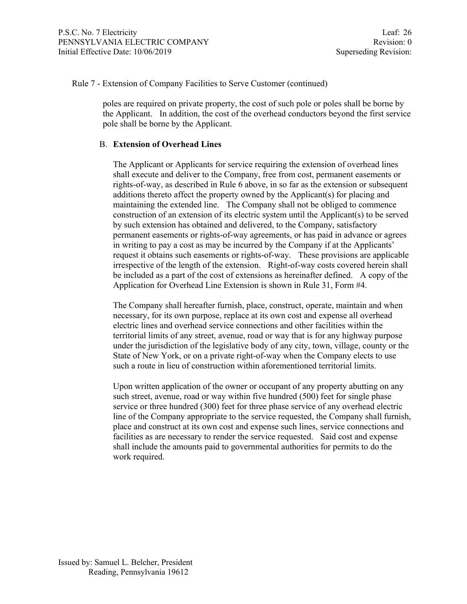poles are required on private property, the cost of such pole or poles shall be borne by the Applicant. In addition, the cost of the overhead conductors beyond the first service pole shall be borne by the Applicant.

#### B. **Extension of Overhead Lines**

The Applicant or Applicants for service requiring the extension of overhead lines shall execute and deliver to the Company, free from cost, permanent easements or rights-of-way, as described in Rule 6 above, in so far as the extension or subsequent additions thereto affect the property owned by the Applicant(s) for placing and maintaining the extended line. The Company shall not be obliged to commence construction of an extension of its electric system until the Applicant(s) to be served by such extension has obtained and delivered, to the Company, satisfactory permanent easements or rights-of-way agreements, or has paid in advance or agrees in writing to pay a cost as may be incurred by the Company if at the Applicants' request it obtains such easements or rights-of-way. These provisions are applicable irrespective of the length of the extension. Right-of-way costs covered herein shall be included as a part of the cost of extensions as hereinafter defined. A copy of the Application for Overhead Line Extension is shown in Rule 31, Form #4.

The Company shall hereafter furnish, place, construct, operate, maintain and when necessary, for its own purpose, replace at its own cost and expense all overhead electric lines and overhead service connections and other facilities within the territorial limits of any street, avenue, road or way that is for any highway purpose under the jurisdiction of the legislative body of any city, town, village, county or the State of New York, or on a private right-of-way when the Company elects to use such a route in lieu of construction within aforementioned territorial limits.

Upon written application of the owner or occupant of any property abutting on any such street, avenue, road or way within five hundred (500) feet for single phase service or three hundred (300) feet for three phase service of any overhead electric line of the Company appropriate to the service requested, the Company shall furnish, place and construct at its own cost and expense such lines, service connections and facilities as are necessary to render the service requested. Said cost and expense shall include the amounts paid to governmental authorities for permits to do the work required.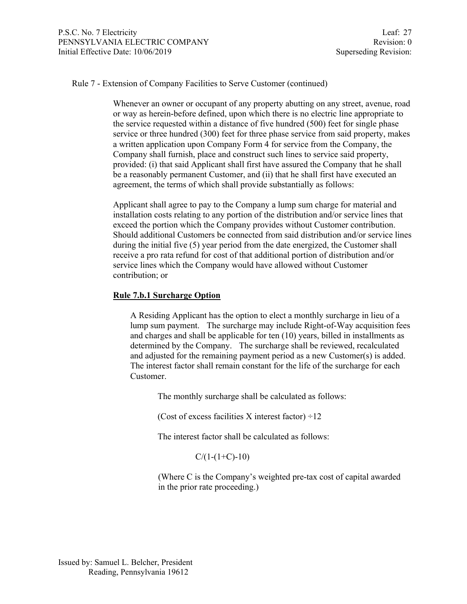Whenever an owner or occupant of any property abutting on any street, avenue, road or way as herein-before defined, upon which there is no electric line appropriate to the service requested within a distance of five hundred (500) feet for single phase service or three hundred (300) feet for three phase service from said property, makes a written application upon Company Form 4 for service from the Company, the Company shall furnish, place and construct such lines to service said property, provided: (i) that said Applicant shall first have assured the Company that he shall be a reasonably permanent Customer, and (ii) that he shall first have executed an agreement, the terms of which shall provide substantially as follows:

Applicant shall agree to pay to the Company a lump sum charge for material and installation costs relating to any portion of the distribution and/or service lines that exceed the portion which the Company provides without Customer contribution. Should additional Customers be connected from said distribution and/or service lines during the initial five (5) year period from the date energized, the Customer shall receive a pro rata refund for cost of that additional portion of distribution and/or service lines which the Company would have allowed without Customer contribution; or

#### **Rule 7.b.1 Surcharge Option**

 A Residing Applicant has the option to elect a monthly surcharge in lieu of a lump sum payment. The surcharge may include Right-of-Way acquisition fees and charges and shall be applicable for ten (10) years, billed in installments as determined by the Company. The surcharge shall be reviewed, recalculated and adjusted for the remaining payment period as a new Customer(s) is added. The interest factor shall remain constant for the life of the surcharge for each Customer.

The monthly surcharge shall be calculated as follows:

(Cost of excess facilities X interest factor)  $\div 12$ 

The interest factor shall be calculated as follows:

 $C/(1-(1+C)-10)$ 

 (Where C is the Company's weighted pre-tax cost of capital awarded in the prior rate proceeding.)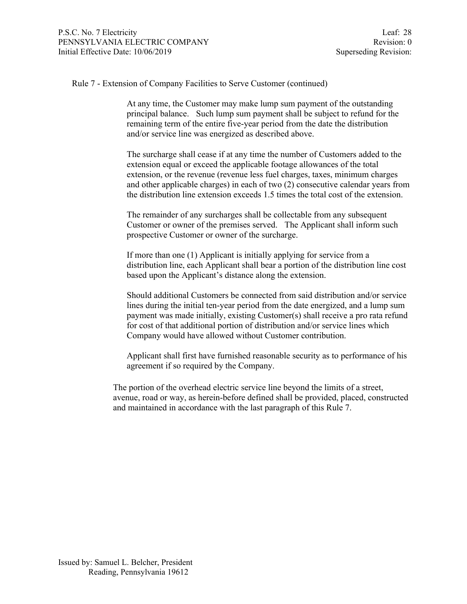At any time, the Customer may make lump sum payment of the outstanding principal balance. Such lump sum payment shall be subject to refund for the remaining term of the entire five-year period from the date the distribution and/or service line was energized as described above.

The surcharge shall cease if at any time the number of Customers added to the extension equal or exceed the applicable footage allowances of the total extension, or the revenue (revenue less fuel charges, taxes, minimum charges and other applicable charges) in each of two (2) consecutive calendar years from the distribution line extension exceeds 1.5 times the total cost of the extension.

The remainder of any surcharges shall be collectable from any subsequent Customer or owner of the premises served. The Applicant shall inform such prospective Customer or owner of the surcharge.

If more than one (1) Applicant is initially applying for service from a distribution line, each Applicant shall bear a portion of the distribution line cost based upon the Applicant's distance along the extension.

Should additional Customers be connected from said distribution and/or service lines during the initial ten-year period from the date energized, and a lump sum payment was made initially, existing Customer(s) shall receive a pro rata refund for cost of that additional portion of distribution and/or service lines which Company would have allowed without Customer contribution.

Applicant shall first have furnished reasonable security as to performance of his agreement if so required by the Company.

 The portion of the overhead electric service line beyond the limits of a street, avenue, road or way, as herein-before defined shall be provided, placed, constructed and maintained in accordance with the last paragraph of this Rule 7.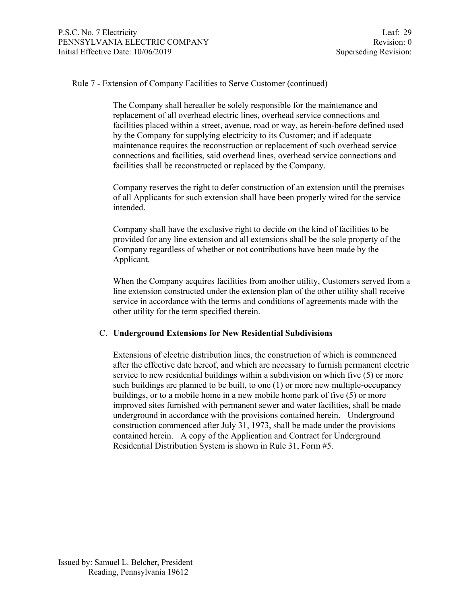The Company shall hereafter be solely responsible for the maintenance and replacement of all overhead electric lines, overhead service connections and facilities placed within a street, avenue, road or way, as herein-before defined used by the Company for supplying electricity to its Customer; and if adequate maintenance requires the reconstruction or replacement of such overhead service connections and facilities, said overhead lines, overhead service connections and facilities shall be reconstructed or replaced by the Company.

Company reserves the right to defer construction of an extension until the premises of all Applicants for such extension shall have been properly wired for the service intended.

Company shall have the exclusive right to decide on the kind of facilities to be provided for any line extension and all extensions shall be the sole property of the Company regardless of whether or not contributions have been made by the Applicant.

When the Company acquires facilities from another utility, Customers served from a line extension constructed under the extension plan of the other utility shall receive service in accordance with the terms and conditions of agreements made with the other utility for the term specified therein.

#### C. **Underground Extensions for New Residential Subdivisions**

Extensions of electric distribution lines, the construction of which is commenced after the effective date hereof, and which are necessary to furnish permanent electric service to new residential buildings within a subdivision on which five (5) or more such buildings are planned to be built, to one (1) or more new multiple-occupancy buildings, or to a mobile home in a new mobile home park of five (5) or more improved sites furnished with permanent sewer and water facilities, shall be made underground in accordance with the provisions contained herein. Underground construction commenced after July 31, 1973, shall be made under the provisions contained herein. A copy of the Application and Contract for Underground Residential Distribution System is shown in Rule 31, Form #5.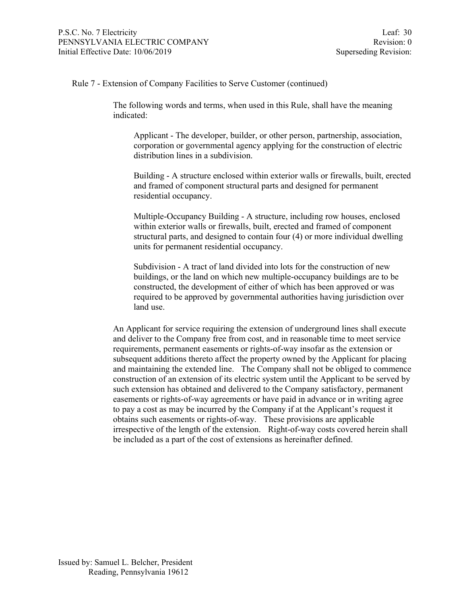The following words and terms, when used in this Rule, shall have the meaning indicated:

 Applicant - The developer, builder, or other person, partnership, association, corporation or governmental agency applying for the construction of electric distribution lines in a subdivision.

 Building - A structure enclosed within exterior walls or firewalls, built, erected and framed of component structural parts and designed for permanent residential occupancy.

 Multiple-Occupancy Building - A structure, including row houses, enclosed within exterior walls or firewalls, built, erected and framed of component structural parts, and designed to contain four (4) or more individual dwelling units for permanent residential occupancy.

 Subdivision - A tract of land divided into lots for the construction of new buildings, or the land on which new multiple-occupancy buildings are to be constructed, the development of either of which has been approved or was required to be approved by governmental authorities having jurisdiction over land use.

 An Applicant for service requiring the extension of underground lines shall execute and deliver to the Company free from cost, and in reasonable time to meet service requirements, permanent easements or rights-of-way insofar as the extension or subsequent additions thereto affect the property owned by the Applicant for placing and maintaining the extended line. The Company shall not be obliged to commence construction of an extension of its electric system until the Applicant to be served by such extension has obtained and delivered to the Company satisfactory, permanent easements or rights-of-way agreements or have paid in advance or in writing agree to pay a cost as may be incurred by the Company if at the Applicant's request it obtains such easements or rights-of-way. These provisions are applicable irrespective of the length of the extension. Right-of-way costs covered herein shall be included as a part of the cost of extensions as hereinafter defined.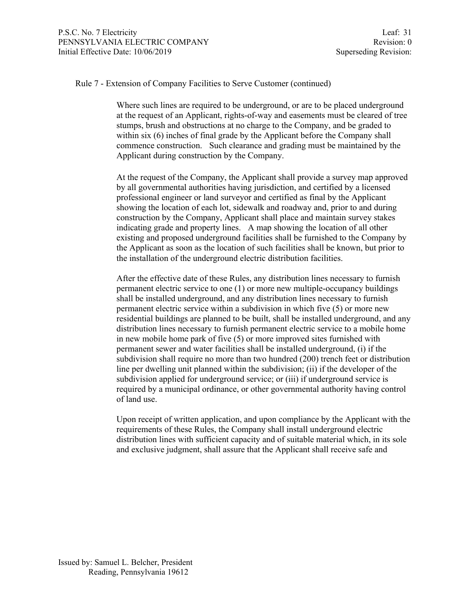Where such lines are required to be underground, or are to be placed underground at the request of an Applicant, rights-of-way and easements must be cleared of tree stumps, brush and obstructions at no charge to the Company, and be graded to within six (6) inches of final grade by the Applicant before the Company shall commence construction. Such clearance and grading must be maintained by the Applicant during construction by the Company.

At the request of the Company, the Applicant shall provide a survey map approved by all governmental authorities having jurisdiction, and certified by a licensed professional engineer or land surveyor and certified as final by the Applicant showing the location of each lot, sidewalk and roadway and, prior to and during construction by the Company, Applicant shall place and maintain survey stakes indicating grade and property lines. A map showing the location of all other existing and proposed underground facilities shall be furnished to the Company by the Applicant as soon as the location of such facilities shall be known, but prior to the installation of the underground electric distribution facilities.

After the effective date of these Rules, any distribution lines necessary to furnish permanent electric service to one (1) or more new multiple-occupancy buildings shall be installed underground, and any distribution lines necessary to furnish permanent electric service within a subdivision in which five (5) or more new residential buildings are planned to be built, shall be installed underground, and any distribution lines necessary to furnish permanent electric service to a mobile home in new mobile home park of five (5) or more improved sites furnished with permanent sewer and water facilities shall be installed underground, (i) if the subdivision shall require no more than two hundred (200) trench feet or distribution line per dwelling unit planned within the subdivision; (ii) if the developer of the subdivision applied for underground service; or (iii) if underground service is required by a municipal ordinance, or other governmental authority having control of land use.

 Upon receipt of written application, and upon compliance by the Applicant with the requirements of these Rules, the Company shall install underground electric distribution lines with sufficient capacity and of suitable material which, in its sole and exclusive judgment, shall assure that the Applicant shall receive safe and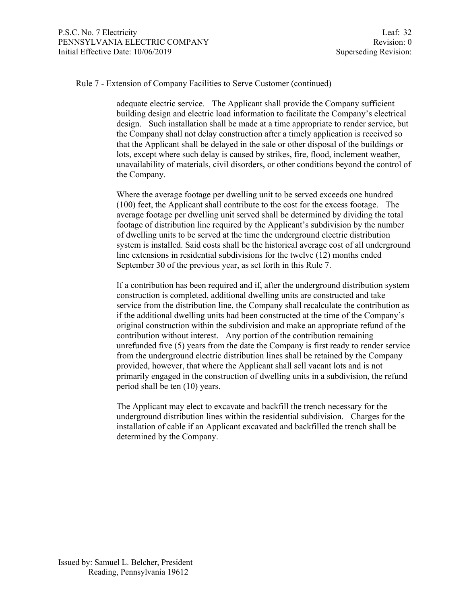adequate electric service. The Applicant shall provide the Company sufficient building design and electric load information to facilitate the Company's electrical design. Such installation shall be made at a time appropriate to render service, but the Company shall not delay construction after a timely application is received so that the Applicant shall be delayed in the sale or other disposal of the buildings or lots, except where such delay is caused by strikes, fire, flood, inclement weather, unavailability of materials, civil disorders, or other conditions beyond the control of the Company.

Where the average footage per dwelling unit to be served exceeds one hundred (100) feet, the Applicant shall contribute to the cost for the excess footage. The average footage per dwelling unit served shall be determined by dividing the total footage of distribution line required by the Applicant's subdivision by the number of dwelling units to be served at the time the underground electric distribution system is installed. Said costs shall be the historical average cost of all underground line extensions in residential subdivisions for the twelve (12) months ended September 30 of the previous year, as set forth in this Rule 7.

If a contribution has been required and if, after the underground distribution system construction is completed, additional dwelling units are constructed and take service from the distribution line, the Company shall recalculate the contribution as if the additional dwelling units had been constructed at the time of the Company's original construction within the subdivision and make an appropriate refund of the contribution without interest. Any portion of the contribution remaining unrefunded five (5) years from the date the Company is first ready to render service from the underground electric distribution lines shall be retained by the Company provided, however, that where the Applicant shall sell vacant lots and is not primarily engaged in the construction of dwelling units in a subdivision, the refund period shall be ten (10) years.

The Applicant may elect to excavate and backfill the trench necessary for the underground distribution lines within the residential subdivision. Charges for the installation of cable if an Applicant excavated and backfilled the trench shall be determined by the Company.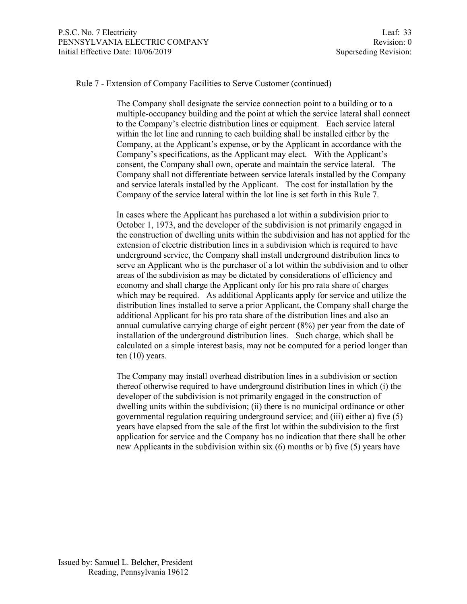The Company shall designate the service connection point to a building or to a multiple-occupancy building and the point at which the service lateral shall connect to the Company's electric distribution lines or equipment. Each service lateral within the lot line and running to each building shall be installed either by the Company, at the Applicant's expense, or by the Applicant in accordance with the Company's specifications, as the Applicant may elect. With the Applicant's consent, the Company shall own, operate and maintain the service lateral. The Company shall not differentiate between service laterals installed by the Company and service laterals installed by the Applicant. The cost for installation by the Company of the service lateral within the lot line is set forth in this Rule 7.

In cases where the Applicant has purchased a lot within a subdivision prior to October 1, 1973, and the developer of the subdivision is not primarily engaged in the construction of dwelling units within the subdivision and has not applied for the extension of electric distribution lines in a subdivision which is required to have underground service, the Company shall install underground distribution lines to serve an Applicant who is the purchaser of a lot within the subdivision and to other areas of the subdivision as may be dictated by considerations of efficiency and economy and shall charge the Applicant only for his pro rata share of charges which may be required. As additional Applicants apply for service and utilize the distribution lines installed to serve a prior Applicant, the Company shall charge the additional Applicant for his pro rata share of the distribution lines and also an annual cumulative carrying charge of eight percent (8%) per year from the date of installation of the underground distribution lines. Such charge, which shall be calculated on a simple interest basis, may not be computed for a period longer than ten (10) years.

 The Company may install overhead distribution lines in a subdivision or section thereof otherwise required to have underground distribution lines in which (i) the developer of the subdivision is not primarily engaged in the construction of dwelling units within the subdivision; (ii) there is no municipal ordinance or other governmental regulation requiring underground service; and (iii) either a) five (5) years have elapsed from the sale of the first lot within the subdivision to the first application for service and the Company has no indication that there shall be other new Applicants in the subdivision within six (6) months or b) five (5) years have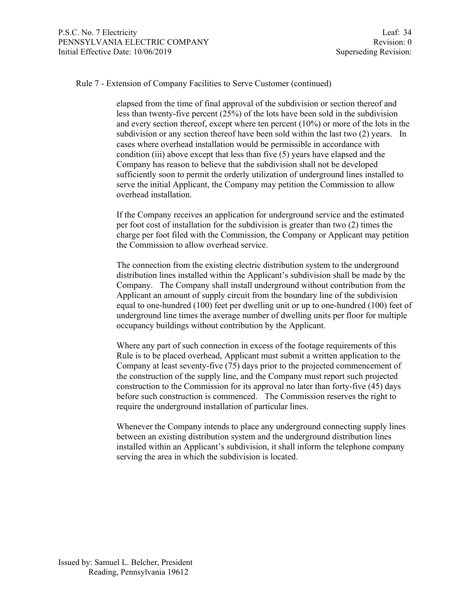elapsed from the time of final approval of the subdivision or section thereof and less than twenty-five percent (25%) of the lots have been sold in the subdivision and every section thereof, except where ten percent (10%) or more of the lots in the subdivision or any section thereof have been sold within the last two (2) years. In cases where overhead installation would be permissible in accordance with condition (iii) above except that less than five (5) years have elapsed and the Company has reason to believe that the subdivision shall not be developed sufficiently soon to permit the orderly utilization of underground lines installed to serve the initial Applicant, the Company may petition the Commission to allow overhead installation.

If the Company receives an application for underground service and the estimated per foot cost of installation for the subdivision is greater than two (2) times the charge per foot filed with the Commission, the Company or Applicant may petition the Commission to allow overhead service.

The connection from the existing electric distribution system to the underground distribution lines installed within the Applicant's subdivision shall be made by the Company. The Company shall install underground without contribution from the Applicant an amount of supply circuit from the boundary line of the subdivision equal to one-hundred (100) feet per dwelling unit or up to one-hundred (100) feet of underground line times the average number of dwelling units per floor for multiple occupancy buildings without contribution by the Applicant.

Where any part of such connection in excess of the footage requirements of this Rule is to be placed overhead, Applicant must submit a written application to the Company at least seventy-five (75) days prior to the projected commencement of the construction of the supply line, and the Company must report such projected construction to the Commission for its approval no later than forty-five (45) days before such construction is commenced. The Commission reserves the right to require the underground installation of particular lines.

Whenever the Company intends to place any underground connecting supply lines between an existing distribution system and the underground distribution lines installed within an Applicant's subdivision, it shall inform the telephone company serving the area in which the subdivision is located.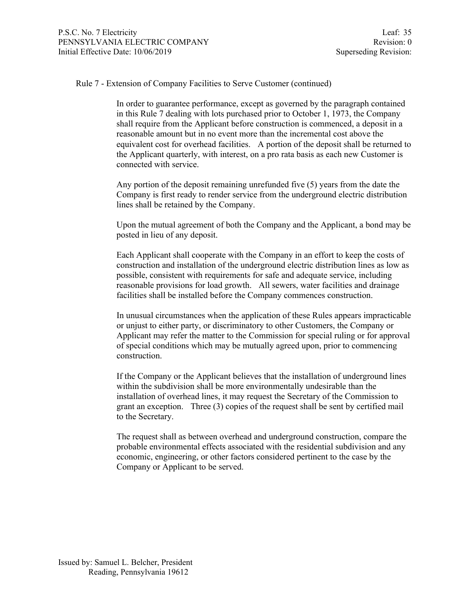In order to guarantee performance, except as governed by the paragraph contained in this Rule 7 dealing with lots purchased prior to October 1, 1973, the Company shall require from the Applicant before construction is commenced, a deposit in a reasonable amount but in no event more than the incremental cost above the equivalent cost for overhead facilities. A portion of the deposit shall be returned to the Applicant quarterly, with interest, on a pro rata basis as each new Customer is connected with service.

Any portion of the deposit remaining unrefunded five (5) years from the date the Company is first ready to render service from the underground electric distribution lines shall be retained by the Company.

Upon the mutual agreement of both the Company and the Applicant, a bond may be posted in lieu of any deposit.

Each Applicant shall cooperate with the Company in an effort to keep the costs of construction and installation of the underground electric distribution lines as low as possible, consistent with requirements for safe and adequate service, including reasonable provisions for load growth. All sewers, water facilities and drainage facilities shall be installed before the Company commences construction.

In unusual circumstances when the application of these Rules appears impracticable or unjust to either party, or discriminatory to other Customers, the Company or Applicant may refer the matter to the Commission for special ruling or for approval of special conditions which may be mutually agreed upon, prior to commencing construction.

If the Company or the Applicant believes that the installation of underground lines within the subdivision shall be more environmentally undesirable than the installation of overhead lines, it may request the Secretary of the Commission to grant an exception. Three (3) copies of the request shall be sent by certified mail to the Secretary.

The request shall as between overhead and underground construction, compare the probable environmental effects associated with the residential subdivision and any economic, engineering, or other factors considered pertinent to the case by the Company or Applicant to be served.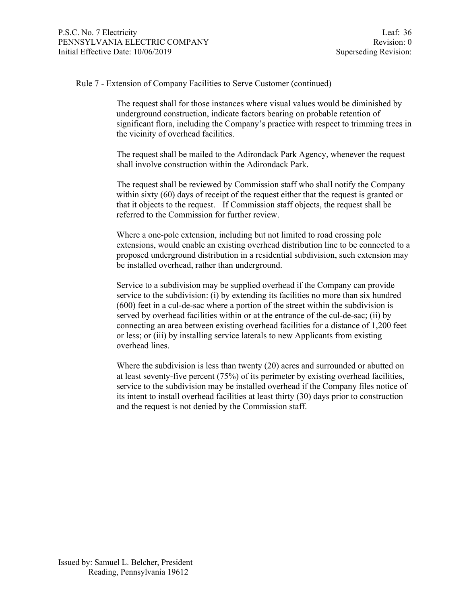The request shall for those instances where visual values would be diminished by underground construction, indicate factors bearing on probable retention of significant flora, including the Company's practice with respect to trimming trees in the vicinity of overhead facilities.

The request shall be mailed to the Adirondack Park Agency, whenever the request shall involve construction within the Adirondack Park.

The request shall be reviewed by Commission staff who shall notify the Company within sixty (60) days of receipt of the request either that the request is granted or that it objects to the request. If Commission staff objects, the request shall be referred to the Commission for further review.

Where a one-pole extension, including but not limited to road crossing pole extensions, would enable an existing overhead distribution line to be connected to a proposed underground distribution in a residential subdivision, such extension may be installed overhead, rather than underground.

Service to a subdivision may be supplied overhead if the Company can provide service to the subdivision: (i) by extending its facilities no more than six hundred (600) feet in a cul-de-sac where a portion of the street within the subdivision is served by overhead facilities within or at the entrance of the cul-de-sac; (ii) by connecting an area between existing overhead facilities for a distance of 1,200 feet or less; or (iii) by installing service laterals to new Applicants from existing overhead lines.

Where the subdivision is less than twenty (20) acres and surrounded or abutted on at least seventy-five percent (75%) of its perimeter by existing overhead facilities, service to the subdivision may be installed overhead if the Company files notice of its intent to install overhead facilities at least thirty (30) days prior to construction and the request is not denied by the Commission staff.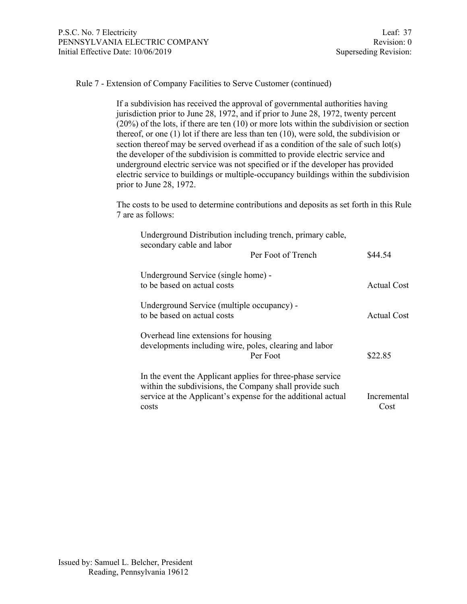If a subdivision has received the approval of governmental authorities having jurisdiction prior to June 28, 1972, and if prior to June 28, 1972, twenty percent (20%) of the lots, if there are ten (10) or more lots within the subdivision or section thereof, or one (1) lot if there are less than ten (10), were sold, the subdivision or section thereof may be served overhead if as a condition of the sale of such lot(s) the developer of the subdivision is committed to provide electric service and underground electric service was not specified or if the developer has provided electric service to buildings or multiple-occupancy buildings within the subdivision prior to June 28, 1972.

The costs to be used to determine contributions and deposits as set forth in this Rule 7 are as follows:

| Underground Distribution including trench, primary cable,<br>secondary cable and labor                                                                                                         |                     |
|------------------------------------------------------------------------------------------------------------------------------------------------------------------------------------------------|---------------------|
| Per Foot of Trench                                                                                                                                                                             | \$44.54             |
| Underground Service (single home) -<br>to be based on actual costs                                                                                                                             | <b>Actual Cost</b>  |
| Underground Service (multiple occupancy) -<br>to be based on actual costs                                                                                                                      | <b>Actual Cost</b>  |
| Overhead line extensions for housing<br>developments including wire, poles, clearing and labor<br>Per Foot                                                                                     | \$22.85             |
| In the event the Applicant applies for three-phase service<br>within the subdivisions, the Company shall provide such<br>service at the Applicant's expense for the additional actual<br>costs | Incremental<br>Cost |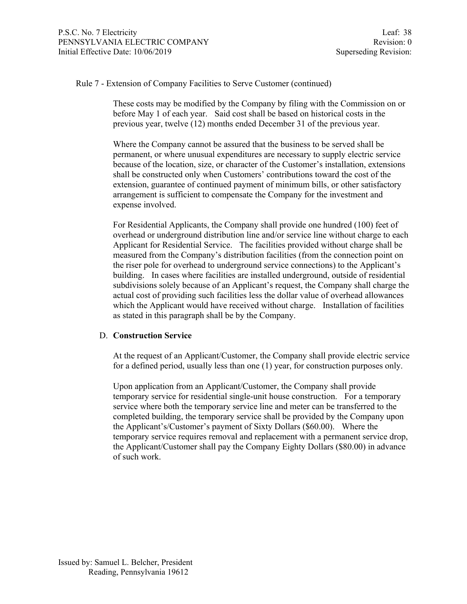These costs may be modified by the Company by filing with the Commission on or before May 1 of each year. Said cost shall be based on historical costs in the previous year, twelve (12) months ended December 31 of the previous year.

Where the Company cannot be assured that the business to be served shall be permanent, or where unusual expenditures are necessary to supply electric service because of the location, size, or character of the Customer's installation, extensions shall be constructed only when Customers' contributions toward the cost of the extension, guarantee of continued payment of minimum bills, or other satisfactory arrangement is sufficient to compensate the Company for the investment and expense involved.

 For Residential Applicants, the Company shall provide one hundred (100) feet of overhead or underground distribution line and/or service line without charge to each Applicant for Residential Service. The facilities provided without charge shall be measured from the Company's distribution facilities (from the connection point on the riser pole for overhead to underground service connections) to the Applicant's building. In cases where facilities are installed underground, outside of residential subdivisions solely because of an Applicant's request, the Company shall charge the actual cost of providing such facilities less the dollar value of overhead allowances which the Applicant would have received without charge. Installation of facilities as stated in this paragraph shall be by the Company.

### D. **Construction Service**

At the request of an Applicant/Customer, the Company shall provide electric service for a defined period, usually less than one (1) year, for construction purposes only.

Upon application from an Applicant/Customer, the Company shall provide temporary service for residential single-unit house construction. For a temporary service where both the temporary service line and meter can be transferred to the completed building, the temporary service shall be provided by the Company upon the Applicant's/Customer's payment of Sixty Dollars (\$60.00). Where the temporary service requires removal and replacement with a permanent service drop, the Applicant/Customer shall pay the Company Eighty Dollars (\$80.00) in advance of such work.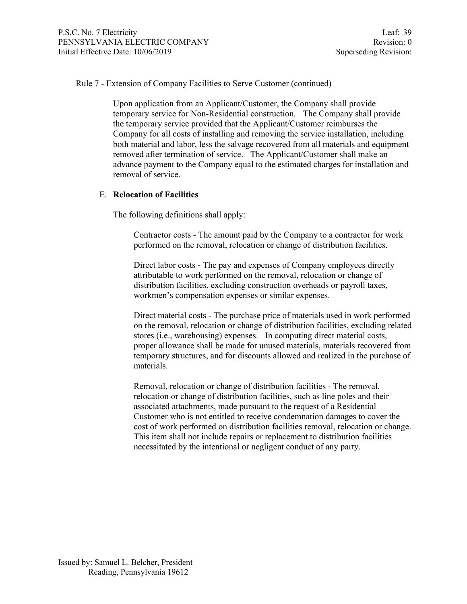Upon application from an Applicant/Customer, the Company shall provide temporary service for Non-Residential construction. The Company shall provide the temporary service provided that the Applicant/Customer reimburses the Company for all costs of installing and removing the service installation, including both material and labor, less the salvage recovered from all materials and equipment removed after termination of service. The Applicant/Customer shall make an advance payment to the Company equal to the estimated charges for installation and removal of service.

### E. **Relocation of Facilities**

The following definitions shall apply:

Contractor costs - The amount paid by the Company to a contractor for work performed on the removal, relocation or change of distribution facilities.

Direct labor costs - The pay and expenses of Company employees directly attributable to work performed on the removal, relocation or change of distribution facilities, excluding construction overheads or payroll taxes, workmen's compensation expenses or similar expenses.

Direct material costs - The purchase price of materials used in work performed on the removal, relocation or change of distribution facilities, excluding related stores (i.e., warehousing) expenses. In computing direct material costs, proper allowance shall be made for unused materials, materials recovered from temporary structures, and for discounts allowed and realized in the purchase of materials.

Removal, relocation or change of distribution facilities - The removal, relocation or change of distribution facilities, such as line poles and their associated attachments, made pursuant to the request of a Residential Customer who is not entitled to receive condemnation damages to cover the cost of work performed on distribution facilities removal, relocation or change. This item shall not include repairs or replacement to distribution facilities necessitated by the intentional or negligent conduct of any party.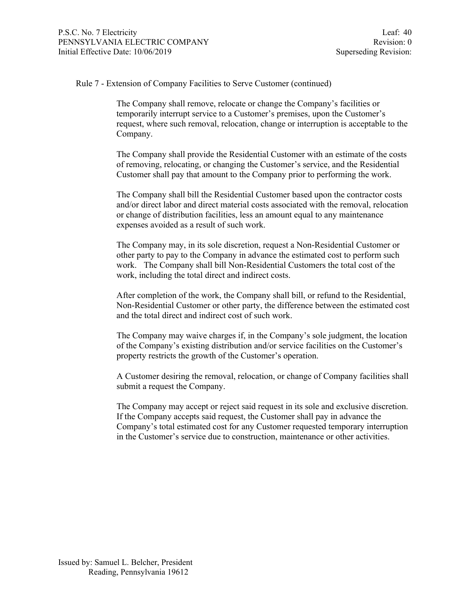The Company shall remove, relocate or change the Company's facilities or temporarily interrupt service to a Customer's premises, upon the Customer's request, where such removal, relocation, change or interruption is acceptable to the Company.

The Company shall provide the Residential Customer with an estimate of the costs of removing, relocating, or changing the Customer's service, and the Residential Customer shall pay that amount to the Company prior to performing the work.

The Company shall bill the Residential Customer based upon the contractor costs and/or direct labor and direct material costs associated with the removal, relocation or change of distribution facilities, less an amount equal to any maintenance expenses avoided as a result of such work.

The Company may, in its sole discretion, request a Non-Residential Customer or other party to pay to the Company in advance the estimated cost to perform such work. The Company shall bill Non-Residential Customers the total cost of the work, including the total direct and indirect costs.

After completion of the work, the Company shall bill, or refund to the Residential, Non-Residential Customer or other party, the difference between the estimated cost and the total direct and indirect cost of such work.

The Company may waive charges if, in the Company's sole judgment, the location of the Company's existing distribution and/or service facilities on the Customer's property restricts the growth of the Customer's operation.

A Customer desiring the removal, relocation, or change of Company facilities shall submit a request the Company.

The Company may accept or reject said request in its sole and exclusive discretion. If the Company accepts said request, the Customer shall pay in advance the Company's total estimated cost for any Customer requested temporary interruption in the Customer's service due to construction, maintenance or other activities.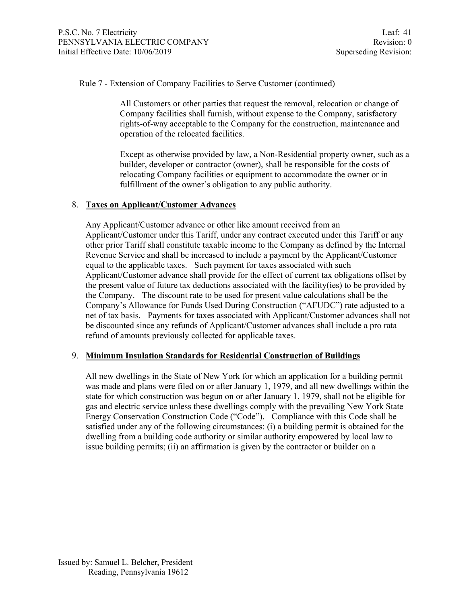All Customers or other parties that request the removal, relocation or change of Company facilities shall furnish, without expense to the Company, satisfactory rights-of-way acceptable to the Company for the construction, maintenance and operation of the relocated facilities.

 Except as otherwise provided by law, a Non-Residential property owner, such as a builder, developer or contractor (owner), shall be responsible for the costs of relocating Company facilities or equipment to accommodate the owner or in fulfillment of the owner's obligation to any public authority.

### 8. **Taxes on Applicant/Customer Advances**

Any Applicant/Customer advance or other like amount received from an Applicant/Customer under this Tariff, under any contract executed under this Tariff or any other prior Tariff shall constitute taxable income to the Company as defined by the Internal Revenue Service and shall be increased to include a payment by the Applicant/Customer equal to the applicable taxes. Such payment for taxes associated with such Applicant/Customer advance shall provide for the effect of current tax obligations offset by the present value of future tax deductions associated with the facility(ies) to be provided by the Company. The discount rate to be used for present value calculations shall be the Company's Allowance for Funds Used During Construction ("AFUDC") rate adjusted to a net of tax basis. Payments for taxes associated with Applicant/Customer advances shall not be discounted since any refunds of Applicant/Customer advances shall include a pro rata refund of amounts previously collected for applicable taxes.

## 9. **Minimum Insulation Standards for Residential Construction of Buildings**

All new dwellings in the State of New York for which an application for a building permit was made and plans were filed on or after January 1, 1979, and all new dwellings within the state for which construction was begun on or after January 1, 1979, shall not be eligible for gas and electric service unless these dwellings comply with the prevailing New York State Energy Conservation Construction Code ("Code"). Compliance with this Code shall be satisfied under any of the following circumstances: (i) a building permit is obtained for the dwelling from a building code authority or similar authority empowered by local law to issue building permits; (ii) an affirmation is given by the contractor or builder on a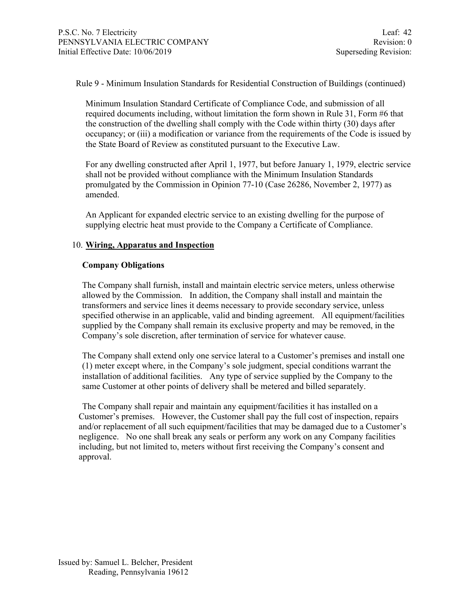Rule 9 - Minimum Insulation Standards for Residential Construction of Buildings (continued)

Minimum Insulation Standard Certificate of Compliance Code, and submission of all required documents including, without limitation the form shown in Rule 31, Form #6 that the construction of the dwelling shall comply with the Code within thirty (30) days after occupancy; or (iii) a modification or variance from the requirements of the Code is issued by the State Board of Review as constituted pursuant to the Executive Law.

For any dwelling constructed after April 1, 1977, but before January 1, 1979, electric service shall not be provided without compliance with the Minimum Insulation Standards promulgated by the Commission in Opinion 77-10 (Case 26286, November 2, 1977) as amended.

An Applicant for expanded electric service to an existing dwelling for the purpose of supplying electric heat must provide to the Company a Certificate of Compliance.

### 10. **Wiring, Apparatus and Inspection**

### **Company Obligations**

The Company shall furnish, install and maintain electric service meters, unless otherwise allowed by the Commission. In addition, the Company shall install and maintain the transformers and service lines it deems necessary to provide secondary service, unless specified otherwise in an applicable, valid and binding agreement. All equipment/facilities supplied by the Company shall remain its exclusive property and may be removed, in the Company's sole discretion, after termination of service for whatever cause.

The Company shall extend only one service lateral to a Customer's premises and install one (1) meter except where, in the Company's sole judgment, special conditions warrant the installation of additional facilities. Any type of service supplied by the Company to the same Customer at other points of delivery shall be metered and billed separately.

The Company shall repair and maintain any equipment/facilities it has installed on a Customer's premises. However, the Customer shall pay the full cost of inspection, repairs and/or replacement of all such equipment/facilities that may be damaged due to a Customer's negligence. No one shall break any seals or perform any work on any Company facilities including, but not limited to, meters without first receiving the Company's consent and approval.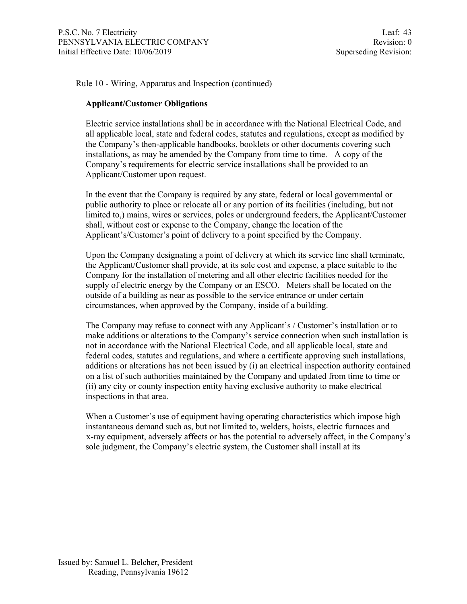Rule 10 - Wiring, Apparatus and Inspection (continued)

## **Applicant/Customer Obligations**

Electric service installations shall be in accordance with the National Electrical Code, and all applicable local, state and federal codes, statutes and regulations, except as modified by the Company's then-applicable handbooks, booklets or other documents covering such installations, as may be amended by the Company from time to time. A copy of the Company's requirements for electric service installations shall be provided to an Applicant/Customer upon request.

In the event that the Company is required by any state, federal or local governmental or public authority to place or relocate all or any portion of its facilities (including, but not limited to,) mains, wires or services, poles or underground feeders, the Applicant/Customer shall, without cost or expense to the Company, change the location of the Applicant's/Customer's point of delivery to a point specified by the Company.

Upon the Company designating a point of delivery at which its service line shall terminate, the Applicant/Customer shall provide, at its sole cost and expense, a place suitable to the Company for the installation of metering and all other electric facilities needed for the supply of electric energy by the Company or an ESCO. Meters shall be located on the outside of a building as near as possible to the service entrance or under certain circumstances, when approved by the Company, inside of a building.

The Company may refuse to connect with any Applicant's / Customer's installation or to make additions or alterations to the Company's service connection when such installation is not in accordance with the National Electrical Code, and all applicable local, state and federal codes, statutes and regulations, and where a certificate approving such installations, additions or alterations has not been issued by (i) an electrical inspection authority contained on a list of such authorities maintained by the Company and updated from time to time or (ii) any city or county inspection entity having exclusive authority to make electrical inspections in that area.

When a Customer's use of equipment having operating characteristics which impose high instantaneous demand such as, but not limited to, welders, hoists, electric furnaces and x-ray equipment, adversely affects or has the potential to adversely affect, in the Company's sole judgment, the Company's electric system, the Customer shall install at its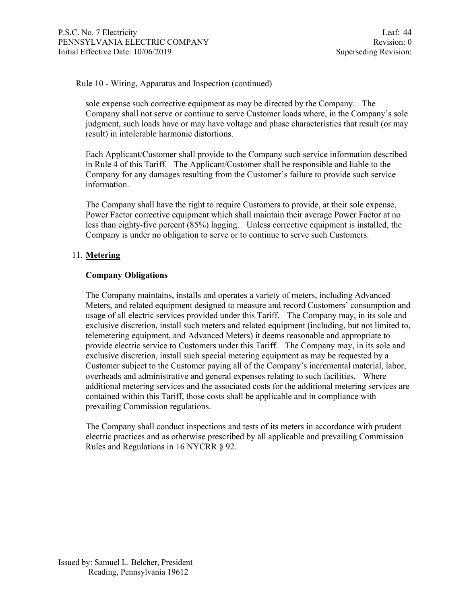Rule 10 - Wiring, Apparatus and Inspection (continued)

sole expense such corrective equipment as may be directed by the Company. The Company shall not serve or continue to serve Customer loads where, in the Company's sole judgment, such loads have or may have voltage and phase characteristics that result (or may result) in intolerable harmonic distortions.

Each Applicant/Customer shall provide to the Company such service information described in Rule 4 of this Tariff. The Applicant/Customer shall be responsible and liable to the Company for any damages resulting from the Customer's failure to provide such service information.

The Company shall have the right to require Customers to provide, at their sole expense, Power Factor corrective equipment which shall maintain their average Power Factor at no less than eighty-five percent (85%) lagging. Unless corrective equipment is installed, the Company is under no obligation to serve or to continue to serve such Customers.

## 11. **Metering**

## **Company Obligations**

The Company maintains, installs and operates a variety of meters, including Advanced Meters, and related equipment designed to measure and record Customers' consumption and usage of all electric services provided under this Tariff. The Company may, in its sole and exclusive discretion, install such meters and related equipment (including, but not limited to, telemetering equipment, and Advanced Meters) it deems reasonable and appropriate to provide electric service to Customers under this Tariff. The Company may, in its sole and exclusive discretion, install such special metering equipment as may be requested by a Customer subject to the Customer paying all of the Company's incremental material, labor, overheads and administrative and general expenses relating to such facilities. Where additional metering services and the associated costs for the additional metering services are contained within this Tariff, those costs shall be applicable and in compliance with prevailing Commission regulations.

The Company shall conduct inspections and tests of its meters in accordance with prudent electric practices and as otherwise prescribed by all applicable and prevailing Commission Rules and Regulations in 16 NYCRR § 92.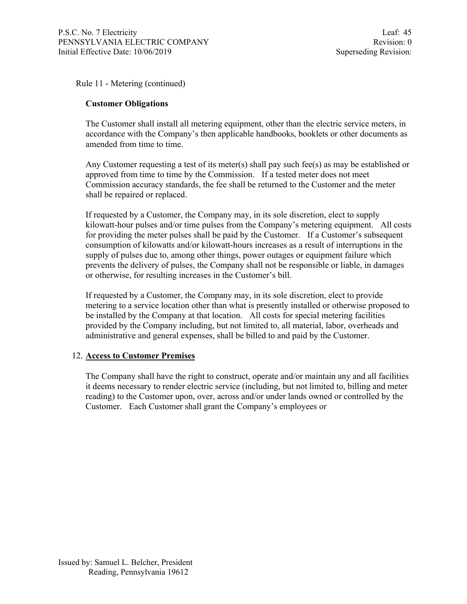Rule 11 - Metering (continued)

## **Customer Obligations**

The Customer shall install all metering equipment, other than the electric service meters, in accordance with the Company's then applicable handbooks, booklets or other documents as amended from time to time.

Any Customer requesting a test of its meter(s) shall pay such fee(s) as may be established or approved from time to time by the Commission. If a tested meter does not meet Commission accuracy standards, the fee shall be returned to the Customer and the meter shall be repaired or replaced.

If requested by a Customer, the Company may, in its sole discretion, elect to supply kilowatt-hour pulses and/or time pulses from the Company's metering equipment. All costs for providing the meter pulses shall be paid by the Customer. If a Customer's subsequent consumption of kilowatts and/or kilowatt-hours increases as a result of interruptions in the supply of pulses due to, among other things, power outages or equipment failure which prevents the delivery of pulses, the Company shall not be responsible or liable, in damages or otherwise, for resulting increases in the Customer's bill.

If requested by a Customer, the Company may, in its sole discretion, elect to provide metering to a service location other than what is presently installed or otherwise proposed to be installed by the Company at that location. All costs for special metering facilities provided by the Company including, but not limited to, all material, labor, overheads and administrative and general expenses, shall be billed to and paid by the Customer.

# 12. **Access to Customer Premises**

The Company shall have the right to construct, operate and/or maintain any and all facilities it deems necessary to render electric service (including, but not limited to, billing and meter reading) to the Customer upon, over, across and/or under lands owned or controlled by the Customer. Each Customer shall grant the Company's employees or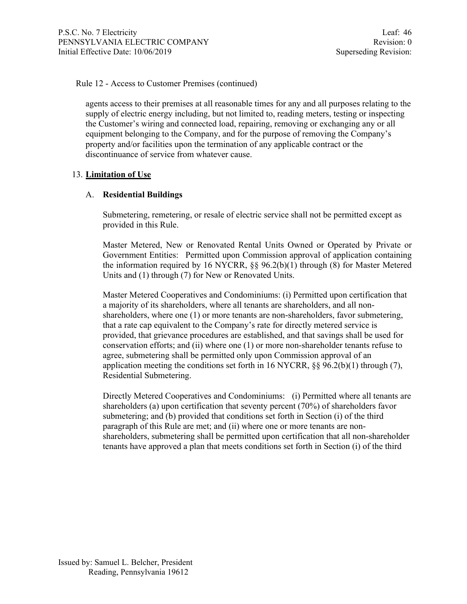## Rule 12 - Access to Customer Premises (continued)

agents access to their premises at all reasonable times for any and all purposes relating to the supply of electric energy including, but not limited to, reading meters, testing or inspecting the Customer's wiring and connected load, repairing, removing or exchanging any or all equipment belonging to the Company, and for the purpose of removing the Company's property and/or facilities upon the termination of any applicable contract or the discontinuance of service from whatever cause.

## 13. **Limitation of Use**

## A. **Residential Buildings**

Submetering, remetering, or resale of electric service shall not be permitted except as provided in this Rule.

Master Metered, New or Renovated Rental Units Owned or Operated by Private or Government Entities: Permitted upon Commission approval of application containing the information required by 16 NYCRR, §§ 96.2(b)(1) through (8) for Master Metered Units and (1) through (7) for New or Renovated Units.

Master Metered Cooperatives and Condominiums: (i) Permitted upon certification that a majority of its shareholders, where all tenants are shareholders, and all nonshareholders, where one (1) or more tenants are non-shareholders, favor submetering, that a rate cap equivalent to the Company's rate for directly metered service is provided, that grievance procedures are established, and that savings shall be used for conservation efforts; and (ii) where one (1) or more non-shareholder tenants refuse to agree, submetering shall be permitted only upon Commission approval of an application meeting the conditions set forth in 16 NYCRR,  $\S$ § 96.2(b)(1) through (7), Residential Submetering.

 Directly Metered Cooperatives and Condominiums: (i) Permitted where all tenants are shareholders (a) upon certification that seventy percent (70%) of shareholders favor submetering; and (b) provided that conditions set forth in Section (i) of the third paragraph of this Rule are met; and (ii) where one or more tenants are nonshareholders, submetering shall be permitted upon certification that all non-shareholder tenants have approved a plan that meets conditions set forth in Section (i) of the third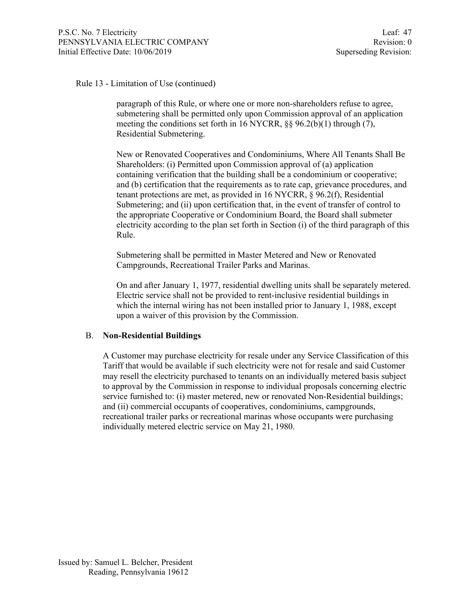## Rule 13 - Limitation of Use (continued)

paragraph of this Rule, or where one or more non-shareholders refuse to agree, submetering shall be permitted only upon Commission approval of an application meeting the conditions set forth in 16 NYCRR, §§ 96.2(b)(1) through (7), Residential Submetering.

New or Renovated Cooperatives and Condominiums, Where All Tenants Shall Be Shareholders: (i) Permitted upon Commission approval of (a) application containing verification that the building shall be a condominium or cooperative; and (b) certification that the requirements as to rate cap, grievance procedures, and tenant protections are met, as provided in 16 NYCRR, § 96.2(f), Residential Submetering; and (ii) upon certification that, in the event of transfer of control to the appropriate Cooperative or Condominium Board, the Board shall submeter electricity according to the plan set forth in Section (i) of the third paragraph of this Rule.

Submetering shall be permitted in Master Metered and New or Renovated Campgrounds, Recreational Trailer Parks and Marinas.

On and after January 1, 1977, residential dwelling units shall be separately metered. Electric service shall not be provided to rent-inclusive residential buildings in which the internal wiring has not been installed prior to January 1, 1988, except upon a waiver of this provision by the Commission.

### B. **Non-Residential Buildings**

A Customer may purchase electricity for resale under any Service Classification of this Tariff that would be available if such electricity were not for resale and said Customer may resell the electricity purchased to tenants on an individually metered basis subject to approval by the Commission in response to individual proposals concerning electric service furnished to: (i) master metered, new or renovated Non-Residential buildings; and (ii) commercial occupants of cooperatives, condominiums, campgrounds, recreational trailer parks or recreational marinas whose occupants were purchasing individually metered electric service on May 21, 1980.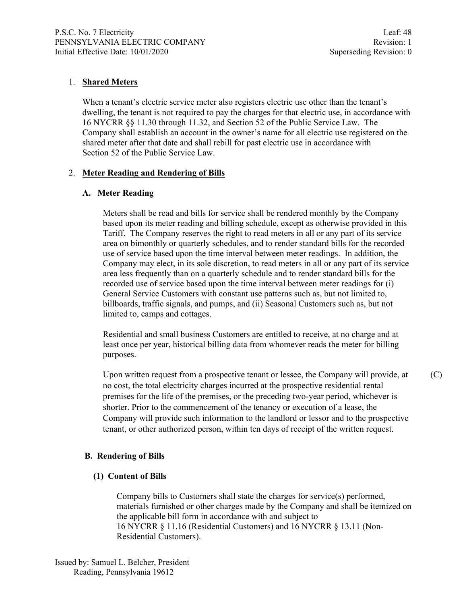# 1. **Shared Meters**

When a tenant's electric service meter also registers electric use other than the tenant's dwelling, the tenant is not required to pay the charges for that electric use, in accordance with 16 NYCRR §§ 11.30 through 11.32, and Section 52 of the Public Service Law. The Company shall establish an account in the owner's name for all electric use registered on the shared meter after that date and shall rebill for past electric use in accordance with Section 52 of the Public Service Law.

# 2. **Meter Reading and Rendering of Bills**

# **A. Meter Reading**

Meters shall be read and bills for service shall be rendered monthly by the Company based upon its meter reading and billing schedule, except as otherwise provided in this Tariff. The Company reserves the right to read meters in all or any part of its service area on bimonthly or quarterly schedules, and to render standard bills for the recorded use of service based upon the time interval between meter readings. In addition, the Company may elect, in its sole discretion, to read meters in all or any part of its service area less frequently than on a quarterly schedule and to render standard bills for the recorded use of service based upon the time interval between meter readings for (i) General Service Customers with constant use patterns such as, but not limited to, billboards, traffic signals, and pumps, and (ii) Seasonal Customers such as, but not limited to, camps and cottages.

Residential and small business Customers are entitled to receive, at no charge and at least once per year, historical billing data from whomever reads the meter for billing purposes.

Upon written request from a prospective tenant or lessee, the Company will provide, at no cost, the total electricity charges incurred at the prospective residential rental premises for the life of the premises, or the preceding two-year period, whichever is shorter. Prior to the commencement of the tenancy or execution of a lease, the Company will provide such information to the landlord or lessor and to the prospective tenant, or other authorized person, within ten days of receipt of the written request.

# **B. Rendering of Bills**

# **(1) Content of Bills**

 Company bills to Customers shall state the charges for service(s) performed, materials furnished or other charges made by the Company and shall be itemized on the applicable bill form in accordance with and subject to 16 NYCRR § 11.16 (Residential Customers) and 16 NYCRR § 13.11 (Non-Residential Customers).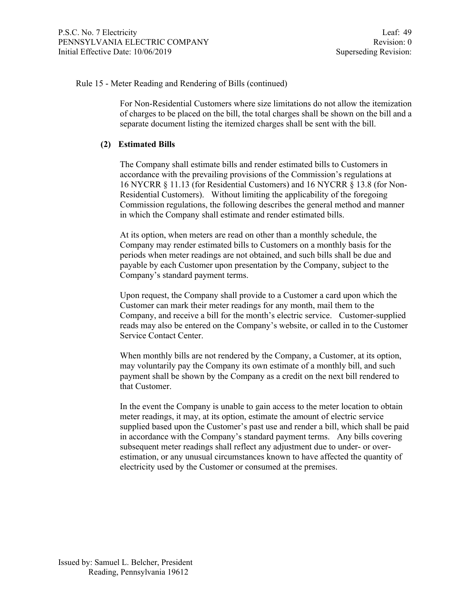For Non-Residential Customers where size limitations do not allow the itemization of charges to be placed on the bill, the total charges shall be shown on the bill and a separate document listing the itemized charges shall be sent with the bill.

## **(2) Estimated Bills**

The Company shall estimate bills and render estimated bills to Customers in accordance with the prevailing provisions of the Commission's regulations at 16 NYCRR § 11.13 (for Residential Customers) and 16 NYCRR § 13.8 (for Non-Residential Customers). Without limiting the applicability of the foregoing Commission regulations, the following describes the general method and manner in which the Company shall estimate and render estimated bills.

At its option, when meters are read on other than a monthly schedule, the Company may render estimated bills to Customers on a monthly basis for the periods when meter readings are not obtained, and such bills shall be due and payable by each Customer upon presentation by the Company, subject to the Company's standard payment terms.

Upon request, the Company shall provide to a Customer a card upon which the Customer can mark their meter readings for any month, mail them to the Company, and receive a bill for the month's electric service. Customer-supplied reads may also be entered on the Company's website, or called in to the Customer Service Contact Center.

When monthly bills are not rendered by the Company, a Customer, at its option, may voluntarily pay the Company its own estimate of a monthly bill, and such payment shall be shown by the Company as a credit on the next bill rendered to that Customer.

In the event the Company is unable to gain access to the meter location to obtain meter readings, it may, at its option, estimate the amount of electric service supplied based upon the Customer's past use and render a bill, which shall be paid in accordance with the Company's standard payment terms. Any bills covering subsequent meter readings shall reflect any adjustment due to under- or overestimation, or any unusual circumstances known to have affected the quantity of electricity used by the Customer or consumed at the premises.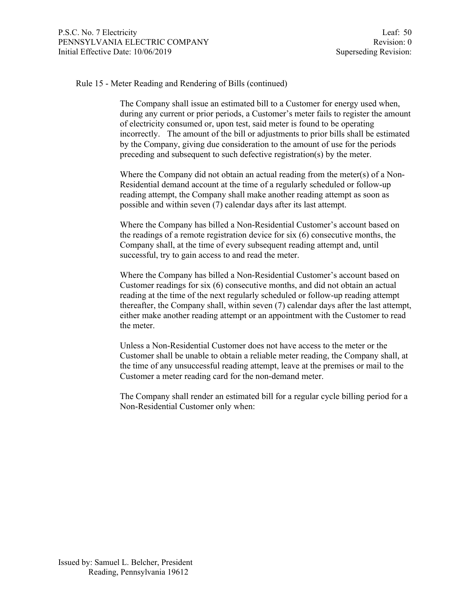The Company shall issue an estimated bill to a Customer for energy used when, during any current or prior periods, a Customer's meter fails to register the amount of electricity consumed or, upon test, said meter is found to be operating incorrectly. The amount of the bill or adjustments to prior bills shall be estimated by the Company, giving due consideration to the amount of use for the periods preceding and subsequent to such defective registration(s) by the meter.

Where the Company did not obtain an actual reading from the meter(s) of a Non-Residential demand account at the time of a regularly scheduled or follow-up reading attempt, the Company shall make another reading attempt as soon as possible and within seven (7) calendar days after its last attempt.

Where the Company has billed a Non-Residential Customer's account based on the readings of a remote registration device for six (6) consecutive months, the Company shall, at the time of every subsequent reading attempt and, until successful, try to gain access to and read the meter.

Where the Company has billed a Non-Residential Customer's account based on Customer readings for six (6) consecutive months, and did not obtain an actual reading at the time of the next regularly scheduled or follow-up reading attempt thereafter, the Company shall, within seven (7) calendar days after the last attempt, either make another reading attempt or an appointment with the Customer to read the meter.

Unless a Non-Residential Customer does not have access to the meter or the Customer shall be unable to obtain a reliable meter reading, the Company shall, at the time of any unsuccessful reading attempt, leave at the premises or mail to the Customer a meter reading card for the non-demand meter.

The Company shall render an estimated bill for a regular cycle billing period for a Non-Residential Customer only when: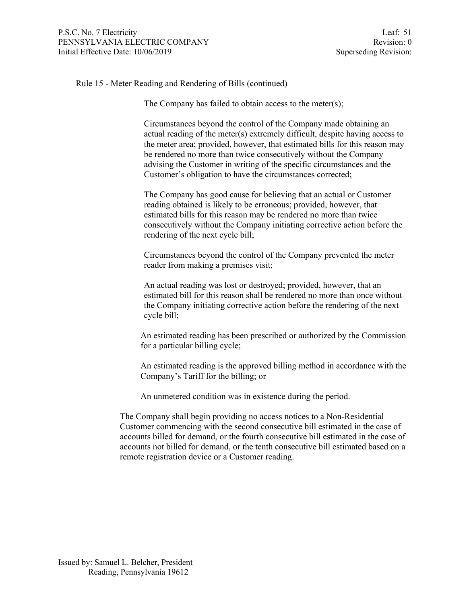The Company has failed to obtain access to the meter(s);

Circumstances beyond the control of the Company made obtaining an actual reading of the meter(s) extremely difficult, despite having access to the meter area; provided, however, that estimated bills for this reason may be rendered no more than twice consecutively without the Company advising the Customer in writing of the specific circumstances and the Customer's obligation to have the circumstances corrected;

The Company has good cause for believing that an actual or Customer reading obtained is likely to be erroneous; provided, however, that estimated bills for this reason may be rendered no more than twice consecutively without the Company initiating corrective action before the rendering of the next cycle bill;

Circumstances beyond the control of the Company prevented the meter reader from making a premises visit;

An actual reading was lost or destroyed; provided, however, that an estimated bill for this reason shall be rendered no more than once without the Company initiating corrective action before the rendering of the next cycle bill;

An estimated reading has been prescribed or authorized by the Commission for a particular billing cycle;

An estimated reading is the approved billing method in accordance with the Company's Tariff for the billing; or

An unmetered condition was in existence during the period.

The Company shall begin providing no access notices to a Non-Residential Customer commencing with the second consecutive bill estimated in the case of accounts billed for demand, or the fourth consecutive bill estimated in the case of accounts not billed for demand, or the tenth consecutive bill estimated based on a remote registration device or a Customer reading.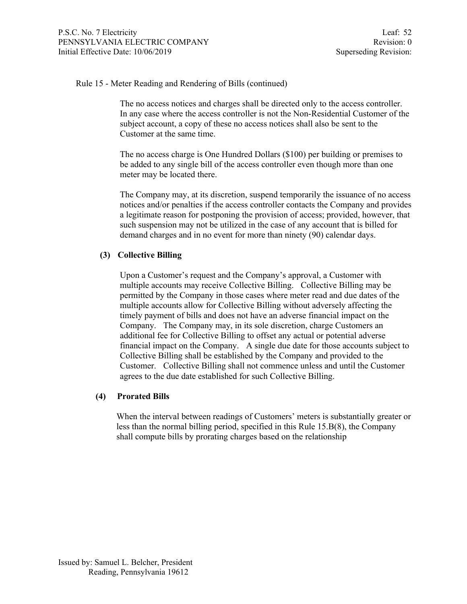The no access notices and charges shall be directed only to the access controller. In any case where the access controller is not the Non-Residential Customer of the subject account, a copy of these no access notices shall also be sent to the Customer at the same time.

The no access charge is One Hundred Dollars (\$100) per building or premises to be added to any single bill of the access controller even though more than one meter may be located there.

The Company may, at its discretion, suspend temporarily the issuance of no access notices and/or penalties if the access controller contacts the Company and provides a legitimate reason for postponing the provision of access; provided, however, that such suspension may not be utilized in the case of any account that is billed for demand charges and in no event for more than ninety (90) calendar days.

# **(3) Collective Billing**

 Upon a Customer's request and the Company's approval, a Customer with multiple accounts may receive Collective Billing. Collective Billing may be permitted by the Company in those cases where meter read and due dates of the multiple accounts allow for Collective Billing without adversely affecting the timely payment of bills and does not have an adverse financial impact on the Company. The Company may, in its sole discretion, charge Customers an additional fee for Collective Billing to offset any actual or potential adverse financial impact on the Company. A single due date for those accounts subject to Collective Billing shall be established by the Company and provided to the Customer. Collective Billing shall not commence unless and until the Customer agrees to the due date established for such Collective Billing.

### **(4) Prorated Bills**

 When the interval between readings of Customers' meters is substantially greater or less than the normal billing period, specified in this Rule 15.B(8), the Company shall compute bills by prorating charges based on the relationship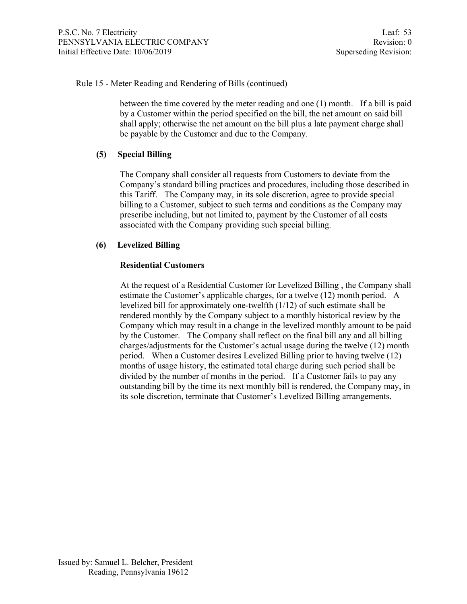between the time covered by the meter reading and one (1) month. If a bill is paid by a Customer within the period specified on the bill, the net amount on said bill shall apply; otherwise the net amount on the bill plus a late payment charge shall be payable by the Customer and due to the Company.

# **(5) Special Billing**

The Company shall consider all requests from Customers to deviate from the Company's standard billing practices and procedures, including those described in this Tariff. The Company may, in its sole discretion, agree to provide special billing to a Customer, subject to such terms and conditions as the Company may prescribe including, but not limited to, payment by the Customer of all costs associated with the Company providing such special billing.

## **(6) Levelized Billing**

### **Residential Customers**

At the request of a Residential Customer for Levelized Billing , the Company shall estimate the Customer's applicable charges, for a twelve (12) month period. A levelized bill for approximately one-twelfth (1/12) of such estimate shall be rendered monthly by the Company subject to a monthly historical review by the Company which may result in a change in the levelized monthly amount to be paid by the Customer. The Company shall reflect on the final bill any and all billing charges/adjustments for the Customer's actual usage during the twelve (12) month period. When a Customer desires Levelized Billing prior to having twelve (12) months of usage history, the estimated total charge during such period shall be divided by the number of months in the period. If a Customer fails to pay any outstanding bill by the time its next monthly bill is rendered, the Company may, in its sole discretion, terminate that Customer's Levelized Billing arrangements.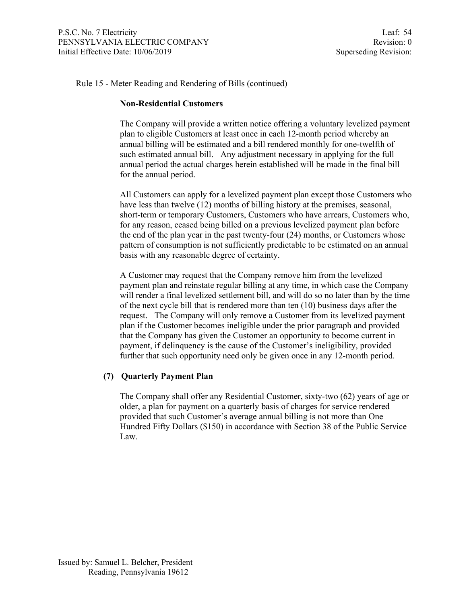#### **Non-Residential Customers**

 The Company will provide a written notice offering a voluntary levelized payment plan to eligible Customers at least once in each 12-month period whereby an annual billing will be estimated and a bill rendered monthly for one-twelfth of such estimated annual bill. Any adjustment necessary in applying for the full annual period the actual charges herein established will be made in the final bill for the annual period.

All Customers can apply for a levelized payment plan except those Customers who have less than twelve (12) months of billing history at the premises, seasonal, short-term or temporary Customers, Customers who have arrears, Customers who, for any reason, ceased being billed on a previous levelized payment plan before the end of the plan year in the past twenty-four (24) months, or Customers whose pattern of consumption is not sufficiently predictable to be estimated on an annual basis with any reasonable degree of certainty.

A Customer may request that the Company remove him from the levelized payment plan and reinstate regular billing at any time, in which case the Company will render a final levelized settlement bill, and will do so no later than by the time of the next cycle bill that is rendered more than ten (10) business days after the request. The Company will only remove a Customer from its levelized payment plan if the Customer becomes ineligible under the prior paragraph and provided that the Company has given the Customer an opportunity to become current in payment, if delinquency is the cause of the Customer's ineligibility, provided further that such opportunity need only be given once in any 12-month period.

### **(7) Quarterly Payment Plan**

 The Company shall offer any Residential Customer, sixty-two (62) years of age or older, a plan for payment on a quarterly basis of charges for service rendered provided that such Customer's average annual billing is not more than One Hundred Fifty Dollars (\$150) in accordance with Section 38 of the Public Service Law.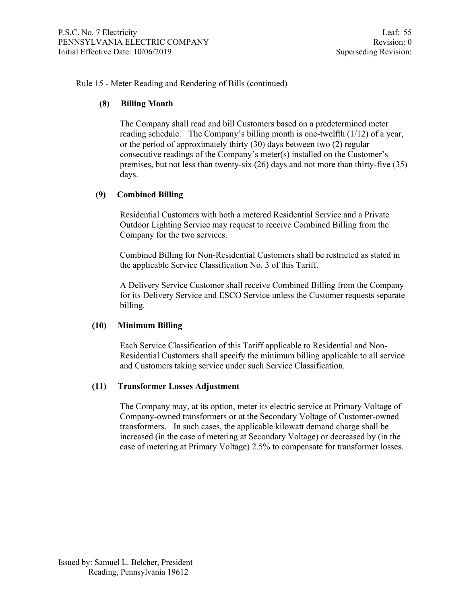## **(8) Billing Month**

The Company shall read and bill Customers based on a predetermined meter reading schedule. The Company's billing month is one-twelfth (1/12) of a year, or the period of approximately thirty (30) days between two (2) regular consecutive readings of the Company's meter(s) installed on the Customer's premises, but not less than twenty-six (26) days and not more than thirty-five (35) days.

# **(9) Combined Billing**

Residential Customers with both a metered Residential Service and a Private Outdoor Lighting Service may request to receive Combined Billing from the Company for the two services.

Combined Billing for Non-Residential Customers shall be restricted as stated in the applicable Service Classification No. 3 of this Tariff.

A Delivery Service Customer shall receive Combined Billing from the Company for its Delivery Service and ESCO Service unless the Customer requests separate billing.

### **(10) Minimum Billing**

Each Service Classification of this Tariff applicable to Residential and Non-Residential Customers shall specify the minimum billing applicable to all service and Customers taking service under such Service Classification.

### **(11) Transformer Losses Adjustment**

The Company may, at its option, meter its electric service at Primary Voltage of Company-owned transformers or at the Secondary Voltage of Customer-owned transformers. In such cases, the applicable kilowatt demand charge shall be increased (in the case of metering at Secondary Voltage) or decreased by (in the case of metering at Primary Voltage) 2.5% to compensate for transformer losses.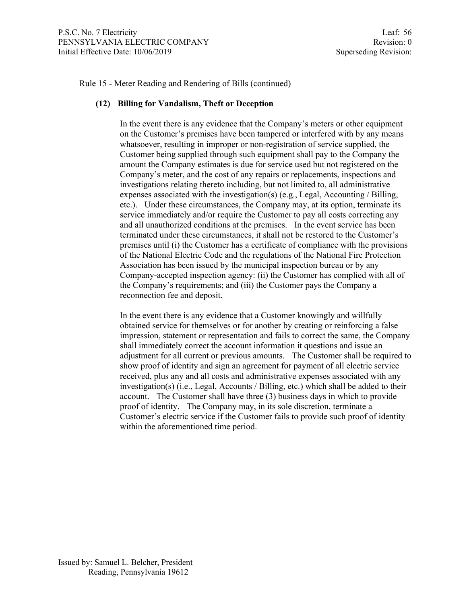#### **(12) Billing for Vandalism, Theft or Deception**

 In the event there is any evidence that the Company's meters or other equipment on the Customer's premises have been tampered or interfered with by any means whatsoever, resulting in improper or non-registration of service supplied, the Customer being supplied through such equipment shall pay to the Company the amount the Company estimates is due for service used but not registered on the Company's meter, and the cost of any repairs or replacements, inspections and investigations relating thereto including, but not limited to, all administrative expenses associated with the investigation(s) (e.g., Legal, Accounting / Billing, etc.). Under these circumstances, the Company may, at its option, terminate its service immediately and/or require the Customer to pay all costs correcting any and all unauthorized conditions at the premises. In the event service has been terminated under these circumstances, it shall not be restored to the Customer's premises until (i) the Customer has a certificate of compliance with the provisions of the National Electric Code and the regulations of the National Fire Protection Association has been issued by the municipal inspection bureau or by any Company-accepted inspection agency: (ii) the Customer has complied with all of the Company's requirements; and (iii) the Customer pays the Company a reconnection fee and deposit.

 In the event there is any evidence that a Customer knowingly and willfully obtained service for themselves or for another by creating or reinforcing a false impression, statement or representation and fails to correct the same, the Company shall immediately correct the account information it questions and issue an adjustment for all current or previous amounts. The Customer shall be required to show proof of identity and sign an agreement for payment of all electric service received, plus any and all costs and administrative expenses associated with any investigation(s) (i.e., Legal, Accounts / Billing, etc.) which shall be added to their account. The Customer shall have three (3) business days in which to provide proof of identity. The Company may, in its sole discretion, terminate a Customer's electric service if the Customer fails to provide such proof of identity within the aforementioned time period.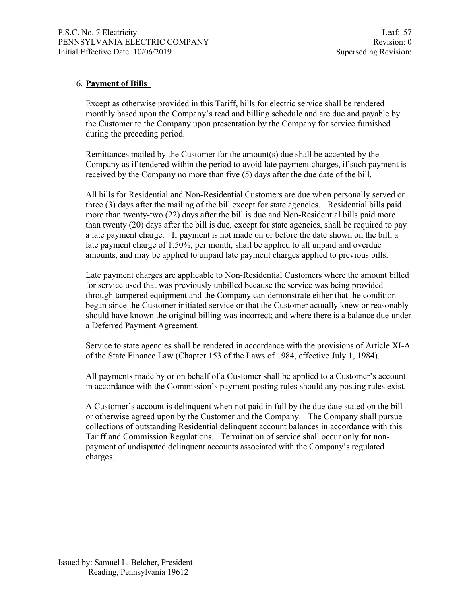# 16. **Payment of Bills**

Except as otherwise provided in this Tariff, bills for electric service shall be rendered monthly based upon the Company's read and billing schedule and are due and payable by the Customer to the Company upon presentation by the Company for service furnished during the preceding period.

Remittances mailed by the Customer for the amount(s) due shall be accepted by the Company as if tendered within the period to avoid late payment charges, if such payment is received by the Company no more than five (5) days after the due date of the bill.

All bills for Residential and Non-Residential Customers are due when personally served or three (3) days after the mailing of the bill except for state agencies. Residential bills paid more than twenty-two (22) days after the bill is due and Non-Residential bills paid more than twenty (20) days after the bill is due, except for state agencies, shall be required to pay a late payment charge. If payment is not made on or before the date shown on the bill, a late payment charge of 1.50%, per month, shall be applied to all unpaid and overdue amounts, and may be applied to unpaid late payment charges applied to previous bills.

Late payment charges are applicable to Non-Residential Customers where the amount billed for service used that was previously unbilled because the service was being provided through tampered equipment and the Company can demonstrate either that the condition began since the Customer initiated service or that the Customer actually knew or reasonably should have known the original billing was incorrect; and where there is a balance due under a Deferred Payment Agreement.

Service to state agencies shall be rendered in accordance with the provisions of Article XI-A of the State Finance Law (Chapter 153 of the Laws of 1984, effective July 1, 1984).

All payments made by or on behalf of a Customer shall be applied to a Customer's account in accordance with the Commission's payment posting rules should any posting rules exist.

A Customer's account is delinquent when not paid in full by the due date stated on the bill or otherwise agreed upon by the Customer and the Company. The Company shall pursue collections of outstanding Residential delinquent account balances in accordance with this Tariff and Commission Regulations. Termination of service shall occur only for nonpayment of undisputed delinquent accounts associated with the Company's regulated charges.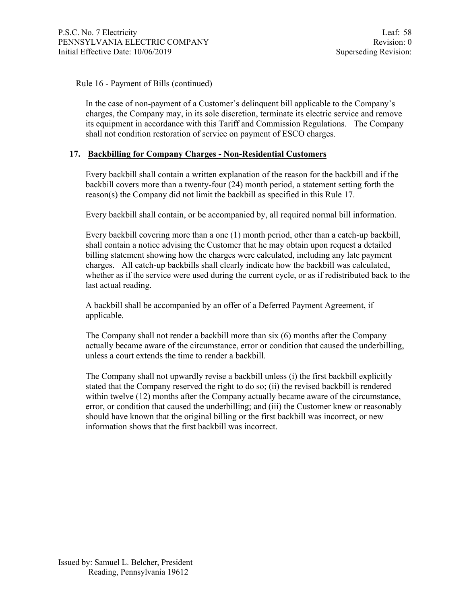Rule 16 - Payment of Bills (continued)

In the case of non-payment of a Customer's delinquent bill applicable to the Company's charges, the Company may, in its sole discretion, terminate its electric service and remove its equipment in accordance with this Tariff and Commission Regulations. The Company shall not condition restoration of service on payment of ESCO charges.

## **17. Backbilling for Company Charges - Non-Residential Customers**

Every backbill shall contain a written explanation of the reason for the backbill and if the backbill covers more than a twenty-four (24) month period, a statement setting forth the reason(s) the Company did not limit the backbill as specified in this Rule 17.

Every backbill shall contain, or be accompanied by, all required normal bill information.

Every backbill covering more than a one (1) month period, other than a catch-up backbill, shall contain a notice advising the Customer that he may obtain upon request a detailed billing statement showing how the charges were calculated, including any late payment charges. All catch-up backbills shall clearly indicate how the backbill was calculated, whether as if the service were used during the current cycle, or as if redistributed back to the last actual reading.

A backbill shall be accompanied by an offer of a Deferred Payment Agreement, if applicable.

The Company shall not render a backbill more than six (6) months after the Company actually became aware of the circumstance, error or condition that caused the underbilling, unless a court extends the time to render a backbill.

The Company shall not upwardly revise a backbill unless (i) the first backbill explicitly stated that the Company reserved the right to do so; (ii) the revised backbill is rendered within twelve (12) months after the Company actually became aware of the circumstance, error, or condition that caused the underbilling; and (iii) the Customer knew or reasonably should have known that the original billing or the first backbill was incorrect, or new information shows that the first backbill was incorrect.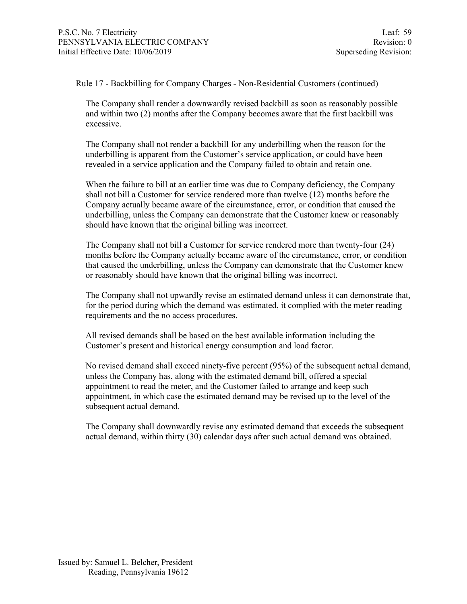Rule 17 - Backbilling for Company Charges - Non-Residential Customers (continued)

The Company shall render a downwardly revised backbill as soon as reasonably possible and within two (2) months after the Company becomes aware that the first backbill was excessive.

The Company shall not render a backbill for any underbilling when the reason for the underbilling is apparent from the Customer's service application, or could have been revealed in a service application and the Company failed to obtain and retain one.

When the failure to bill at an earlier time was due to Company deficiency, the Company shall not bill a Customer for service rendered more than twelve (12) months before the Company actually became aware of the circumstance, error, or condition that caused the underbilling, unless the Company can demonstrate that the Customer knew or reasonably should have known that the original billing was incorrect.

The Company shall not bill a Customer for service rendered more than twenty-four (24) months before the Company actually became aware of the circumstance, error, or condition that caused the underbilling, unless the Company can demonstrate that the Customer knew or reasonably should have known that the original billing was incorrect.

The Company shall not upwardly revise an estimated demand unless it can demonstrate that, for the period during which the demand was estimated, it complied with the meter reading requirements and the no access procedures.

All revised demands shall be based on the best available information including the Customer's present and historical energy consumption and load factor.

No revised demand shall exceed ninety-five percent (95%) of the subsequent actual demand, unless the Company has, along with the estimated demand bill, offered a special appointment to read the meter, and the Customer failed to arrange and keep such appointment, in which case the estimated demand may be revised up to the level of the subsequent actual demand.

The Company shall downwardly revise any estimated demand that exceeds the subsequent actual demand, within thirty (30) calendar days after such actual demand was obtained.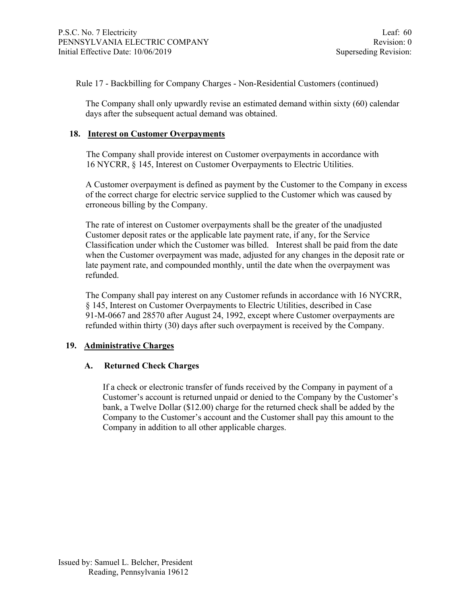Rule 17 - Backbilling for Company Charges - Non-Residential Customers (continued)

The Company shall only upwardly revise an estimated demand within sixty (60) calendar days after the subsequent actual demand was obtained.

## **18. Interest on Customer Overpayments**

 The Company shall provide interest on Customer overpayments in accordance with 16 NYCRR, § 145, Interest on Customer Overpayments to Electric Utilities.

A Customer overpayment is defined as payment by the Customer to the Company in excess of the correct charge for electric service supplied to the Customer which was caused by erroneous billing by the Company.

The rate of interest on Customer overpayments shall be the greater of the unadjusted Customer deposit rates or the applicable late payment rate, if any, for the Service Classification under which the Customer was billed. Interest shall be paid from the date when the Customer overpayment was made, adjusted for any changes in the deposit rate or late payment rate, and compounded monthly, until the date when the overpayment was refunded.

The Company shall pay interest on any Customer refunds in accordance with 16 NYCRR, § 145, Interest on Customer Overpayments to Electric Utilities, described in Case 91-M-0667 and 28570 after August 24, 1992, except where Customer overpayments are refunded within thirty (30) days after such overpayment is received by the Company.

# **19. Administrative Charges**

### **A. Returned Check Charges**

If a check or electronic transfer of funds received by the Company in payment of a Customer's account is returned unpaid or denied to the Company by the Customer's bank, a Twelve Dollar (\$12.00) charge for the returned check shall be added by the Company to the Customer's account and the Customer shall pay this amount to the Company in addition to all other applicable charges.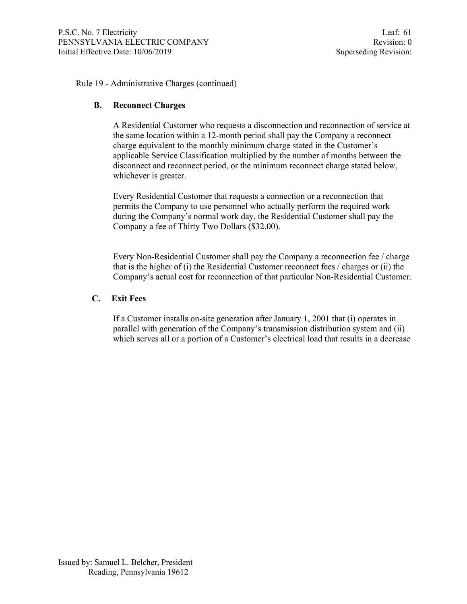Rule 19 - Administrative Charges (continued)

# **B. Reconnect Charges**

 A Residential Customer who requests a disconnection and reconnection of service at the same location within a 12-month period shall pay the Company a reconnect charge equivalent to the monthly minimum charge stated in the Customer's applicable Service Classification multiplied by the number of months between the disconnect and reconnect period, or the minimum reconnect charge stated below, whichever is greater.

Every Residential Customer that requests a connection or a reconnection that permits the Company to use personnel who actually perform the required work during the Company's normal work day, the Residential Customer shall pay the Company a fee of Thirty Two Dollars (\$32.00).

Every Non-Residential Customer shall pay the Company a reconnection fee / charge that is the higher of (i) the Residential Customer reconnect fees / charges or (ii) the Company's actual cost for reconnection of that particular Non-Residential Customer.

# **C. Exit Fees**

 If a Customer installs on-site generation after January 1, 2001 that (i) operates in parallel with generation of the Company's transmission distribution system and (ii) which serves all or a portion of a Customer's electrical load that results in a decrease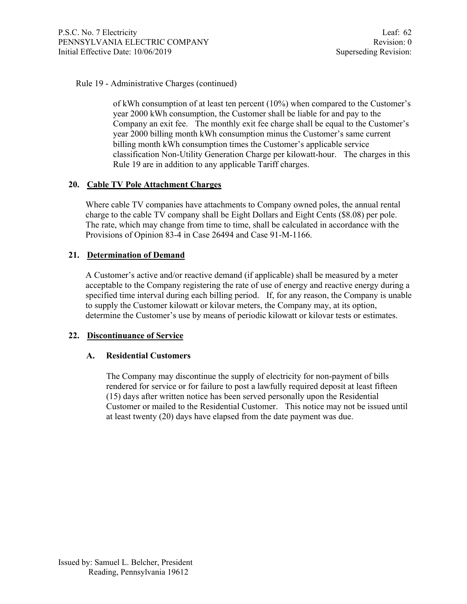## Rule 19 - Administrative Charges (continued)

 of kWh consumption of at least ten percent (10%) when compared to the Customer's year 2000 kWh consumption, the Customer shall be liable for and pay to the Company an exit fee. The monthly exit fee charge shall be equal to the Customer's year 2000 billing month kWh consumption minus the Customer's same current billing month kWh consumption times the Customer's applicable service classification Non-Utility Generation Charge per kilowatt-hour. The charges in this Rule 19 are in addition to any applicable Tariff charges.

# **20. Cable TV Pole Attachment Charges**

Where cable TV companies have attachments to Company owned poles, the annual rental charge to the cable TV company shall be Eight Dollars and Eight Cents (\$8.08) per pole. The rate, which may change from time to time, shall be calculated in accordance with the Provisions of Opinion 83-4 in Case 26494 and Case 91-M-1166.

## **21. Determination of Demand**

A Customer's active and/or reactive demand (if applicable) shall be measured by a meter acceptable to the Company registering the rate of use of energy and reactive energy during a specified time interval during each billing period. If, for any reason, the Company is unable to supply the Customer kilowatt or kilovar meters, the Company may, at its option, determine the Customer's use by means of periodic kilowatt or kilovar tests or estimates.

### **22. Discontinuance of Service**

### **A. Residential Customers**

The Company may discontinue the supply of electricity for non-payment of bills rendered for service or for failure to post a lawfully required deposit at least fifteen (15) days after written notice has been served personally upon the Residential Customer or mailed to the Residential Customer. This notice may not be issued until at least twenty (20) days have elapsed from the date payment was due.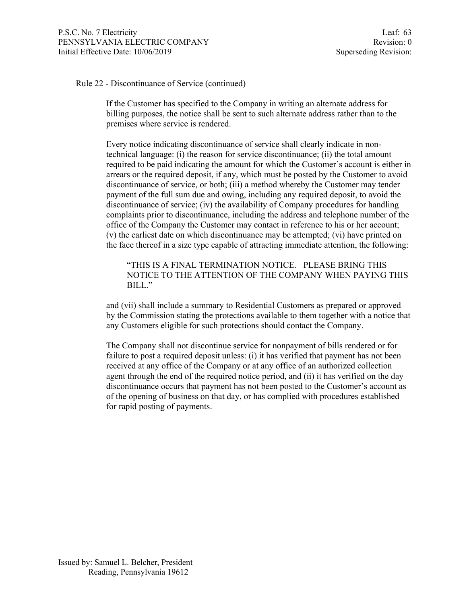If the Customer has specified to the Company in writing an alternate address for billing purposes, the notice shall be sent to such alternate address rather than to the premises where service is rendered.

 Every notice indicating discontinuance of service shall clearly indicate in nontechnical language: (i) the reason for service discontinuance; (ii) the total amount required to be paid indicating the amount for which the Customer's account is either in arrears or the required deposit, if any, which must be posted by the Customer to avoid discontinuance of service, or both; (iii) a method whereby the Customer may tender payment of the full sum due and owing, including any required deposit, to avoid the discontinuance of service; (iv) the availability of Company procedures for handling complaints prior to discontinuance, including the address and telephone number of the office of the Company the Customer may contact in reference to his or her account; (v) the earliest date on which discontinuance may be attempted; (vi) have printed on the face thereof in a size type capable of attracting immediate attention, the following:

 "THIS IS A FINAL TERMINATION NOTICE. PLEASE BRING THIS NOTICE TO THE ATTENTION OF THE COMPANY WHEN PAYING THIS BILL."

 and (vii) shall include a summary to Residential Customers as prepared or approved by the Commission stating the protections available to them together with a notice that any Customers eligible for such protections should contact the Company.

 The Company shall not discontinue service for nonpayment of bills rendered or for failure to post a required deposit unless: (i) it has verified that payment has not been received at any office of the Company or at any office of an authorized collection agent through the end of the required notice period, and (ii) it has verified on the day discontinuance occurs that payment has not been posted to the Customer's account as of the opening of business on that day, or has complied with procedures established for rapid posting of payments.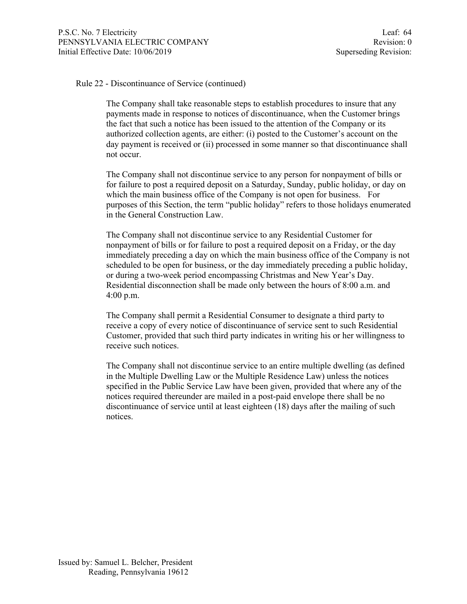The Company shall take reasonable steps to establish procedures to insure that any payments made in response to notices of discontinuance, when the Customer brings the fact that such a notice has been issued to the attention of the Company or its authorized collection agents, are either: (i) posted to the Customer's account on the day payment is received or (ii) processed in some manner so that discontinuance shall not occur.

The Company shall not discontinue service to any person for nonpayment of bills or for failure to post a required deposit on a Saturday, Sunday, public holiday, or day on which the main business office of the Company is not open for business. For purposes of this Section, the term "public holiday" refers to those holidays enumerated in the General Construction Law.

 The Company shall not discontinue service to any Residential Customer for nonpayment of bills or for failure to post a required deposit on a Friday, or the day immediately preceding a day on which the main business office of the Company is not scheduled to be open for business, or the day immediately preceding a public holiday, or during a two-week period encompassing Christmas and New Year's Day. Residential disconnection shall be made only between the hours of 8:00 a.m. and 4:00 p.m.

 The Company shall permit a Residential Consumer to designate a third party to receive a copy of every notice of discontinuance of service sent to such Residential Customer, provided that such third party indicates in writing his or her willingness to receive such notices.

The Company shall not discontinue service to an entire multiple dwelling (as defined in the Multiple Dwelling Law or the Multiple Residence Law) unless the notices specified in the Public Service Law have been given, provided that where any of the notices required thereunder are mailed in a post-paid envelope there shall be no discontinuance of service until at least eighteen (18) days after the mailing of such notices.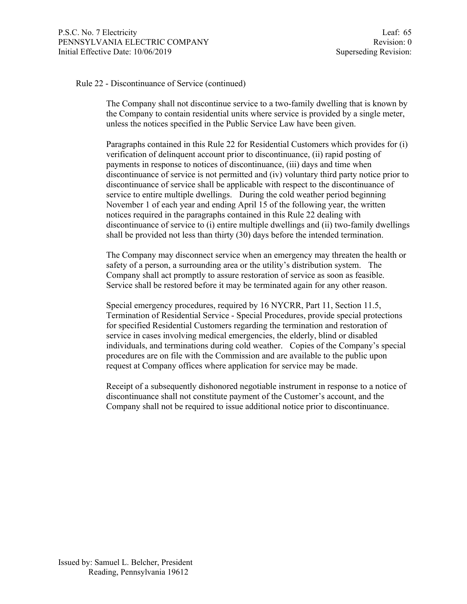The Company shall not discontinue service to a two-family dwelling that is known by the Company to contain residential units where service is provided by a single meter, unless the notices specified in the Public Service Law have been given.

 Paragraphs contained in this Rule 22 for Residential Customers which provides for (i) verification of delinquent account prior to discontinuance, (ii) rapid posting of payments in response to notices of discontinuance, (iii) days and time when discontinuance of service is not permitted and (iv) voluntary third party notice prior to discontinuance of service shall be applicable with respect to the discontinuance of service to entire multiple dwellings. During the cold weather period beginning November 1 of each year and ending April 15 of the following year, the written notices required in the paragraphs contained in this Rule 22 dealing with discontinuance of service to (i) entire multiple dwellings and (ii) two-family dwellings shall be provided not less than thirty (30) days before the intended termination.

 The Company may disconnect service when an emergency may threaten the health or safety of a person, a surrounding area or the utility's distribution system. The Company shall act promptly to assure restoration of service as soon as feasible. Service shall be restored before it may be terminated again for any other reason.

 Special emergency procedures, required by 16 NYCRR, Part 11, Section 11.5, Termination of Residential Service - Special Procedures, provide special protections for specified Residential Customers regarding the termination and restoration of service in cases involving medical emergencies, the elderly, blind or disabled individuals, and terminations during cold weather. Copies of the Company's special procedures are on file with the Commission and are available to the public upon request at Company offices where application for service may be made.

Receipt of a subsequently dishonored negotiable instrument in response to a notice of discontinuance shall not constitute payment of the Customer's account, and the Company shall not be required to issue additional notice prior to discontinuance.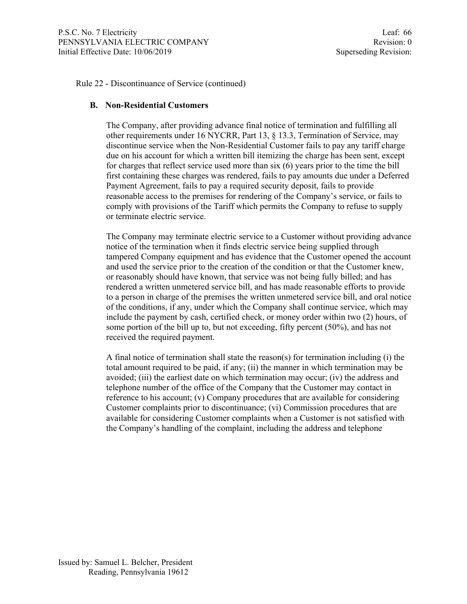## **B. Non-Residential Customers**

 The Company, after providing advance final notice of termination and fulfilling all other requirements under 16 NYCRR, Part 13, § 13.3, Termination of Service, may discontinue service when the Non-Residential Customer fails to pay any tariff charge due on his account for which a written bill itemizing the charge has been sent, except for charges that reflect service used more than six (6) years prior to the time the bill first containing these charges was rendered, fails to pay amounts due under a Deferred Payment Agreement, fails to pay a required security deposit, fails to provide reasonable access to the premises for rendering of the Company's service, or fails to comply with provisions of the Tariff which permits the Company to refuse to supply or terminate electric service.

 The Company may terminate electric service to a Customer without providing advance notice of the termination when it finds electric service being supplied through tampered Company equipment and has evidence that the Customer opened the account and used the service prior to the creation of the condition or that the Customer knew, or reasonably should have known, that service was not being fully billed; and has rendered a written unmetered service bill, and has made reasonable efforts to provide to a person in charge of the premises the written unmetered service bill, and oral notice of the conditions, if any, under which the Company shall continue service, which may include the payment by cash, certified check, or money order within two (2) hours, of some portion of the bill up to, but not exceeding, fifty percent (50%), and has not received the required payment.

A final notice of termination shall state the reason(s) for termination including (i) the total amount required to be paid, if any; (ii) the manner in which termination may be avoided; (iii) the earliest date on which termination may occur; (iv) the address and telephone number of the office of the Company that the Customer may contact in reference to his account; (v) Company procedures that are available for considering Customer complaints prior to discontinuance; (vi) Commission procedures that are available for considering Customer complaints when a Customer is not satisfied with the Company's handling of the complaint, including the address and telephone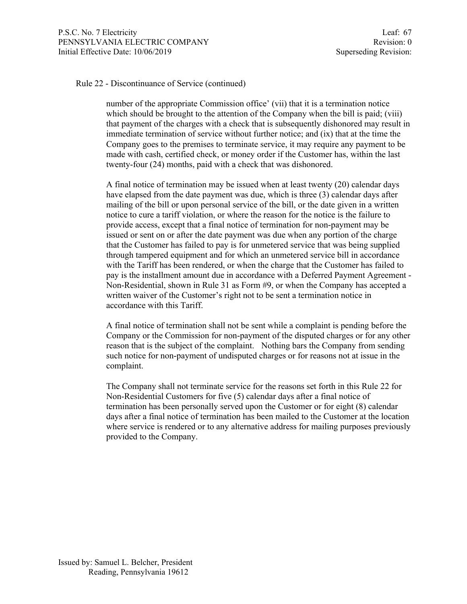number of the appropriate Commission office' (vii) that it is a termination notice which should be brought to the attention of the Company when the bill is paid; (viii) that payment of the charges with a check that is subsequently dishonored may result in immediate termination of service without further notice; and (ix) that at the time the Company goes to the premises to terminate service, it may require any payment to be made with cash, certified check, or money order if the Customer has, within the last twenty-four (24) months, paid with a check that was dishonored.

 A final notice of termination may be issued when at least twenty (20) calendar days have elapsed from the date payment was due, which is three (3) calendar days after mailing of the bill or upon personal service of the bill, or the date given in a written notice to cure a tariff violation, or where the reason for the notice is the failure to provide access, except that a final notice of termination for non-payment may be issued or sent on or after the date payment was due when any portion of the charge that the Customer has failed to pay is for unmetered service that was being supplied through tampered equipment and for which an unmetered service bill in accordance with the Tariff has been rendered, or when the charge that the Customer has failed to pay is the installment amount due in accordance with a Deferred Payment Agreement - Non-Residential, shown in Rule 31 as Form #9, or when the Company has accepted a written waiver of the Customer's right not to be sent a termination notice in accordance with this Tariff.

 A final notice of termination shall not be sent while a complaint is pending before the Company or the Commission for non-payment of the disputed charges or for any other reason that is the subject of the complaint. Nothing bars the Company from sending such notice for non-payment of undisputed charges or for reasons not at issue in the complaint.

 The Company shall not terminate service for the reasons set forth in this Rule 22 for Non-Residential Customers for five (5) calendar days after a final notice of termination has been personally served upon the Customer or for eight (8) calendar days after a final notice of termination has been mailed to the Customer at the location where service is rendered or to any alternative address for mailing purposes previously provided to the Company.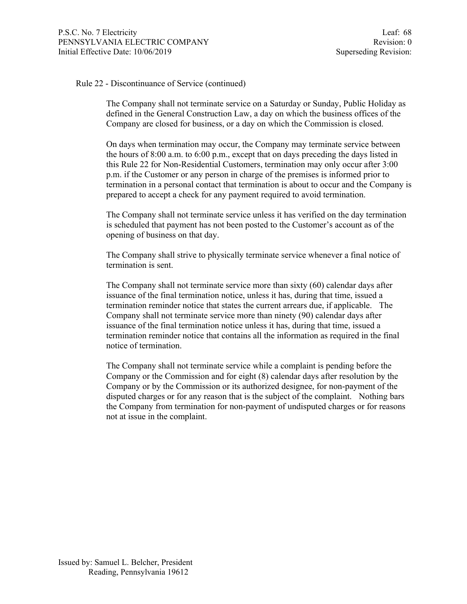The Company shall not terminate service on a Saturday or Sunday, Public Holiday as defined in the General Construction Law, a day on which the business offices of the Company are closed for business, or a day on which the Commission is closed.

 On days when termination may occur, the Company may terminate service between the hours of 8:00 a.m. to 6:00 p.m., except that on days preceding the days listed in this Rule 22 for Non-Residential Customers, termination may only occur after 3:00 p.m. if the Customer or any person in charge of the premises is informed prior to termination in a personal contact that termination is about to occur and the Company is prepared to accept a check for any payment required to avoid termination.

 The Company shall not terminate service unless it has verified on the day termination is scheduled that payment has not been posted to the Customer's account as of the opening of business on that day.

 The Company shall strive to physically terminate service whenever a final notice of termination is sent.

 The Company shall not terminate service more than sixty (60) calendar days after issuance of the final termination notice, unless it has, during that time, issued a termination reminder notice that states the current arrears due, if applicable. The Company shall not terminate service more than ninety (90) calendar days after issuance of the final termination notice unless it has, during that time, issued a termination reminder notice that contains all the information as required in the final notice of termination.

 The Company shall not terminate service while a complaint is pending before the Company or the Commission and for eight (8) calendar days after resolution by the Company or by the Commission or its authorized designee, for non-payment of the disputed charges or for any reason that is the subject of the complaint. Nothing bars the Company from termination for non-payment of undisputed charges or for reasons not at issue in the complaint.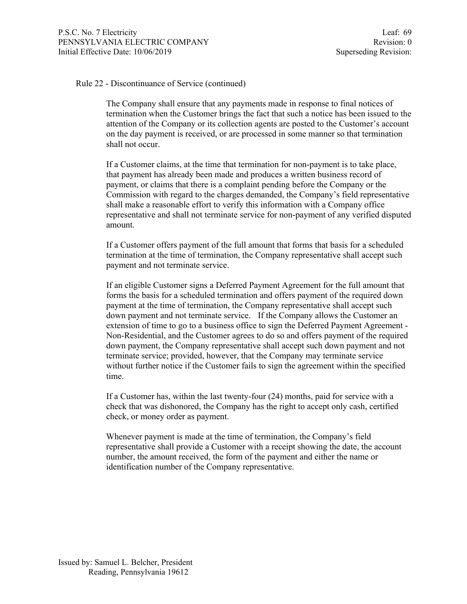The Company shall ensure that any payments made in response to final notices of termination when the Customer brings the fact that such a notice has been issued to the attention of the Company or its collection agents are posted to the Customer's account on the day payment is received, or are processed in some manner so that termination shall not occur.

 If a Customer claims, at the time that termination for non-payment is to take place, that payment has already been made and produces a written business record of payment, or claims that there is a complaint pending before the Company or the Commission with regard to the charges demanded, the Company's field representative shall make a reasonable effort to verify this information with a Company office representative and shall not terminate service for non-payment of any verified disputed amount.

 If a Customer offers payment of the full amount that forms that basis for a scheduled termination at the time of termination, the Company representative shall accept such payment and not terminate service.

 If an eligible Customer signs a Deferred Payment Agreement for the full amount that forms the basis for a scheduled termination and offers payment of the required down payment at the time of termination, the Company representative shall accept such down payment and not terminate service. If the Company allows the Customer an extension of time to go to a business office to sign the Deferred Payment Agreement - Non-Residential, and the Customer agrees to do so and offers payment of the required down payment, the Company representative shall accept such down payment and not terminate service; provided, however, that the Company may terminate service without further notice if the Customer fails to sign the agreement within the specified time.

If a Customer has, within the last twenty-four (24) months, paid for service with a check that was dishonored, the Company has the right to accept only cash, certified check, or money order as payment.

 Whenever payment is made at the time of termination, the Company's field representative shall provide a Customer with a receipt showing the date, the account number, the amount received, the form of the payment and either the name or identification number of the Company representative.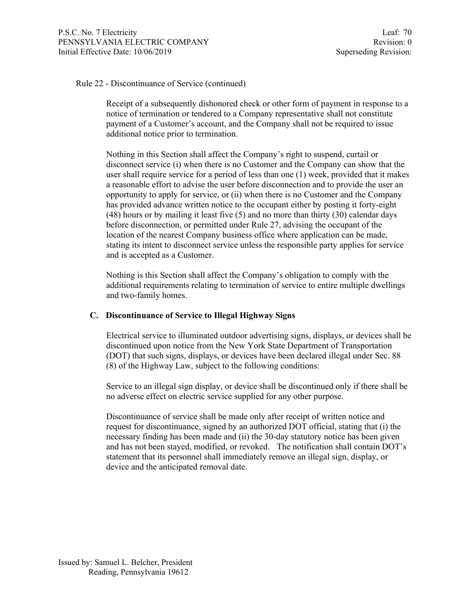Receipt of a subsequently dishonored check or other form of payment in response to a notice of termination or tendered to a Company representative shall not constitute payment of a Customer's account, and the Company shall not be required to issue additional notice prior to termination.

 Nothing in this Section shall affect the Company's right to suspend, curtail or disconnect service (i) when there is no Customer and the Company can show that the user shall require service for a period of less than one (1) week, provided that it makes a reasonable effort to advise the user before disconnection and to provide the user an opportunity to apply for service, or (ii) when there is no Customer and the Company has provided advance written notice to the occupant either by posting it forty-eight (48) hours or by mailing it least five (5) and no more than thirty (30) calendar days before disconnection, or permitted under Rule 27, advising the occupant of the location of the nearest Company business office where application can be made, stating its intent to disconnect service unless the responsible party applies for service and is accepted as a Customer.

 Nothing is this Section shall affect the Company's obligation to comply with the additional requirements relating to termination of service to entire multiple dwellings and two-family homes.

# **C. Discontinuance of Service to Illegal Highway Signs**

Electrical service to illuminated outdoor advertising signs, displays, or devices shall be discontinued upon notice from the New York State Department of Transportation (DOT) that such signs, displays, or devices have been declared illegal under Sec. 88 (8) of the Highway Law, subject to the following conditions:

 Service to an illegal sign display, or device shall be discontinued only if there shall be no adverse effect on electric service supplied for any other purpose.

Discontinuance of service shall be made only after receipt of written notice and request for discontinuance, signed by an authorized DOT official, stating that (i) the necessary finding has been made and (ii) the 30-day statutory notice has been given and has not been stayed, modified, or revoked. The notification shall contain DOT's statement that its personnel shall immediately remove an illegal sign, display, or device and the anticipated removal date.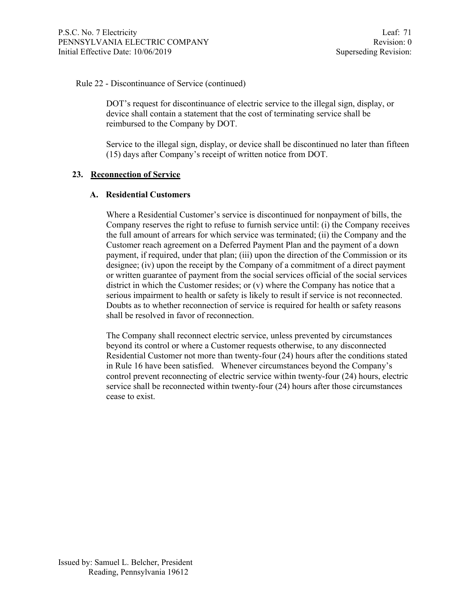DOT's request for discontinuance of electric service to the illegal sign, display, or device shall contain a statement that the cost of terminating service shall be reimbursed to the Company by DOT.

 Service to the illegal sign, display, or device shall be discontinued no later than fifteen (15) days after Company's receipt of written notice from DOT.

## **23. Reconnection of Service**

# **A. Residential Customers**

 Where a Residential Customer's service is discontinued for nonpayment of bills, the Company reserves the right to refuse to furnish service until: (i) the Company receives the full amount of arrears for which service was terminated; (ii) the Company and the Customer reach agreement on a Deferred Payment Plan and the payment of a down payment, if required, under that plan; (iii) upon the direction of the Commission or its designee; (iv) upon the receipt by the Company of a commitment of a direct payment or written guarantee of payment from the social services official of the social services district in which the Customer resides; or (v) where the Company has notice that a serious impairment to health or safety is likely to result if service is not reconnected. Doubts as to whether reconnection of service is required for health or safety reasons shall be resolved in favor of reconnection.

The Company shall reconnect electric service, unless prevented by circumstances beyond its control or where a Customer requests otherwise, to any disconnected Residential Customer not more than twenty-four (24) hours after the conditions stated in Rule 16 have been satisfied. Whenever circumstances beyond the Company's control prevent reconnecting of electric service within twenty-four (24) hours, electric service shall be reconnected within twenty-four (24) hours after those circumstances cease to exist.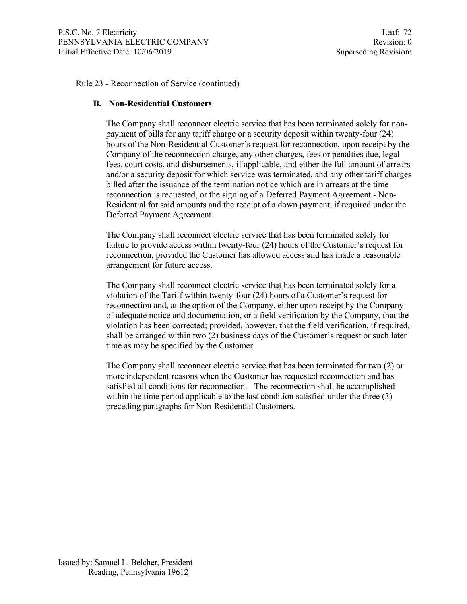Rule 23 - Reconnection of Service (continued)

## **B. Non-Residential Customers**

 The Company shall reconnect electric service that has been terminated solely for nonpayment of bills for any tariff charge or a security deposit within twenty-four (24) hours of the Non-Residential Customer's request for reconnection, upon receipt by the Company of the reconnection charge, any other charges, fees or penalties due, legal fees, court costs, and disbursements, if applicable, and either the full amount of arrears and/or a security deposit for which service was terminated, and any other tariff charges billed after the issuance of the termination notice which are in arrears at the time reconnection is requested, or the signing of a Deferred Payment Agreement - Non-Residential for said amounts and the receipt of a down payment, if required under the Deferred Payment Agreement.

 The Company shall reconnect electric service that has been terminated solely for failure to provide access within twenty-four (24) hours of the Customer's request for reconnection, provided the Customer has allowed access and has made a reasonable arrangement for future access.

 The Company shall reconnect electric service that has been terminated solely for a violation of the Tariff within twenty-four (24) hours of a Customer's request for reconnection and, at the option of the Company, either upon receipt by the Company of adequate notice and documentation, or a field verification by the Company, that the violation has been corrected; provided, however, that the field verification, if required, shall be arranged within two (2) business days of the Customer's request or such later time as may be specified by the Customer.

 The Company shall reconnect electric service that has been terminated for two (2) or more independent reasons when the Customer has requested reconnection and has satisfied all conditions for reconnection. The reconnection shall be accomplished within the time period applicable to the last condition satisfied under the three (3) preceding paragraphs for Non-Residential Customers.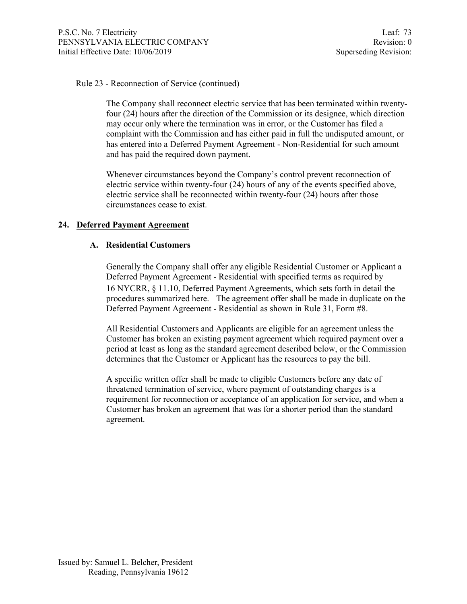### Rule 23 - Reconnection of Service (continued)

 The Company shall reconnect electric service that has been terminated within twentyfour (24) hours after the direction of the Commission or its designee, which direction may occur only where the termination was in error, or the Customer has filed a complaint with the Commission and has either paid in full the undisputed amount, or has entered into a Deferred Payment Agreement - Non-Residential for such amount and has paid the required down payment.

 Whenever circumstances beyond the Company's control prevent reconnection of electric service within twenty-four (24) hours of any of the events specified above, electric service shall be reconnected within twenty-four (24) hours after those circumstances cease to exist.

#### **24. Deferred Payment Agreement**

#### **A. Residential Customers**

 Generally the Company shall offer any eligible Residential Customer or Applicant a Deferred Payment Agreement - Residential with specified terms as required by 16 NYCRR, § 11.10, Deferred Payment Agreements, which sets forth in detail the procedures summarized here. The agreement offer shall be made in duplicate on the Deferred Payment Agreement - Residential as shown in Rule 31, Form #8.

 All Residential Customers and Applicants are eligible for an agreement unless the Customer has broken an existing payment agreement which required payment over a period at least as long as the standard agreement described below, or the Commission determines that the Customer or Applicant has the resources to pay the bill.

 A specific written offer shall be made to eligible Customers before any date of threatened termination of service, where payment of outstanding charges is a requirement for reconnection or acceptance of an application for service, and when a Customer has broken an agreement that was for a shorter period than the standard agreement.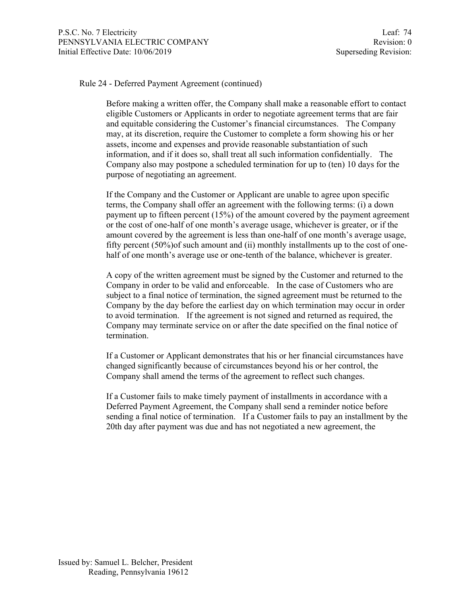Before making a written offer, the Company shall make a reasonable effort to contact eligible Customers or Applicants in order to negotiate agreement terms that are fair and equitable considering the Customer's financial circumstances. The Company may, at its discretion, require the Customer to complete a form showing his or her assets, income and expenses and provide reasonable substantiation of such information, and if it does so, shall treat all such information confidentially. The Company also may postpone a scheduled termination for up to (ten) 10 days for the purpose of negotiating an agreement.

 If the Company and the Customer or Applicant are unable to agree upon specific terms, the Company shall offer an agreement with the following terms: (i) a down payment up to fifteen percent (15%) of the amount covered by the payment agreement or the cost of one-half of one month's average usage, whichever is greater, or if the amount covered by the agreement is less than one-half of one month's average usage, fifty percent (50%)of such amount and (ii) monthly installments up to the cost of onehalf of one month's average use or one-tenth of the balance, whichever is greater.

 A copy of the written agreement must be signed by the Customer and returned to the Company in order to be valid and enforceable. In the case of Customers who are subject to a final notice of termination, the signed agreement must be returned to the Company by the day before the earliest day on which termination may occur in order to avoid termination. If the agreement is not signed and returned as required, the Company may terminate service on or after the date specified on the final notice of termination.

If a Customer or Applicant demonstrates that his or her financial circumstances have changed significantly because of circumstances beyond his or her control, the Company shall amend the terms of the agreement to reflect such changes.

 If a Customer fails to make timely payment of installments in accordance with a Deferred Payment Agreement, the Company shall send a reminder notice before sending a final notice of termination. If a Customer fails to pay an installment by the 20th day after payment was due and has not negotiated a new agreement, the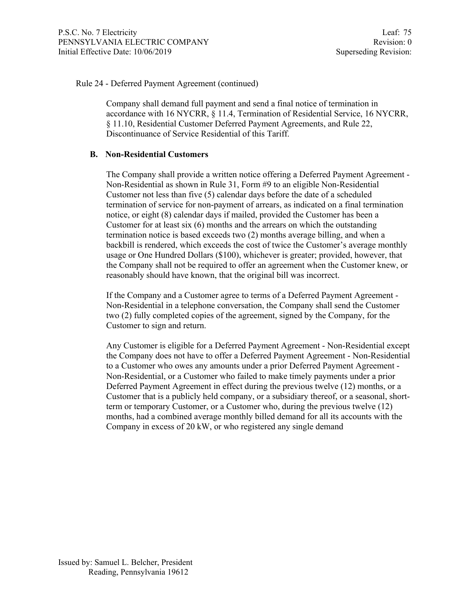Company shall demand full payment and send a final notice of termination in accordance with 16 NYCRR, § 11.4, Termination of Residential Service, 16 NYCRR, § 11.10, Residential Customer Deferred Payment Agreements, and Rule 22, Discontinuance of Service Residential of this Tariff.

### **B. Non-Residential Customers**

 The Company shall provide a written notice offering a Deferred Payment Agreement - Non-Residential as shown in Rule 31, Form #9 to an eligible Non-Residential Customer not less than five (5) calendar days before the date of a scheduled termination of service for non-payment of arrears, as indicated on a final termination notice, or eight (8) calendar days if mailed, provided the Customer has been a Customer for at least six (6) months and the arrears on which the outstanding termination notice is based exceeds two (2) months average billing, and when a backbill is rendered, which exceeds the cost of twice the Customer's average monthly usage or One Hundred Dollars (\$100), whichever is greater; provided, however, that the Company shall not be required to offer an agreement when the Customer knew, or reasonably should have known, that the original bill was incorrect.

 If the Company and a Customer agree to terms of a Deferred Payment Agreement - Non-Residential in a telephone conversation, the Company shall send the Customer two (2) fully completed copies of the agreement, signed by the Company, for the Customer to sign and return.

 Any Customer is eligible for a Deferred Payment Agreement - Non-Residential except the Company does not have to offer a Deferred Payment Agreement - Non-Residential to a Customer who owes any amounts under a prior Deferred Payment Agreement - Non-Residential, or a Customer who failed to make timely payments under a prior Deferred Payment Agreement in effect during the previous twelve (12) months, or a Customer that is a publicly held company, or a subsidiary thereof, or a seasonal, shortterm or temporary Customer, or a Customer who, during the previous twelve (12) months, had a combined average monthly billed demand for all its accounts with the Company in excess of 20 kW, or who registered any single demand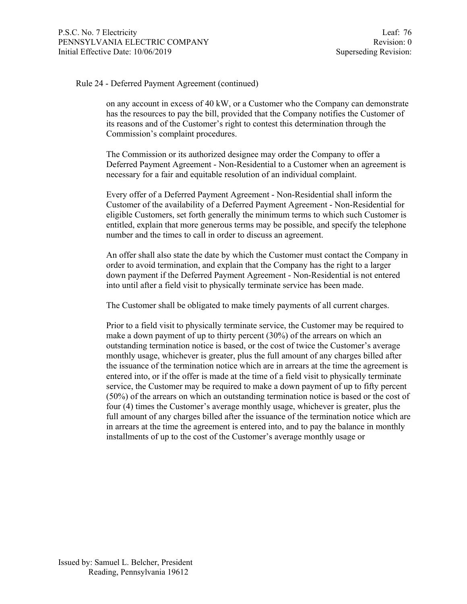on any account in excess of 40 kW, or a Customer who the Company can demonstrate has the resources to pay the bill, provided that the Company notifies the Customer of its reasons and of the Customer's right to contest this determination through the Commission's complaint procedures.

 The Commission or its authorized designee may order the Company to offer a Deferred Payment Agreement - Non-Residential to a Customer when an agreement is necessary for a fair and equitable resolution of an individual complaint.

 Every offer of a Deferred Payment Agreement - Non-Residential shall inform the Customer of the availability of a Deferred Payment Agreement - Non-Residential for eligible Customers, set forth generally the minimum terms to which such Customer is entitled, explain that more generous terms may be possible, and specify the telephone number and the times to call in order to discuss an agreement.

 An offer shall also state the date by which the Customer must contact the Company in order to avoid termination, and explain that the Company has the right to a larger down payment if the Deferred Payment Agreement - Non-Residential is not entered into until after a field visit to physically terminate service has been made.

The Customer shall be obligated to make timely payments of all current charges.

 Prior to a field visit to physically terminate service, the Customer may be required to make a down payment of up to thirty percent (30%) of the arrears on which an outstanding termination notice is based, or the cost of twice the Customer's average monthly usage, whichever is greater, plus the full amount of any charges billed after the issuance of the termination notice which are in arrears at the time the agreement is entered into, or if the offer is made at the time of a field visit to physically terminate service, the Customer may be required to make a down payment of up to fifty percent (50%) of the arrears on which an outstanding termination notice is based or the cost of four (4) times the Customer's average monthly usage, whichever is greater, plus the full amount of any charges billed after the issuance of the termination notice which are in arrears at the time the agreement is entered into, and to pay the balance in monthly installments of up to the cost of the Customer's average monthly usage or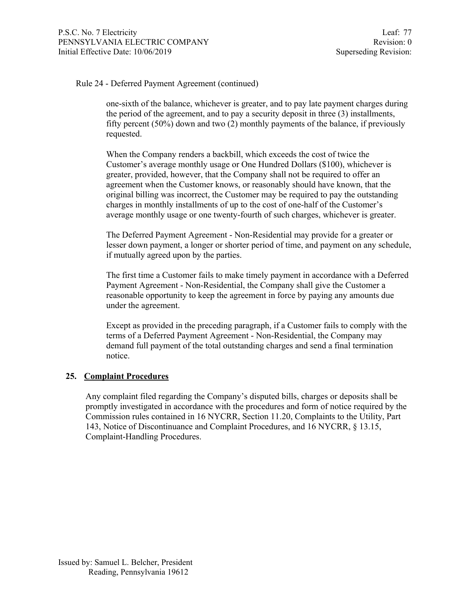one-sixth of the balance, whichever is greater, and to pay late payment charges during the period of the agreement, and to pay a security deposit in three (3) installments, fifty percent (50%) down and two (2) monthly payments of the balance, if previously requested.

 When the Company renders a backbill, which exceeds the cost of twice the Customer's average monthly usage or One Hundred Dollars (\$100), whichever is greater, provided, however, that the Company shall not be required to offer an agreement when the Customer knows, or reasonably should have known, that the original billing was incorrect, the Customer may be required to pay the outstanding charges in monthly installments of up to the cost of one-half of the Customer's average monthly usage or one twenty-fourth of such charges, whichever is greater.

 The Deferred Payment Agreement - Non-Residential may provide for a greater or lesser down payment, a longer or shorter period of time, and payment on any schedule, if mutually agreed upon by the parties.

 The first time a Customer fails to make timely payment in accordance with a Deferred Payment Agreement - Non-Residential, the Company shall give the Customer a reasonable opportunity to keep the agreement in force by paying any amounts due under the agreement.

 Except as provided in the preceding paragraph, if a Customer fails to comply with the terms of a Deferred Payment Agreement - Non-Residential, the Company may demand full payment of the total outstanding charges and send a final termination notice.

# **25. Complaint Procedures**

Any complaint filed regarding the Company's disputed bills, charges or deposits shall be promptly investigated in accordance with the procedures and form of notice required by the Commission rules contained in 16 NYCRR, Section 11.20, Complaints to the Utility, Part 143, Notice of Discontinuance and Complaint Procedures, and 16 NYCRR, § 13.15, Complaint-Handling Procedures.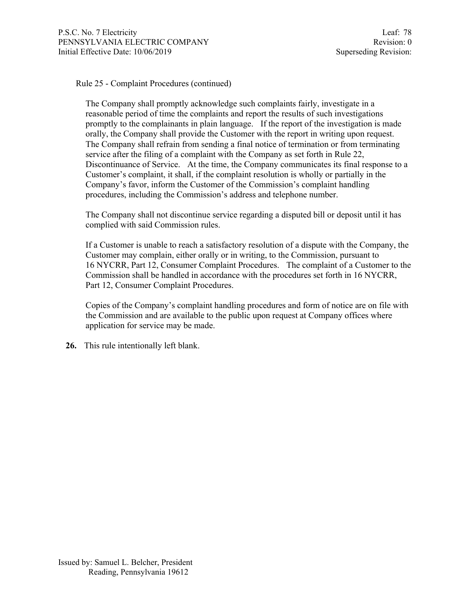Rule 25 - Complaint Procedures (continued)

The Company shall promptly acknowledge such complaints fairly, investigate in a reasonable period of time the complaints and report the results of such investigations promptly to the complainants in plain language. If the report of the investigation is made orally, the Company shall provide the Customer with the report in writing upon request. The Company shall refrain from sending a final notice of termination or from terminating service after the filing of a complaint with the Company as set forth in Rule 22, Discontinuance of Service. At the time, the Company communicates its final response to a Customer's complaint, it shall, if the complaint resolution is wholly or partially in the Company's favor, inform the Customer of the Commission's complaint handling procedures, including the Commission's address and telephone number.

The Company shall not discontinue service regarding a disputed bill or deposit until it has complied with said Commission rules.

If a Customer is unable to reach a satisfactory resolution of a dispute with the Company, the Customer may complain, either orally or in writing, to the Commission, pursuant to 16 NYCRR, Part 12, Consumer Complaint Procedures. The complaint of a Customer to the Commission shall be handled in accordance with the procedures set forth in 16 NYCRR, Part 12, Consumer Complaint Procedures.

Copies of the Company's complaint handling procedures and form of notice are on file with the Commission and are available to the public upon request at Company offices where application for service may be made.

 **26.** This rule intentionally left blank.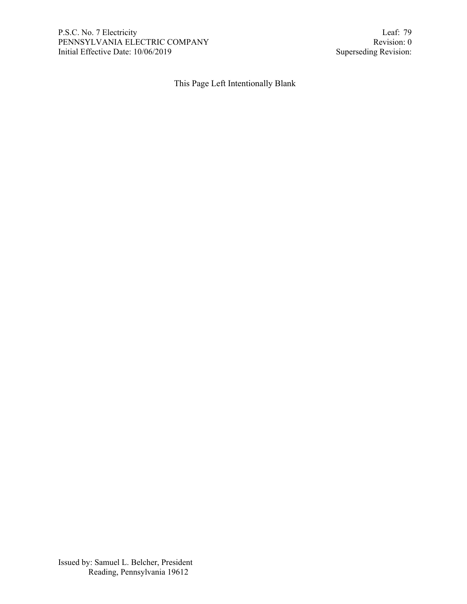This Page Left Intentionally Blank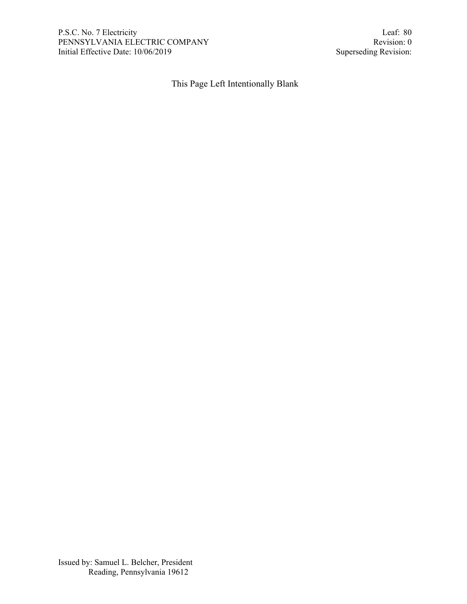This Page Left Intentionally Blank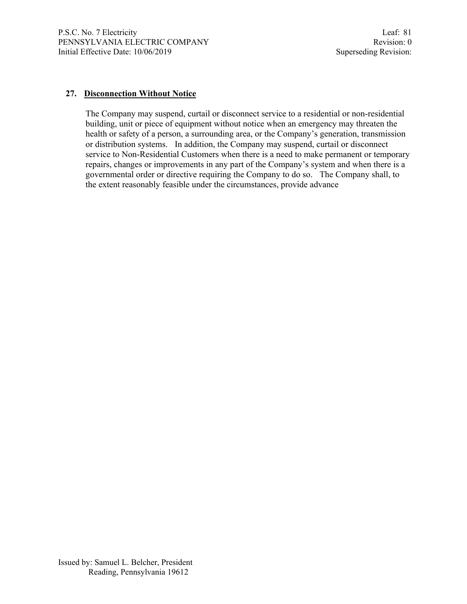### **27. Disconnection Without Notice**

The Company may suspend, curtail or disconnect service to a residential or non-residential building, unit or piece of equipment without notice when an emergency may threaten the health or safety of a person, a surrounding area, or the Company's generation, transmission or distribution systems. In addition, the Company may suspend, curtail or disconnect service to Non-Residential Customers when there is a need to make permanent or temporary repairs, changes or improvements in any part of the Company's system and when there is a governmental order or directive requiring the Company to do so. The Company shall, to the extent reasonably feasible under the circumstances, provide advance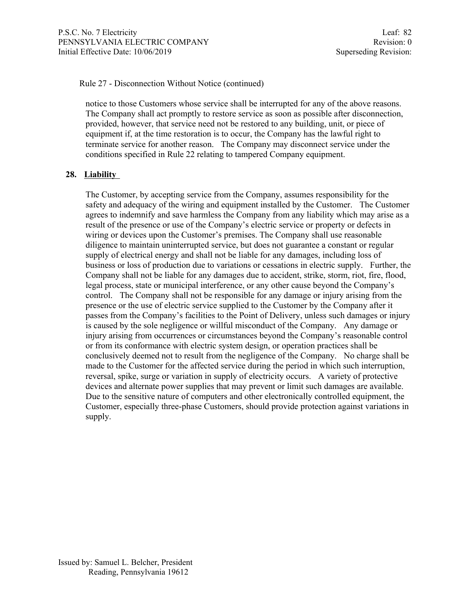#### Rule 27 - Disconnection Without Notice (continued)

notice to those Customers whose service shall be interrupted for any of the above reasons. The Company shall act promptly to restore service as soon as possible after disconnection, provided, however, that service need not be restored to any building, unit, or piece of equipment if, at the time restoration is to occur, the Company has the lawful right to terminate service for another reason. The Company may disconnect service under the conditions specified in Rule 22 relating to tampered Company equipment.

### **28. Liability**

The Customer, by accepting service from the Company, assumes responsibility for the safety and adequacy of the wiring and equipment installed by the Customer. The Customer agrees to indemnify and save harmless the Company from any liability which may arise as a result of the presence or use of the Company's electric service or property or defects in wiring or devices upon the Customer's premises. The Company shall use reasonable diligence to maintain uninterrupted service, but does not guarantee a constant or regular supply of electrical energy and shall not be liable for any damages, including loss of business or loss of production due to variations or cessations in electric supply. Further, the Company shall not be liable for any damages due to accident, strike, storm, riot, fire, flood, legal process, state or municipal interference, or any other cause beyond the Company's control. The Company shall not be responsible for any damage or injury arising from the presence or the use of electric service supplied to the Customer by the Company after it passes from the Company's facilities to the Point of Delivery, unless such damages or injury is caused by the sole negligence or willful misconduct of the Company. Any damage or injury arising from occurrences or circumstances beyond the Company's reasonable control or from its conformance with electric system design, or operation practices shall be conclusively deemed not to result from the negligence of the Company. No charge shall be made to the Customer for the affected service during the period in which such interruption, reversal, spike, surge or variation in supply of electricity occurs. A variety of protective devices and alternate power supplies that may prevent or limit such damages are available. Due to the sensitive nature of computers and other electronically controlled equipment, the Customer, especially three-phase Customers, should provide protection against variations in supply.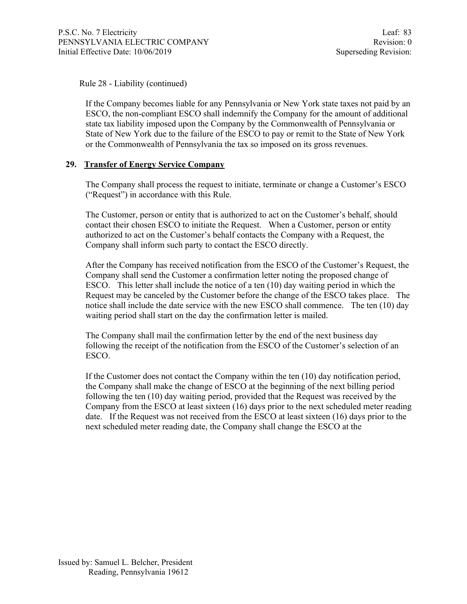Rule 28 - Liability (continued)

If the Company becomes liable for any Pennsylvania or New York state taxes not paid by an ESCO, the non-compliant ESCO shall indemnify the Company for the amount of additional state tax liability imposed upon the Company by the Commonwealth of Pennsylvania or State of New York due to the failure of the ESCO to pay or remit to the State of New York or the Commonwealth of Pennsylvania the tax so imposed on its gross revenues.

### **29. Transfer of Energy Service Company**

The Company shall process the request to initiate, terminate or change a Customer's ESCO ("Request") in accordance with this Rule.

The Customer, person or entity that is authorized to act on the Customer's behalf, should contact their chosen ESCO to initiate the Request. When a Customer, person or entity authorized to act on the Customer's behalf contacts the Company with a Request, the Company shall inform such party to contact the ESCO directly.

After the Company has received notification from the ESCO of the Customer's Request, the Company shall send the Customer a confirmation letter noting the proposed change of ESCO. This letter shall include the notice of a ten (10) day waiting period in which the Request may be canceled by the Customer before the change of the ESCO takes place. The notice shall include the date service with the new ESCO shall commence. The ten (10) day waiting period shall start on the day the confirmation letter is mailed.

The Company shall mail the confirmation letter by the end of the next business day following the receipt of the notification from the ESCO of the Customer's selection of an ESCO.

If the Customer does not contact the Company within the ten (10) day notification period, the Company shall make the change of ESCO at the beginning of the next billing period following the ten (10) day waiting period, provided that the Request was received by the Company from the ESCO at least sixteen (16) days prior to the next scheduled meter reading date. If the Request was not received from the ESCO at least sixteen (16) days prior to the next scheduled meter reading date, the Company shall change the ESCO at the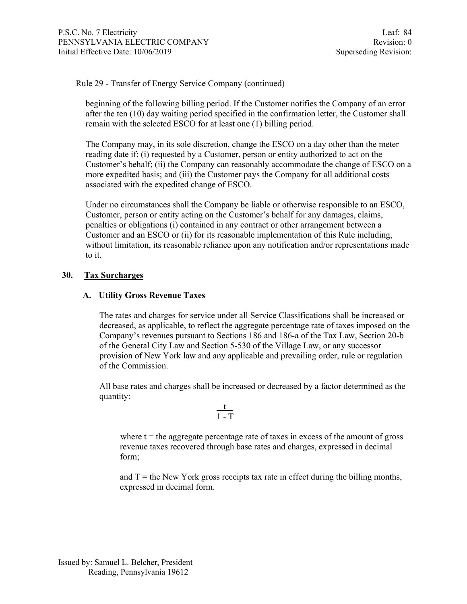Rule 29 - Transfer of Energy Service Company (continued)

beginning of the following billing period. If the Customer notifies the Company of an error after the ten (10) day waiting period specified in the confirmation letter, the Customer shall remain with the selected ESCO for at least one (1) billing period.

The Company may, in its sole discretion, change the ESCO on a day other than the meter reading date if: (i) requested by a Customer, person or entity authorized to act on the Customer's behalf; (ii) the Company can reasonably accommodate the change of ESCO on a more expedited basis; and (iii) the Customer pays the Company for all additional costs associated with the expedited change of ESCO.

Under no circumstances shall the Company be liable or otherwise responsible to an ESCO, Customer, person or entity acting on the Customer's behalf for any damages, claims, penalties or obligations (i) contained in any contract or other arrangement between a Customer and an ESCO or (ii) for its reasonable implementation of this Rule including, without limitation, its reasonable reliance upon any notification and/or representations made to it.

### **30. Tax Surcharges**

### **A. Utility Gross Revenue Taxes**

The rates and charges for service under all Service Classifications shall be increased or decreased, as applicable, to reflect the aggregate percentage rate of taxes imposed on the Company's revenues pursuant to Sections 186 and 186-a of the Tax Law, Section 20-b of the General City Law and Section 5-530 of the Village Law, or any successor provision of New York law and any applicable and prevailing order, rule or regulation of the Commission.

All base rates and charges shall be increased or decreased by a factor determined as the quantity:

$$
\frac{t}{1-T}
$$

where  $t =$  the aggregate percentage rate of taxes in excess of the amount of gross revenue taxes recovered through base rates and charges, expressed in decimal form;

and  $T =$  the New York gross receipts tax rate in effect during the billing months, expressed in decimal form.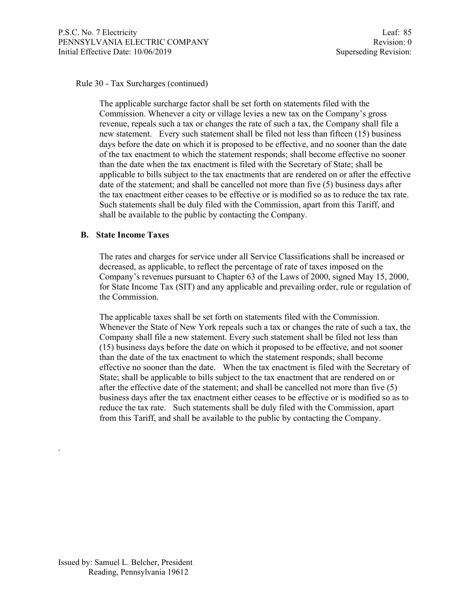### Rule 30 - Tax Surcharges (continued)

The applicable surcharge factor shall be set forth on statements filed with the Commission. Whenever a city or village levies a new tax on the Company's gross revenue, repeals such a tax or changes the rate of such a tax, the Company shall file a new statement. Every such statement shall be filed not less than fifteen (15) business days before the date on which it is proposed to be effective, and no sooner than the date of the tax enactment to which the statement responds; shall become effective no sooner than the date when the tax enactment is filed with the Secretary of State; shall be applicable to bills subject to the tax enactments that are rendered on or after the effective date of the statement; and shall be cancelled not more than five (5) business days after the tax enactment either ceases to be effective or is modified so as to reduce the tax rate. Such statements shall be duly filed with the Commission, apart from this Tariff, and shall be available to the public by contacting the Company.

### **B. State Income Taxes**

 The rates and charges for service under all Service Classifications shall be increased or decreased, as applicable, to reflect the percentage of rate of taxes imposed on the Company's revenues pursuant to Chapter 63 of the Laws of 2000, signed May 15, 2000, for State Income Tax (SIT) and any applicable and prevailing order, rule or regulation of the Commission.

The applicable taxes shall be set forth on statements filed with the Commission. Whenever the State of New York repeals such a tax or changes the rate of such a tax, the Company shall file a new statement. Every such statement shall be filed not less than (15) business days before the date on which it proposed to be effective, and not sooner than the date of the tax enactment to which the statement responds; shall become effective no sooner than the date. When the tax enactment is filed with the Secretary of State; shall be applicable to bills subject to the tax enactment that are rendered on or after the effective date of the statement; and shall be cancelled not more than five (5) business days after the tax enactment either ceases to be effective or is modified so as to reduce the tax rate. Such statements shall be duly filed with the Commission, apart from this Tariff, and shall be available to the public by contacting the Company.

.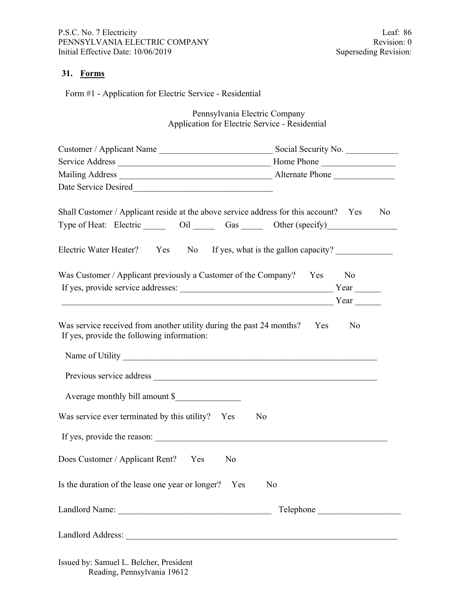### **31. Forms**

Form #1 - Application for Electric Service - Residential

Pennsylvania Electric Company Application for Electric Service - Residential

| Shall Customer / Applicant reside at the above service address for this account?  Yes<br>N <sub>0</sub><br>Type of Heat: Electric _______ Oil _______ Gas _______ Other (specify)___________<br>Electric Water Heater? Yes<br>No If yes, what is the gallon capacity?<br>Was Customer / Applicant previously a Customer of the Company?<br>Yes<br>N <sub>0</sub><br>$Year$ <sub>_________</sub><br><u> 2008 - Jan James James James James James James James James James James James James James James James James J</u><br>Was service received from another utility during the past 24 months? Yes<br>N <sub>o</sub><br>If yes, provide the following information:<br>Name of Utility<br>Average monthly bill amount \$<br>Was service ever terminated by this utility? Yes<br>No<br>If yes, provide the reason:<br>Does Customer / Applicant Rent? Yes<br>N <sub>o</sub><br>Is the duration of the lease one year or longer? Yes<br>No |  |  |  |
|------------------------------------------------------------------------------------------------------------------------------------------------------------------------------------------------------------------------------------------------------------------------------------------------------------------------------------------------------------------------------------------------------------------------------------------------------------------------------------------------------------------------------------------------------------------------------------------------------------------------------------------------------------------------------------------------------------------------------------------------------------------------------------------------------------------------------------------------------------------------------------------------------------------------------------------|--|--|--|
|                                                                                                                                                                                                                                                                                                                                                                                                                                                                                                                                                                                                                                                                                                                                                                                                                                                                                                                                          |  |  |  |
|                                                                                                                                                                                                                                                                                                                                                                                                                                                                                                                                                                                                                                                                                                                                                                                                                                                                                                                                          |  |  |  |
|                                                                                                                                                                                                                                                                                                                                                                                                                                                                                                                                                                                                                                                                                                                                                                                                                                                                                                                                          |  |  |  |
|                                                                                                                                                                                                                                                                                                                                                                                                                                                                                                                                                                                                                                                                                                                                                                                                                                                                                                                                          |  |  |  |
|                                                                                                                                                                                                                                                                                                                                                                                                                                                                                                                                                                                                                                                                                                                                                                                                                                                                                                                                          |  |  |  |
|                                                                                                                                                                                                                                                                                                                                                                                                                                                                                                                                                                                                                                                                                                                                                                                                                                                                                                                                          |  |  |  |
|                                                                                                                                                                                                                                                                                                                                                                                                                                                                                                                                                                                                                                                                                                                                                                                                                                                                                                                                          |  |  |  |
|                                                                                                                                                                                                                                                                                                                                                                                                                                                                                                                                                                                                                                                                                                                                                                                                                                                                                                                                          |  |  |  |
|                                                                                                                                                                                                                                                                                                                                                                                                                                                                                                                                                                                                                                                                                                                                                                                                                                                                                                                                          |  |  |  |
|                                                                                                                                                                                                                                                                                                                                                                                                                                                                                                                                                                                                                                                                                                                                                                                                                                                                                                                                          |  |  |  |
|                                                                                                                                                                                                                                                                                                                                                                                                                                                                                                                                                                                                                                                                                                                                                                                                                                                                                                                                          |  |  |  |
|                                                                                                                                                                                                                                                                                                                                                                                                                                                                                                                                                                                                                                                                                                                                                                                                                                                                                                                                          |  |  |  |
|                                                                                                                                                                                                                                                                                                                                                                                                                                                                                                                                                                                                                                                                                                                                                                                                                                                                                                                                          |  |  |  |
|                                                                                                                                                                                                                                                                                                                                                                                                                                                                                                                                                                                                                                                                                                                                                                                                                                                                                                                                          |  |  |  |
|                                                                                                                                                                                                                                                                                                                                                                                                                                                                                                                                                                                                                                                                                                                                                                                                                                                                                                                                          |  |  |  |
|                                                                                                                                                                                                                                                                                                                                                                                                                                                                                                                                                                                                                                                                                                                                                                                                                                                                                                                                          |  |  |  |

Issued by: Samuel L. Belcher, President Reading, Pennsylvania 19612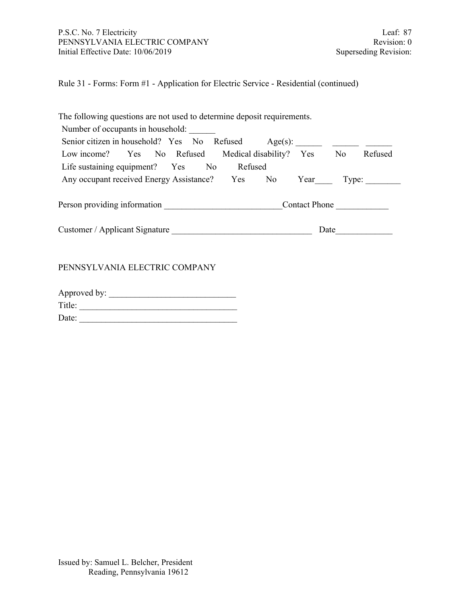Rule 31 - Forms: Form #1 - Application for Electric Service - Residential (continued)

| The following questions are not used to determine deposit requirements.                                                                                                                                                        |  |  |      |               |
|--------------------------------------------------------------------------------------------------------------------------------------------------------------------------------------------------------------------------------|--|--|------|---------------|
| Number of occupants in household:                                                                                                                                                                                              |  |  |      |               |
| Senior citizen in household? Yes No Refused Age(s): _____________________________                                                                                                                                              |  |  |      |               |
| Low income? Yes No Refused Medical disability? Yes No Refused                                                                                                                                                                  |  |  |      |               |
| Life sustaining equipment? Yes No Refused                                                                                                                                                                                      |  |  |      |               |
| Any occupant received Energy Assistance? Yes No Year Type:  Type:  Type:  Type:  Type:  Type:  Type:  Type:  Type:  Type:  Type:  Type:  Type:  Type:  Type:  Type:  Type:  Type:  Type:  Type:  Type:  Type:  Type:  Type:  T |  |  |      |               |
|                                                                                                                                                                                                                                |  |  |      | Contact Phone |
| Customer / Applicant Signature                                                                                                                                                                                                 |  |  | Date |               |
| PENNSYLVANIA ELECTRIC COMPANY                                                                                                                                                                                                  |  |  |      |               |
| Approved by:                                                                                                                                                                                                                   |  |  |      |               |

| $T$ itle $\cdot$ |  |  |  |
|------------------|--|--|--|
| Date:            |  |  |  |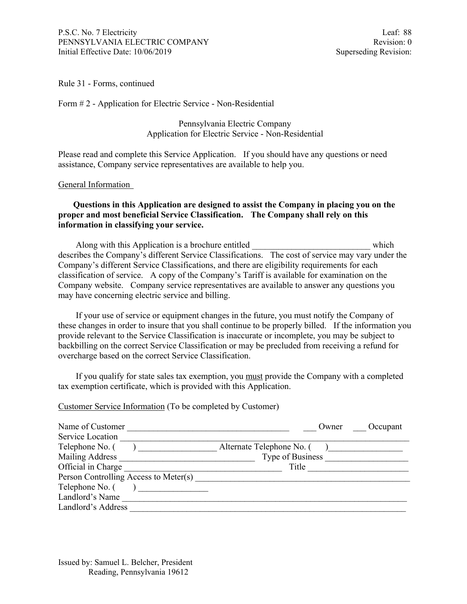Form # 2 - Application for Electric Service - Non-Residential

# Pennsylvania Electric Company Application for Electric Service - Non-Residential

Please read and complete this Service Application. If you should have any questions or need assistance, Company service representatives are available to help you.

### General Information

# **Questions in this Application are designed to assist the Company in placing you on the proper and most beneficial Service Classification. The Company shall rely on this information in classifying your service.**

Along with this Application is a brochure entitled which describes the Company's different Service Classifications. The cost of service may vary under the Company's different Service Classifications, and there are eligibility requirements for each classification of service. A copy of the Company's Tariff is available for examination on the Company website. Company service representatives are available to answer any questions you may have concerning electric service and billing.

 If your use of service or equipment changes in the future, you must notify the Company of these changes in order to insure that you shall continue to be properly billed. If the information you provide relevant to the Service Classification is inaccurate or incomplete, you may be subject to backbilling on the correct Service Classification or may be precluded from receiving a refund for overcharge based on the correct Service Classification.

 If you qualify for state sales tax exemption, you must provide the Company with a completed tax exemption certificate, which is provided with this Application.

# Customer Service Information (To be completed by Customer)

| Name of Customer                             | Owner | Occupant |
|----------------------------------------------|-------|----------|
| Service Location                             |       |          |
| Telephone No. (<br>Alternate Telephone No. ( |       |          |
| Mailing Address<br>Type of Business          |       |          |
| Official in Charge<br>Title                  |       |          |
| Person Controlling Access to Meter(s)        |       |          |
| Telephone No. (                              |       |          |
| Landlord's Name                              |       |          |
| Landlord's Address                           |       |          |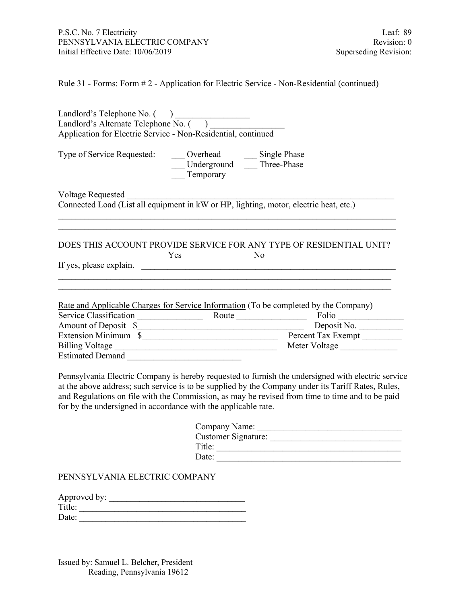Rule 31 - Forms: Form # 2 - Application for Electric Service - Non-Residential (continued)

| Landlord's Alternate Telephone No. ()<br>Application for Electric Service - Non-Residential, continued             |                                                  |                                                                                                                                                                                                                                                                                                             |
|--------------------------------------------------------------------------------------------------------------------|--------------------------------------------------|-------------------------------------------------------------------------------------------------------------------------------------------------------------------------------------------------------------------------------------------------------------------------------------------------------------|
| Type of Service Requested:                                                                                         | Overhead<br>Underground Three-Phase<br>Temporary | Single Phase                                                                                                                                                                                                                                                                                                |
| Voltage Requested<br>Voltage Requested Load (List all equipment in kW or HP, lighting, motor, electric heat, etc.) |                                                  |                                                                                                                                                                                                                                                                                                             |
| If yes, please explain.                                                                                            | Yes                                              | DOES THIS ACCOUNT PROVIDE SERVICE FOR ANY TYPE OF RESIDENTIAL UNIT?<br>N <sub>o</sub>                                                                                                                                                                                                                       |
|                                                                                                                    |                                                  | Rate and Applicable Charges for Service Information (To be completed by the Company)                                                                                                                                                                                                                        |
| Service Classification _______________                                                                             |                                                  | Route Folio                                                                                                                                                                                                                                                                                                 |
| Amount of Deposit \$                                                                                               |                                                  | Deposit No.                                                                                                                                                                                                                                                                                                 |
|                                                                                                                    |                                                  | Meter Voltage                                                                                                                                                                                                                                                                                               |
|                                                                                                                    |                                                  |                                                                                                                                                                                                                                                                                                             |
| for by the undersigned in accordance with the applicable rate.                                                     |                                                  | Pennsylvania Electric Company is hereby requested to furnish the undersigned with electric service<br>at the above address; such service is to be supplied by the Company under its Tariff Rates, Rules,<br>and Regulations on file with the Commission, as may be revised from time to time and to be paid |
|                                                                                                                    |                                                  |                                                                                                                                                                                                                                                                                                             |
|                                                                                                                    |                                                  |                                                                                                                                                                                                                                                                                                             |
|                                                                                                                    | Title:                                           | <u> 1989 - Johann Stoff, deutscher Stoffen und der Stoffen und der Stoffen und der Stoffen und der Stoffen und der</u>                                                                                                                                                                                      |
|                                                                                                                    |                                                  | Date:                                                                                                                                                                                                                                                                                                       |
| PENNSYLVANIA ELECTRIC COMPANY                                                                                      |                                                  |                                                                                                                                                                                                                                                                                                             |
|                                                                                                                    |                                                  |                                                                                                                                                                                                                                                                                                             |
|                                                                                                                    |                                                  |                                                                                                                                                                                                                                                                                                             |
| Date:                                                                                                              |                                                  |                                                                                                                                                                                                                                                                                                             |
|                                                                                                                    |                                                  |                                                                                                                                                                                                                                                                                                             |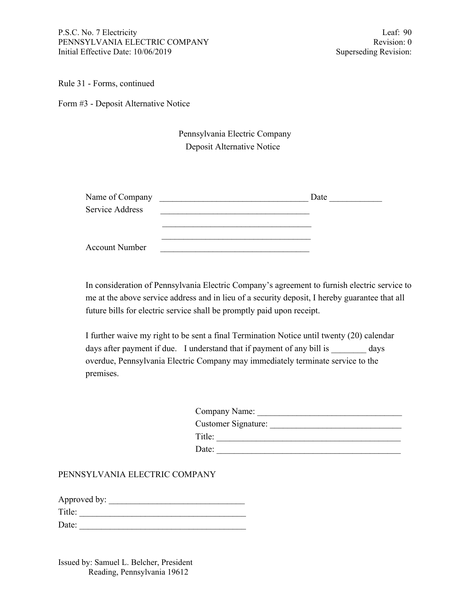Form #3 - Deposit Alternative Notice

Pennsylvania Electric Company Deposit Alternative Notice

| Name of Company       | Date |
|-----------------------|------|
| Service Address       |      |
|                       |      |
|                       |      |
| <b>Account Number</b> |      |

In consideration of Pennsylvania Electric Company's agreement to furnish electric service to me at the above service address and in lieu of a security deposit, I hereby guarantee that all future bills for electric service shall be promptly paid upon receipt.

I further waive my right to be sent a final Termination Notice until twenty (20) calendar days after payment if due. I understand that if payment of any bill is days overdue, Pennsylvania Electric Company may immediately terminate service to the premises.

| Company Name:       |  |
|---------------------|--|
| Customer Signature: |  |
| Title:              |  |
| Date:               |  |

# PENNSYLVANIA ELECTRIC COMPANY

| Approved by: |  |
|--------------|--|
| Title:       |  |
| Date:        |  |

Issued by: Samuel L. Belcher, President Reading, Pennsylvania 19612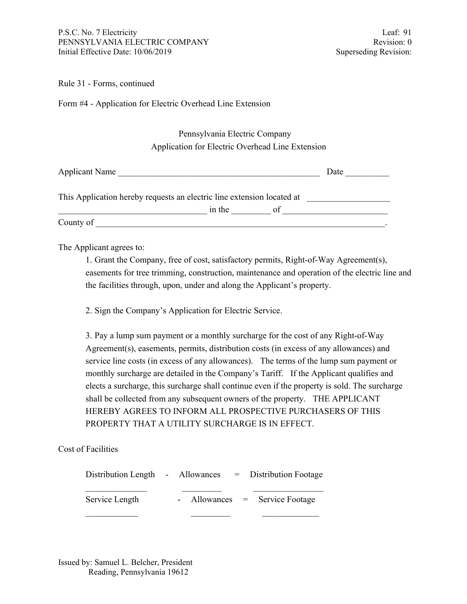Form #4 - Application for Electric Overhead Line Extension

# Pennsylvania Electric Company Application for Electric Overhead Line Extension

| <b>Applicant Name</b>                                                  |        | Date |
|------------------------------------------------------------------------|--------|------|
| This Application hereby requests an electric line extension located at |        |      |
|                                                                        | in the |      |
| County of                                                              |        |      |

The Applicant agrees to:

1. Grant the Company, free of cost, satisfactory permits, Right-of-Way Agreement(s), easements for tree trimming, construction, maintenance and operation of the electric line and the facilities through, upon, under and along the Applicant's property.

2. Sign the Company's Application for Electric Service.

3. Pay a lump sum payment or a monthly surcharge for the cost of any Right-of-Way Agreement(s), easements, permits, distribution costs (in excess of any allowances) and service line costs (in excess of any allowances). The terms of the lump sum payment or monthly surcharge are detailed in the Company's Tariff. If the Applicant qualifies and elects a surcharge, this surcharge shall continue even if the property is sold. The surcharge shall be collected from any subsequent owners of the property. THE APPLICANT HEREBY AGREES TO INFORM ALL PROSPECTIVE PURCHASERS OF THIS PROPERTY THAT A UTILITY SURCHARGE IS IN EFFECT.

Cost of Facilities

| Distribution Length - Allowances | $=$ Distribution Footage       |
|----------------------------------|--------------------------------|
| Service Length                   | - Allowances = Service Footage |

Issued by: Samuel L. Belcher, President Reading, Pennsylvania 19612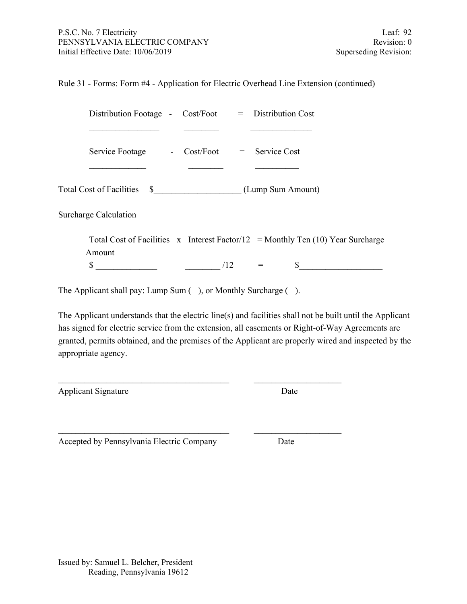Rule 31 - Forms: Form #4 - Application for Electric Overhead Line Extension (continued)

| Distribution Footage - $Cost/ Foot$ = Distribution Cost |                               |                   |
|---------------------------------------------------------|-------------------------------|-------------------|
|                                                         |                               |                   |
| Service Footage                                         | - $Cost/ Foot$ = Service Cost |                   |
|                                                         |                               |                   |
| Total Cost of Facilities \$                             |                               | (Lump Sum Amount) |

Surcharge Calculation

Total Cost of Facilities  $x$  Interest Factor/12 = Monthly Ten (10) Year Surcharge Amount  $\text{\$\$}$   $\text{\$\$}$   $\text{\$\$}$   $\text{\$\$}$   $\text{\$\$}$   $\text{\$\$}$   $\text{\$\$}$   $\text{\$\$}$ 

The Applicant shall pay: Lump Sum ( ), or Monthly Surcharge ( ).

 $\_$  , and the set of the set of the set of the set of the set of the set of the set of the set of the set of the set of the set of the set of the set of the set of the set of the set of the set of the set of the set of th

 $\_$  , and the contribution of the contribution of  $\mathcal{L}_\mathcal{A}$  , and the contribution of  $\mathcal{L}_\mathcal{A}$ 

The Applicant understands that the electric line(s) and facilities shall not be built until the Applicant has signed for electric service from the extension, all easements or Right-of-Way Agreements are granted, permits obtained, and the premises of the Applicant are properly wired and inspected by the appropriate agency.

Applicant Signature Date

Accepted by Pennsylvania Electric Company Date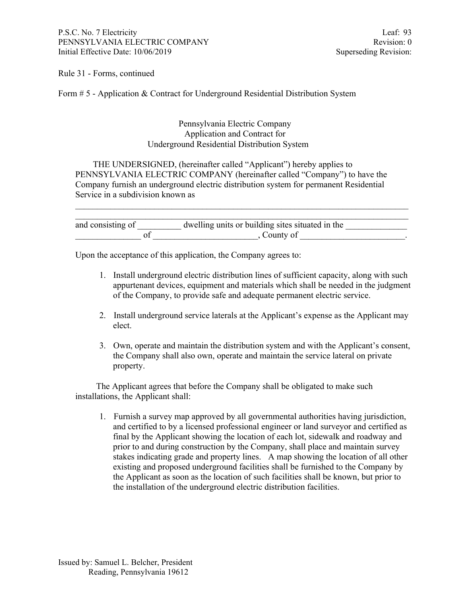Form # 5 - Application & Contract for Underground Residential Distribution System

### Pennsylvania Electric Company Application and Contract for Underground Residential Distribution System

 THE UNDERSIGNED, (hereinafter called "Applicant") hereby applies to PENNSYLVANIA ELECTRIC COMPANY (hereinafter called "Company") to have the Company furnish an underground electric distribution system for permanent Residential Service in a subdivision known as

 $\_$  , and the contribution of the contribution of the contribution of the contribution of  $\mathcal{L}_\text{max}$ and consisting of \_\_\_\_\_\_\_\_\_\_ dwelling units or building sites situated in the \_\_\_\_\_\_\_\_\_\_\_\_\_\_\_\_\_\_\_\_\_ \_\_\_\_\_\_\_\_\_\_\_\_\_\_\_ of \_\_\_\_\_\_\_\_\_\_\_\_\_\_\_\_\_\_\_\_\_\_\_\_, County of \_\_\_\_\_\_\_\_\_\_\_\_\_\_\_\_\_\_\_\_\_\_\_\_.

\_\_\_\_\_\_\_\_\_\_\_\_\_\_\_\_\_\_\_\_\_\_\_\_\_\_\_\_\_\_\_\_\_\_\_\_\_\_\_\_\_\_\_\_\_\_\_\_\_\_\_\_\_\_\_\_\_\_\_\_\_\_\_\_\_\_\_\_\_\_\_\_\_\_\_\_

Upon the acceptance of this application, the Company agrees to:

- 1. Install underground electric distribution lines of sufficient capacity, along with such appurtenant devices, equipment and materials which shall be needed in the judgment of the Company, to provide safe and adequate permanent electric service.
- 2. Install underground service laterals at the Applicant's expense as the Applicant may elect.
- 3. Own, operate and maintain the distribution system and with the Applicant's consent, the Company shall also own, operate and maintain the service lateral on private property.

 The Applicant agrees that before the Company shall be obligated to make such installations, the Applicant shall:

1. Furnish a survey map approved by all governmental authorities having jurisdiction, and certified to by a licensed professional engineer or land surveyor and certified as final by the Applicant showing the location of each lot, sidewalk and roadway and prior to and during construction by the Company, shall place and maintain survey stakes indicating grade and property lines. A map showing the location of all other existing and proposed underground facilities shall be furnished to the Company by the Applicant as soon as the location of such facilities shall be known, but prior to the installation of the underground electric distribution facilities.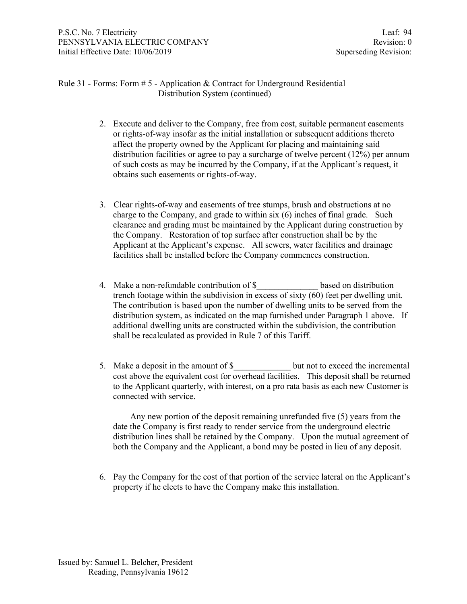# Rule 31 - Forms: Form # 5 - Application & Contract for Underground Residential Distribution System (continued)

- 2. Execute and deliver to the Company, free from cost, suitable permanent easements or rights-of-way insofar as the initial installation or subsequent additions thereto affect the property owned by the Applicant for placing and maintaining said distribution facilities or agree to pay a surcharge of twelve percent (12%) per annum of such costs as may be incurred by the Company, if at the Applicant's request, it obtains such easements or rights-of-way.
- 3. Clear rights-of-way and easements of tree stumps, brush and obstructions at no charge to the Company, and grade to within six (6) inches of final grade. Such clearance and grading must be maintained by the Applicant during construction by the Company. Restoration of top surface after construction shall be by the Applicant at the Applicant's expense. All sewers, water facilities and drainage facilities shall be installed before the Company commences construction.
- 4. Make a non-refundable contribution of \$ based on distribution trench footage within the subdivision in excess of sixty (60) feet per dwelling unit. The contribution is based upon the number of dwelling units to be served from the distribution system, as indicated on the map furnished under Paragraph 1 above. If additional dwelling units are constructed within the subdivision, the contribution shall be recalculated as provided in Rule 7 of this Tariff.
- 5. Make a deposit in the amount of  $\$\quad$  but not to exceed the incremental cost above the equivalent cost for overhead facilities. This deposit shall be returned to the Applicant quarterly, with interest, on a pro rata basis as each new Customer is connected with service.

Any new portion of the deposit remaining unrefunded five (5) years from the date the Company is first ready to render service from the underground electric distribution lines shall be retained by the Company. Upon the mutual agreement of both the Company and the Applicant, a bond may be posted in lieu of any deposit.

6. Pay the Company for the cost of that portion of the service lateral on the Applicant's property if he elects to have the Company make this installation.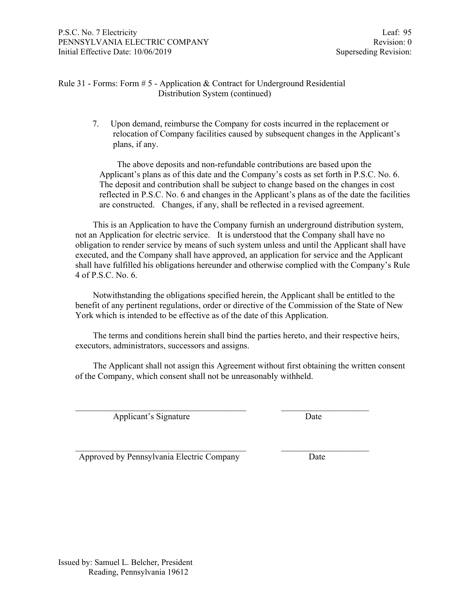# Rule 31 - Forms: Form # 5 - Application & Contract for Underground Residential Distribution System (continued)

7. Upon demand, reimburse the Company for costs incurred in the replacement or relocation of Company facilities caused by subsequent changes in the Applicant's plans, if any.

 The above deposits and non-refundable contributions are based upon the Applicant's plans as of this date and the Company's costs as set forth in P.S.C. No. 6. The deposit and contribution shall be subject to change based on the changes in cost reflected in P.S.C. No. 6 and changes in the Applicant's plans as of the date the facilities are constructed. Changes, if any, shall be reflected in a revised agreement.

 This is an Application to have the Company furnish an underground distribution system, not an Application for electric service. It is understood that the Company shall have no obligation to render service by means of such system unless and until the Applicant shall have executed, and the Company shall have approved, an application for service and the Applicant shall have fulfilled his obligations hereunder and otherwise complied with the Company's Rule 4 of P.S.C. No. 6.

 Notwithstanding the obligations specified herein, the Applicant shall be entitled to the benefit of any pertinent regulations, order or directive of the Commission of the State of New York which is intended to be effective as of the date of this Application.

 The terms and conditions herein shall bind the parties hereto, and their respective heirs, executors, administrators, successors and assigns.

 The Applicant shall not assign this Agreement without first obtaining the written consent of the Company, which consent shall not be unreasonably withheld.

 $\_$  , and the state of the state of the state of the state of the state of the state of the state of the state of the state of the state of the state of the state of the state of the state of the state of the state of the

Applicant's Signature Date

Approved by Pennsylvania Electric Company Date

 $\_$  , and the state of the state of the state of the state of the state of the state of the state of the state of the state of the state of the state of the state of the state of the state of the state of the state of the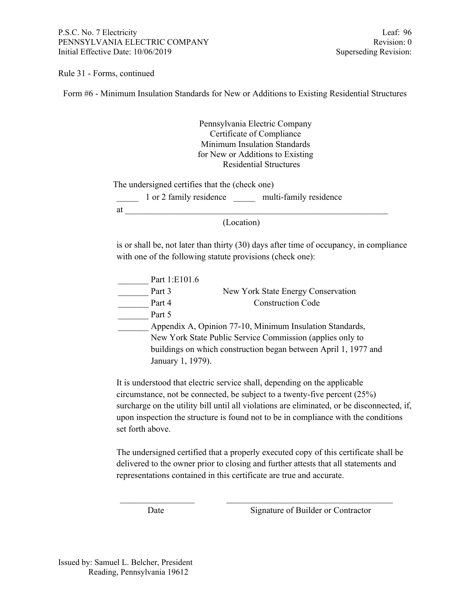Form #6 - Minimum Insulation Standards for New or Additions to Existing Residential Structures

Pennsylvania Electric Company Certificate of Compliance Minimum Insulation Standards for New or Additions to Existing Residential Structures

The undersigned certifies that the (check one)

\_\_\_\_\_ 1 or 2 family residence \_\_\_\_\_ multi-family residence

at \_\_\_\_\_\_\_\_\_\_\_\_\_\_\_\_\_\_\_\_\_\_\_\_\_\_\_\_\_\_\_\_\_\_\_\_\_\_\_\_\_\_\_\_\_\_\_\_\_\_\_\_\_\_\_\_\_\_\_\_

(Location)

is or shall be, not later than thirty (30) days after time of occupancy, in compliance with one of the following statute provisions (check one):

| Part 1:E101.6     |                                                                 |
|-------------------|-----------------------------------------------------------------|
| Part 3            | New York State Energy Conservation                              |
| Part 4            | <b>Construction Code</b>                                        |
| Part 5            |                                                                 |
|                   | Appendix A, Opinion 77-10, Minimum Insulation Standards,        |
|                   | New York State Public Service Commission (applies only to       |
|                   | buildings on which construction began between April 1, 1977 and |
| January 1, 1979). |                                                                 |
|                   |                                                                 |

It is understood that electric service shall, depending on the applicable circumstance, not be connected, be subject to a twenty-five percent (25%) surcharge on the utility bill until all violations are eliminated, or be disconnected, if, upon inspection the structure is found not to be in compliance with the conditions set forth above.

The undersigned certified that a properly executed copy of this certificate shall be delivered to the owner prior to closing and further attests that all statements and representations contained in this certificate are true and accurate.

 $\_$  , and the set of the set of the set of the set of the set of the set of the set of the set of the set of the set of the set of the set of the set of the set of the set of the set of the set of the set of the set of th

Date Signature of Builder or Contractor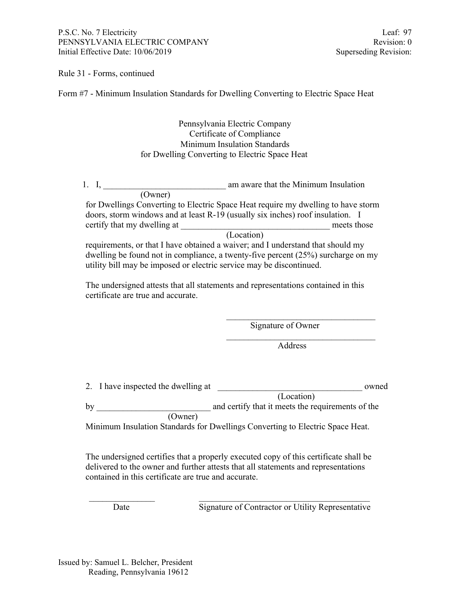Form #7 - Minimum Insulation Standards for Dwelling Converting to Electric Space Heat

Pennsylvania Electric Company Certificate of Compliance Minimum Insulation Standards for Dwelling Converting to Electric Space Heat

1. I, \_\_\_\_\_\_\_\_\_\_\_\_\_\_\_\_\_\_\_\_\_\_\_\_\_\_\_\_ am aware that the Minimum Insulation (Owner)

for Dwellings Converting to Electric Space Heat require my dwelling to have storm doors, storm windows and at least R-19 (usually six inches) roof insulation. I certify that my dwelling at the meets those meets those meets those meets those (Location)

requirements, or that I have obtained a waiver; and I understand that should my dwelling be found not in compliance, a twenty-five percent (25%) surcharge on my utility bill may be imposed or electric service may be discontinued.

The undersigned attests that all statements and representations contained in this certificate are true and accurate.

Signature of Owner

Address

\_\_\_\_\_\_\_\_\_\_\_\_\_\_\_\_\_\_\_\_\_\_\_\_\_\_\_\_\_\_\_\_\_\_

\_\_\_\_\_\_\_\_\_\_\_\_\_\_\_\_\_\_\_\_\_\_\_\_\_\_\_\_\_\_\_\_\_\_

2. I have inspected the dwelling at \_\_\_\_\_\_\_\_\_\_\_\_\_\_\_\_\_\_\_\_\_\_\_\_\_\_\_\_\_\_\_\_\_ owned (Location)

by and certify that it meets the requirements of the (Owner)

Minimum Insulation Standards for Dwellings Converting to Electric Space Heat.

The undersigned certifies that a properly executed copy of this certificate shall be delivered to the owner and further attests that all statements and representations contained in this certificate are true and accurate.

\_\_\_\_\_\_\_\_\_\_\_\_\_\_\_ \_\_\_\_\_\_\_\_\_\_\_\_\_\_\_\_\_\_\_\_\_\_\_\_\_\_\_\_\_\_\_\_\_\_\_\_\_\_\_

Date Signature of Contractor or Utility Representative

Issued by: Samuel L. Belcher, President Reading, Pennsylvania 19612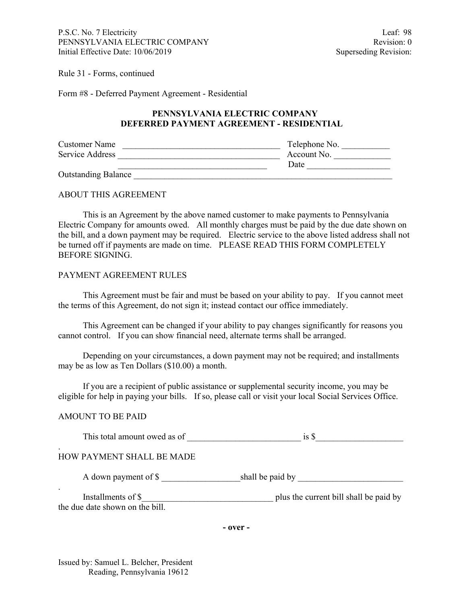Form #8 - Deferred Payment Agreement - Residential

# **PENNSYLVANIA ELECTRIC COMPANY DEFERRED PAYMENT AGREEMENT - RESIDENTIAL**

| <b>Customer Name</b>       | Telephone No. |
|----------------------------|---------------|
| Service Address            | Account No.   |
|                            | Date          |
| <b>Outstanding Balance</b> |               |

#### ABOUT THIS AGREEMENT

 This is an Agreement by the above named customer to make payments to Pennsylvania Electric Company for amounts owed. All monthly charges must be paid by the due date shown on the bill, and a down payment may be required. Electric service to the above listed address shall not be turned off if payments are made on time. PLEASE READ THIS FORM COMPLETELY BEFORE SIGNING.

#### PAYMENT AGREEMENT RULES

 This Agreement must be fair and must be based on your ability to pay. If you cannot meet the terms of this Agreement, do not sign it; instead contact our office immediately.

 This Agreement can be changed if your ability to pay changes significantly for reasons you cannot control. If you can show financial need, alternate terms shall be arranged.

 Depending on your circumstances, a down payment may not be required; and installments may be as low as Ten Dollars (\$10.00) a month.

 If you are a recipient of public assistance or supplemental security income, you may be eligible for help in paying your bills. If so, please call or visit your local Social Services Office.

#### AMOUNT TO BE PAID

.

| n a<br>אנר<br>m<br>аэ<br>-ran<br>41 I I<br>. | -- | œ |
|----------------------------------------------|----|---|
|                                              |    |   |

# HOW PAYMENT SHALL BE MADE

A down payment of \$

. Installments of \$\_\_\_\_\_\_\_\_\_\_\_\_\_\_\_\_\_\_\_\_\_\_\_\_\_\_\_\_\_\_ plus the current bill shall be paid by the due date shown on the bill.

**- over -**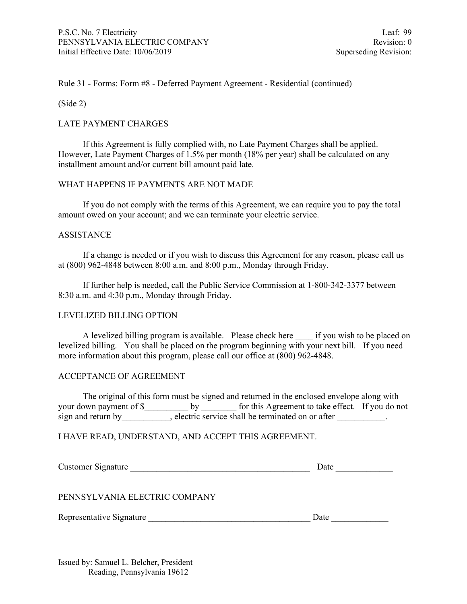Rule 31 - Forms: Form #8 - Deferred Payment Agreement - Residential (continued)

(Side 2)

### LATE PAYMENT CHARGES

 If this Agreement is fully complied with, no Late Payment Charges shall be applied. However, Late Payment Charges of 1.5% per month (18% per year) shall be calculated on any installment amount and/or current bill amount paid late.

### WHAT HAPPENS IF PAYMENTS ARE NOT MADE

 If you do not comply with the terms of this Agreement, we can require you to pay the total amount owed on your account; and we can terminate your electric service.

#### ASSISTANCE

 If a change is needed or if you wish to discuss this Agreement for any reason, please call us at (800) 962-4848 between 8:00 a.m. and 8:00 p.m., Monday through Friday.

 If further help is needed, call the Public Service Commission at 1-800-342-3377 between 8:30 a.m. and 4:30 p.m., Monday through Friday.

#### LEVELIZED BILLING OPTION

A levelized billing program is available. Please check here if you wish to be placed on levelized billing. You shall be placed on the program beginning with your next bill. If you need more information about this program, please call our office at (800) 962-4848.

#### ACCEPTANCE OF AGREEMENT

 The original of this form must be signed and returned in the enclosed envelope along with your down payment of \$ sign and return by \_\_\_\_\_\_\_\_\_, electric service shall be terminated on or after \_\_\_\_\_\_\_\_.

I HAVE READ, UNDERSTAND, AND ACCEPT THIS AGREEMENT.

Customer Signature \_\_\_\_\_\_\_\_\_\_\_\_\_\_\_\_\_\_\_\_\_\_\_\_\_\_\_\_\_\_\_\_\_\_\_\_\_\_\_\_\_ Date \_\_\_\_\_\_\_\_\_\_\_\_\_

# PENNSYLVANIA ELECTRIC COMPANY

Representative Signature  $\Box$ 

Issued by: Samuel L. Belcher, President Reading, Pennsylvania 19612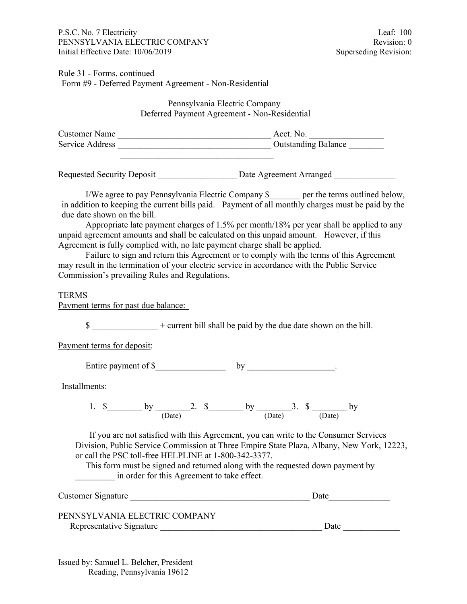Rule 31 - Forms, continued Form #9 - Deferred Payment Agreement - Non-Residential

> Pennsylvania Electric Company Deferred Payment Agreement - Non-Residential

| Customer Name   | Acct. No.                  |
|-----------------|----------------------------|
| Service Address | <b>Outstanding Balance</b> |
|                 |                            |

Requested Security Deposit **Deposit** Date Agreement Arranged

I/We agree to pay Pennsylvania Electric Company \$ \_\_\_\_\_ per the terms outlined below, in addition to keeping the current bills paid. Payment of all monthly charges must be paid by the due date shown on the bill.

Appropriate late payment charges of 1.5% per month/18% per year shall be applied to any unpaid agreement amounts and shall be calculated on this unpaid amount. However, if this Agreement is fully complied with, no late payment charge shall be applied.

Failure to sign and return this Agreement or to comply with the terms of this Agreement may result in the termination of your electric service in accordance with the Public Service Commission's prevailing Rules and Regulations.

#### **TERMS**

Payment terms for past due balance:

\$ + current bill shall be paid by the due date shown on the bill.

Payment terms for deposit:

Entire payment of \$\_\_\_\_\_\_\_\_\_\_\_\_\_\_\_\_ by \_\_\_\_\_\_\_\_\_\_\_\_\_\_\_\_\_\_\_\_.

Installments:

1. \$  $\qquad \qquad$  by  $\qquad \qquad$  2. \$  $\qquad \qquad$  by  $\qquad \qquad$  3. \$  $\qquad \qquad$  by (Date) (Date) (Date)

 If you are not satisfied with this Agreement, you can write to the Consumer Services Division, Public Service Commission at Three Empire State Plaza, Albany, New York, 12223, or call the PSC toll-free HELPLINE at 1-800-342-3377.

This form must be signed and returned along with the requested down payment by in order for this Agreement to take effect.

| Customer Signature            | Date |
|-------------------------------|------|
| PENNSYLVANIA ELECTRIC COMPANY |      |
| Representative Signature      | Date |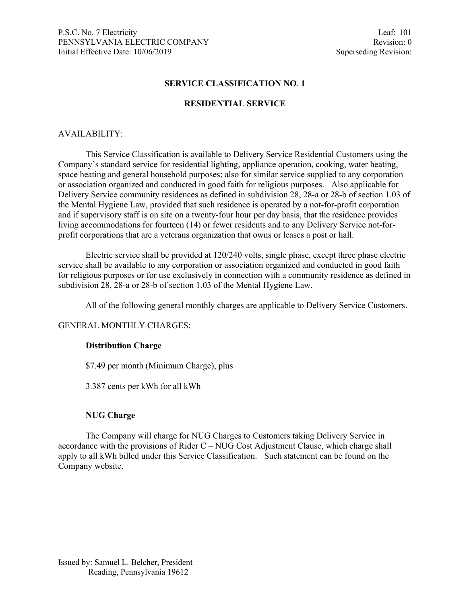# **SERVICE CLASSIFICATION NO**. **1**

#### **RESIDENTIAL SERVICE**

#### AVAILABILITY:

This Service Classification is available to Delivery Service Residential Customers using the Company's standard service for residential lighting, appliance operation, cooking, water heating, space heating and general household purposes; also for similar service supplied to any corporation or association organized and conducted in good faith for religious purposes. Also applicable for Delivery Service community residences as defined in subdivision 28, 28-a or 28-b of section 1.03 of the Mental Hygiene Law, provided that such residence is operated by a not-for-profit corporation and if supervisory staff is on site on a twenty-four hour per day basis, that the residence provides living accommodations for fourteen (14) or fewer residents and to any Delivery Service not-forprofit corporations that are a veterans organization that owns or leases a post or hall.

Electric service shall be provided at 120/240 volts, single phase, except three phase electric service shall be available to any corporation or association organized and conducted in good faith for religious purposes or for use exclusively in connection with a community residence as defined in subdivision 28, 28-a or 28-b of section 1.03 of the Mental Hygiene Law.

All of the following general monthly charges are applicable to Delivery Service Customers.

#### GENERAL MONTHLY CHARGES:

#### **Distribution Charge**

\$7.49 per month (Minimum Charge), plus

3.387 cents per kWh for all kWh

#### **NUG Charge**

The Company will charge for NUG Charges to Customers taking Delivery Service in accordance with the provisions of Rider C – NUG Cost Adjustment Clause, which charge shall apply to all kWh billed under this Service Classification. Such statement can be found on the Company website.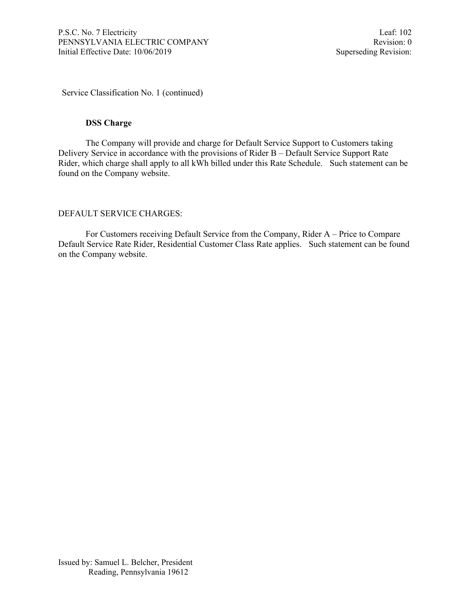Service Classification No. 1 (continued)

#### **DSS Charge**

The Company will provide and charge for Default Service Support to Customers taking Delivery Service in accordance with the provisions of Rider B – Default Service Support Rate Rider, which charge shall apply to all kWh billed under this Rate Schedule. Such statement can be found on the Company website.

# DEFAULT SERVICE CHARGES:

For Customers receiving Default Service from the Company, Rider A – Price to Compare Default Service Rate Rider, Residential Customer Class Rate applies. Such statement can be found on the Company website.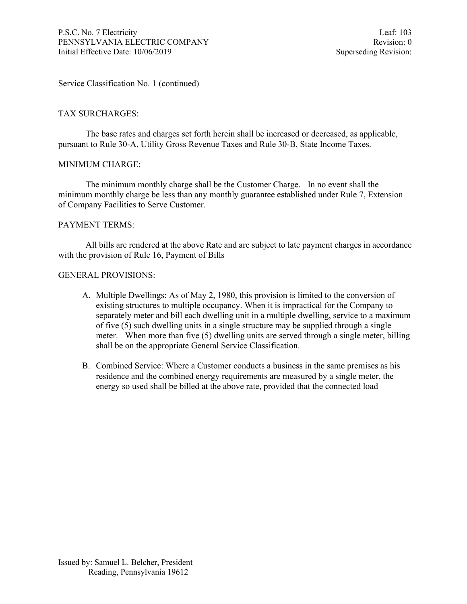Service Classification No. 1 (continued)

### TAX SURCHARGES:

The base rates and charges set forth herein shall be increased or decreased, as applicable, pursuant to Rule 30-A, Utility Gross Revenue Taxes and Rule 30-B, State Income Taxes.

#### MINIMUM CHARGE:

The minimum monthly charge shall be the Customer Charge. In no event shall the minimum monthly charge be less than any monthly guarantee established under Rule 7, Extension of Company Facilities to Serve Customer.

#### PAYMENT TERMS:

All bills are rendered at the above Rate and are subject to late payment charges in accordance with the provision of Rule 16, Payment of Bills

#### GENERAL PROVISIONS:

- A. Multiple Dwellings: As of May 2, 1980, this provision is limited to the conversion of existing structures to multiple occupancy. When it is impractical for the Company to separately meter and bill each dwelling unit in a multiple dwelling, service to a maximum of five (5) such dwelling units in a single structure may be supplied through a single meter. When more than five (5) dwelling units are served through a single meter, billing shall be on the appropriate General Service Classification.
- B. Combined Service: Where a Customer conducts a business in the same premises as his residence and the combined energy requirements are measured by a single meter, the energy so used shall be billed at the above rate, provided that the connected load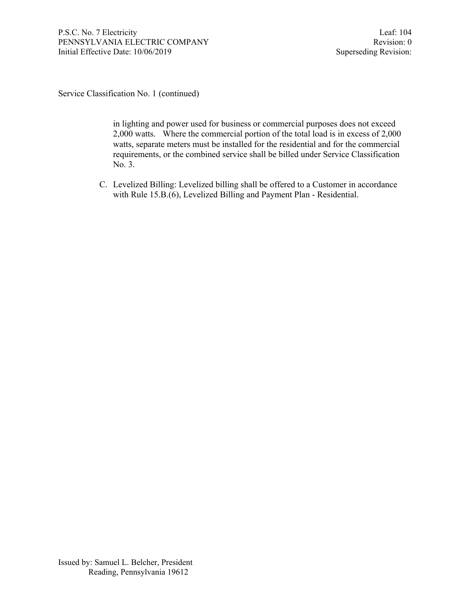Service Classification No. 1 (continued)

in lighting and power used for business or commercial purposes does not exceed 2,000 watts. Where the commercial portion of the total load is in excess of 2,000 watts, separate meters must be installed for the residential and for the commercial requirements, or the combined service shall be billed under Service Classification No. 3.

C. Levelized Billing: Levelized billing shall be offered to a Customer in accordance with Rule 15.B.(6), Levelized Billing and Payment Plan - Residential.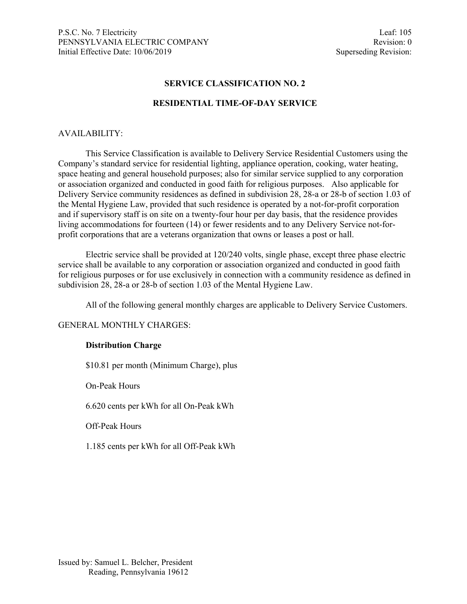# **SERVICE CLASSIFICATION NO. 2**

#### **RESIDENTIAL TIME-OF-DAY SERVICE**

#### AVAILABILITY:

This Service Classification is available to Delivery Service Residential Customers using the Company's standard service for residential lighting, appliance operation, cooking, water heating, space heating and general household purposes; also for similar service supplied to any corporation or association organized and conducted in good faith for religious purposes. Also applicable for Delivery Service community residences as defined in subdivision 28, 28-a or 28-b of section 1.03 of the Mental Hygiene Law, provided that such residence is operated by a not-for-profit corporation and if supervisory staff is on site on a twenty-four hour per day basis, that the residence provides living accommodations for fourteen (14) or fewer residents and to any Delivery Service not-forprofit corporations that are a veterans organization that owns or leases a post or hall.

Electric service shall be provided at 120/240 volts, single phase, except three phase electric service shall be available to any corporation or association organized and conducted in good faith for religious purposes or for use exclusively in connection with a community residence as defined in subdivision 28, 28-a or 28-b of section 1.03 of the Mental Hygiene Law.

All of the following general monthly charges are applicable to Delivery Service Customers.

#### GENERAL MONTHLY CHARGES:

#### **Distribution Charge**

\$10.81 per month (Minimum Charge), plus

On-Peak Hours

6.620 cents per kWh for all On-Peak kWh

Off-Peak Hours

1.185 cents per kWh for all Off-Peak kWh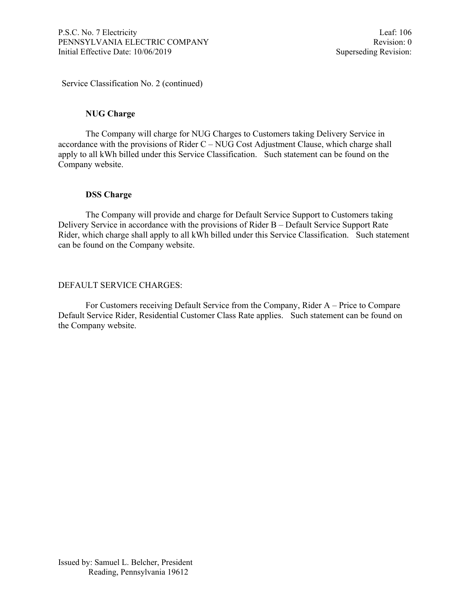Service Classification No. 2 (continued)

### **NUG Charge**

The Company will charge for NUG Charges to Customers taking Delivery Service in accordance with the provisions of Rider C – NUG Cost Adjustment Clause, which charge shall apply to all kWh billed under this Service Classification. Such statement can be found on the Company website.

### **DSS Charge**

The Company will provide and charge for Default Service Support to Customers taking Delivery Service in accordance with the provisions of Rider B – Default Service Support Rate Rider, which charge shall apply to all kWh billed under this Service Classification. Such statement can be found on the Company website.

# DEFAULT SERVICE CHARGES:

For Customers receiving Default Service from the Company, Rider A – Price to Compare Default Service Rider, Residential Customer Class Rate applies. Such statement can be found on the Company website.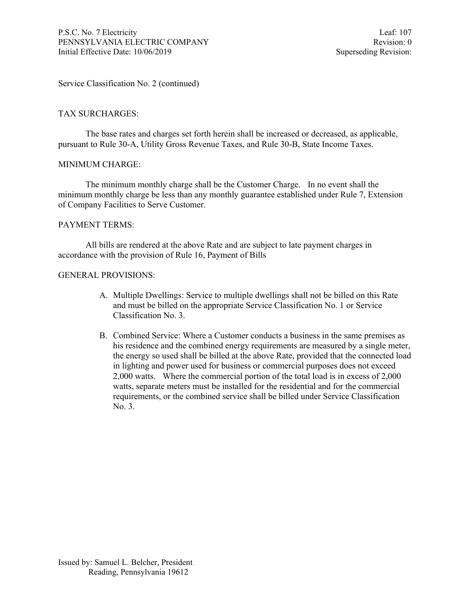Service Classification No. 2 (continued)

### TAX SURCHARGES:

The base rates and charges set forth herein shall be increased or decreased, as applicable, pursuant to Rule 30-A, Utility Gross Revenue Taxes, and Rule 30-B, State Income Taxes.

#### MINIMUM CHARGE:

The minimum monthly charge shall be the Customer Charge. In no event shall the minimum monthly charge be less than any monthly guarantee established under Rule 7, Extension of Company Facilities to Serve Customer.

#### PAYMENT TERMS:

All bills are rendered at the above Rate and are subject to late payment charges in accordance with the provision of Rule 16, Payment of Bills

#### GENERAL PROVISIONS:

- A. Multiple Dwellings: Service to multiple dwellings shall not be billed on this Rate and must be billed on the appropriate Service Classification No. 1 or Service Classification No. 3.
- B. Combined Service: Where a Customer conducts a business in the same premises as his residence and the combined energy requirements are measured by a single meter, the energy so used shall be billed at the above Rate, provided that the connected load in lighting and power used for business or commercial purposes does not exceed 2,000 watts. Where the commercial portion of the total load is in excess of 2,000 watts, separate meters must be installed for the residential and for the commercial requirements, or the combined service shall be billed under Service Classification No. 3.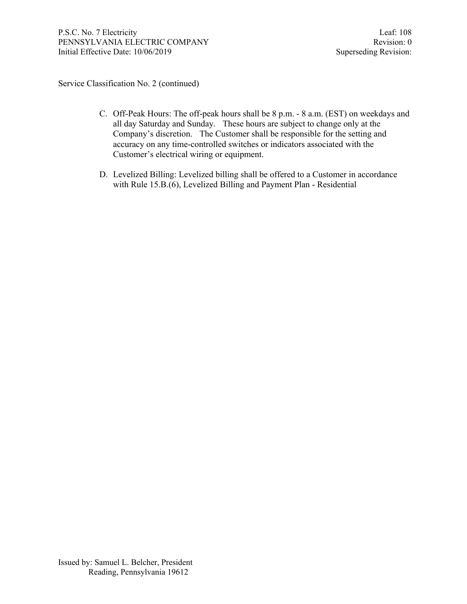Service Classification No. 2 (continued)

- C. Off-Peak Hours: The off-peak hours shall be 8 p.m. 8 a.m. (EST) on weekdays and all day Saturday and Sunday. These hours are subject to change only at the Company's discretion. The Customer shall be responsible for the setting and accuracy on any time-controlled switches or indicators associated with the Customer's electrical wiring or equipment.
- D. Levelized Billing: Levelized billing shall be offered to a Customer in accordance with Rule 15.B.(6), Levelized Billing and Payment Plan - Residential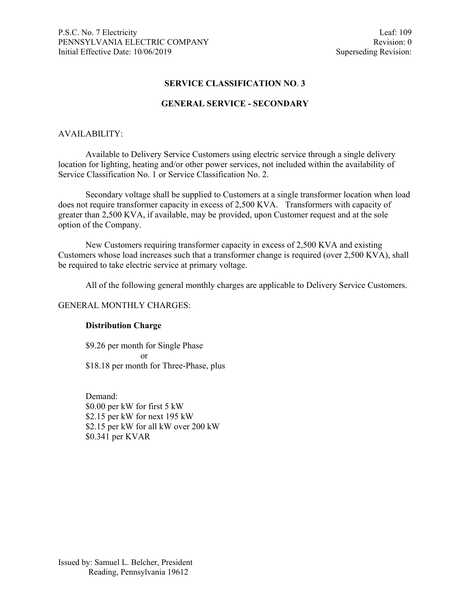## **SERVICE CLASSIFICATION NO**. **3**

### **GENERAL SERVICE - SECONDARY**

#### AVAILABILITY:

Available to Delivery Service Customers using electric service through a single delivery location for lighting, heating and/or other power services, not included within the availability of Service Classification No. 1 or Service Classification No. 2.

Secondary voltage shall be supplied to Customers at a single transformer location when load does not require transformer capacity in excess of 2,500 KVA. Transformers with capacity of greater than 2,500 KVA, if available, may be provided, upon Customer request and at the sole option of the Company.

New Customers requiring transformer capacity in excess of 2,500 KVA and existing Customers whose load increases such that a transformer change is required (over 2,500 KVA), shall be required to take electric service at primary voltage.

All of the following general monthly charges are applicable to Delivery Service Customers.

#### GENERAL MONTHLY CHARGES:

#### **Distribution Charge**

\$9.26 per month for Single Phase or \$18.18 per month for Three-Phase, plus

Demand: \$0.00 per kW for first 5 kW \$2.15 per kW for next 195 kW \$2.15 per kW for all kW over 200 kW \$0.341 per KVAR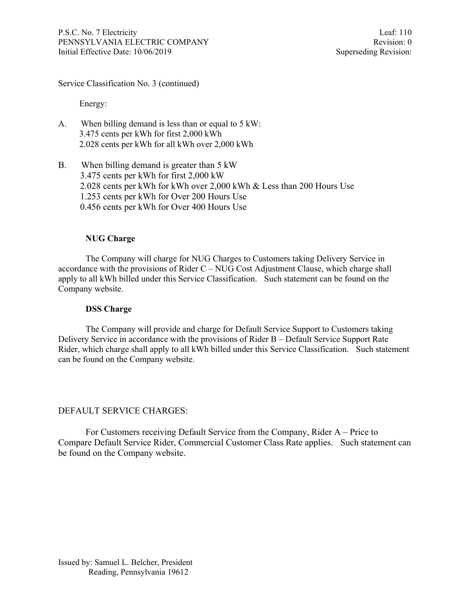Energy:

- A. When billing demand is less than or equal to 5 kW: 3.475 cents per kWh for first 2,000 kWh 2.028 cents per kWh for all kWh over 2,000 kWh
- B. When billing demand is greater than 5 kW 3.475 cents per kWh for first 2,000 kW 2.028 cents per kWh for kWh over 2,000 kWh & Less than 200 Hours Use 1.253 cents per kWh for Over 200 Hours Use 0.456 cents per kWh for Over 400 Hours Use

## **NUG Charge**

The Company will charge for NUG Charges to Customers taking Delivery Service in accordance with the provisions of Rider C – NUG Cost Adjustment Clause, which charge shall apply to all kWh billed under this Service Classification. Such statement can be found on the Company website.

## **DSS Charge**

The Company will provide and charge for Default Service Support to Customers taking Delivery Service in accordance with the provisions of Rider B – Default Service Support Rate Rider, which charge shall apply to all kWh billed under this Service Classification. Such statement can be found on the Company website.

## DEFAULT SERVICE CHARGES:

For Customers receiving Default Service from the Company, Rider A – Price to Compare Default Service Rider, Commercial Customer Class Rate applies. Such statement can be found on the Company website.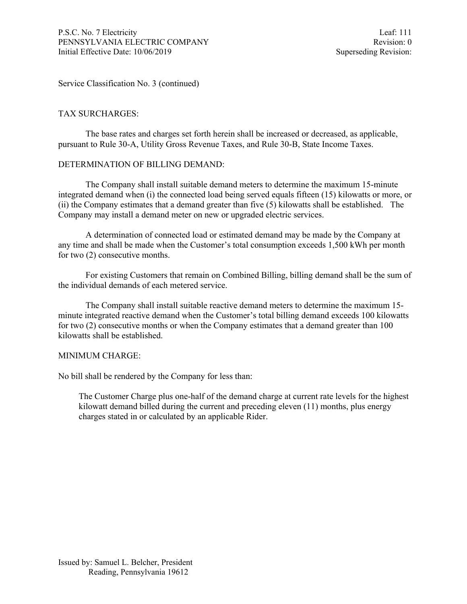### TAX SURCHARGES:

The base rates and charges set forth herein shall be increased or decreased, as applicable, pursuant to Rule 30-A, Utility Gross Revenue Taxes, and Rule 30-B, State Income Taxes.

### DETERMINATION OF BILLING DEMAND:

The Company shall install suitable demand meters to determine the maximum 15-minute integrated demand when (i) the connected load being served equals fifteen (15) kilowatts or more, or (ii) the Company estimates that a demand greater than five (5) kilowatts shall be established. The Company may install a demand meter on new or upgraded electric services.

A determination of connected load or estimated demand may be made by the Company at any time and shall be made when the Customer's total consumption exceeds 1,500 kWh per month for two (2) consecutive months.

For existing Customers that remain on Combined Billing, billing demand shall be the sum of the individual demands of each metered service.

The Company shall install suitable reactive demand meters to determine the maximum 15 minute integrated reactive demand when the Customer's total billing demand exceeds 100 kilowatts for two (2) consecutive months or when the Company estimates that a demand greater than 100 kilowatts shall be established.

### MINIMUM CHARGE:

No bill shall be rendered by the Company for less than:

The Customer Charge plus one-half of the demand charge at current rate levels for the highest kilowatt demand billed during the current and preceding eleven (11) months, plus energy charges stated in or calculated by an applicable Rider.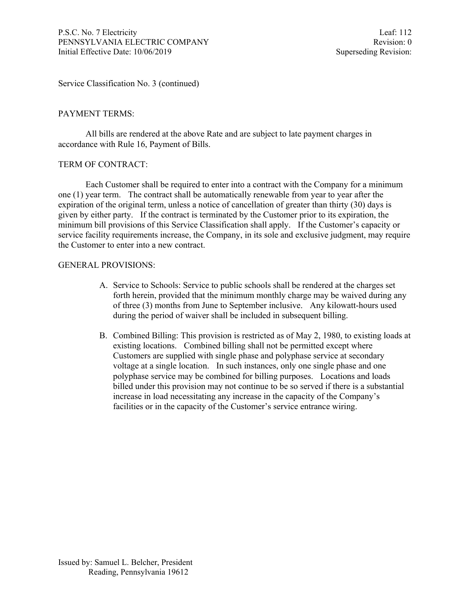### PAYMENT TERMS:

All bills are rendered at the above Rate and are subject to late payment charges in accordance with Rule 16, Payment of Bills.

### TERM OF CONTRACT:

Each Customer shall be required to enter into a contract with the Company for a minimum one (1) year term. The contract shall be automatically renewable from year to year after the expiration of the original term, unless a notice of cancellation of greater than thirty (30) days is given by either party. If the contract is terminated by the Customer prior to its expiration, the minimum bill provisions of this Service Classification shall apply. If the Customer's capacity or service facility requirements increase, the Company, in its sole and exclusive judgment, may require the Customer to enter into a new contract.

### GENERAL PROVISIONS:

- A. Service to Schools: Service to public schools shall be rendered at the charges set forth herein, provided that the minimum monthly charge may be waived during any of three (3) months from June to September inclusive. Any kilowatt-hours used during the period of waiver shall be included in subsequent billing.
- B. Combined Billing: This provision is restricted as of May 2, 1980, to existing loads at existing locations. Combined billing shall not be permitted except where Customers are supplied with single phase and polyphase service at secondary voltage at a single location. In such instances, only one single phase and one polyphase service may be combined for billing purposes. Locations and loads billed under this provision may not continue to be so served if there is a substantial increase in load necessitating any increase in the capacity of the Company's facilities or in the capacity of the Customer's service entrance wiring.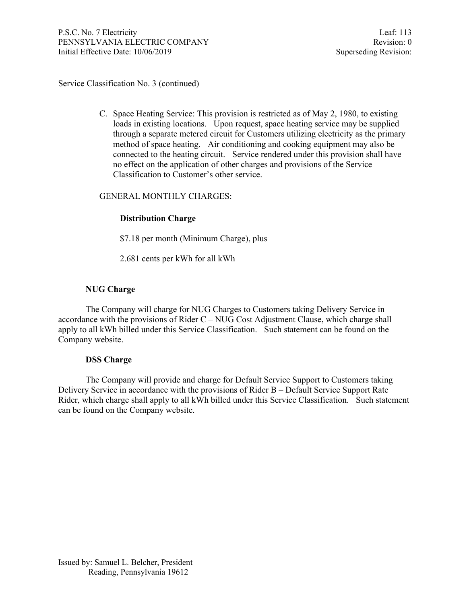C. Space Heating Service: This provision is restricted as of May 2, 1980, to existing loads in existing locations. Upon request, space heating service may be supplied through a separate metered circuit for Customers utilizing electricity as the primary method of space heating. Air conditioning and cooking equipment may also be connected to the heating circuit. Service rendered under this provision shall have no effect on the application of other charges and provisions of the Service Classification to Customer's other service.

### GENERAL MONTHLY CHARGES:

### **Distribution Charge**

\$7.18 per month (Minimum Charge), plus

2.681 cents per kWh for all kWh

### **NUG Charge**

The Company will charge for NUG Charges to Customers taking Delivery Service in accordance with the provisions of Rider C – NUG Cost Adjustment Clause, which charge shall apply to all kWh billed under this Service Classification. Such statement can be found on the Company website.

### **DSS Charge**

The Company will provide and charge for Default Service Support to Customers taking Delivery Service in accordance with the provisions of Rider B – Default Service Support Rate Rider, which charge shall apply to all kWh billed under this Service Classification. Such statement can be found on the Company website.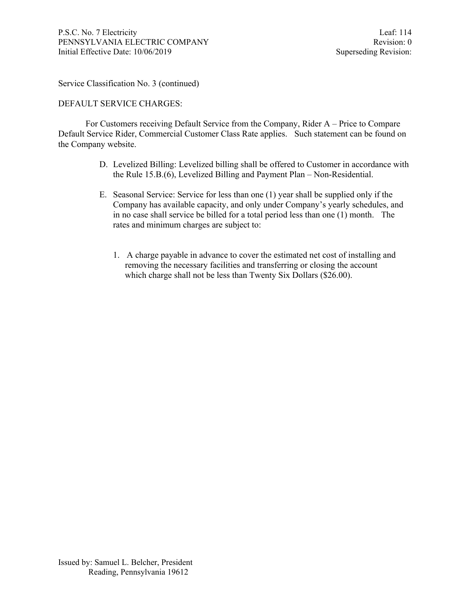### DEFAULT SERVICE CHARGES:

For Customers receiving Default Service from the Company, Rider A – Price to Compare Default Service Rider, Commercial Customer Class Rate applies. Such statement can be found on the Company website.

- D. Levelized Billing: Levelized billing shall be offered to Customer in accordance with the Rule 15.B.(6), Levelized Billing and Payment Plan – Non-Residential.
- E. Seasonal Service: Service for less than one (1) year shall be supplied only if the Company has available capacity, and only under Company's yearly schedules, and in no case shall service be billed for a total period less than one (1) month. The rates and minimum charges are subject to:
	- 1. A charge payable in advance to cover the estimated net cost of installing and removing the necessary facilities and transferring or closing the account which charge shall not be less than Twenty Six Dollars (\$26.00).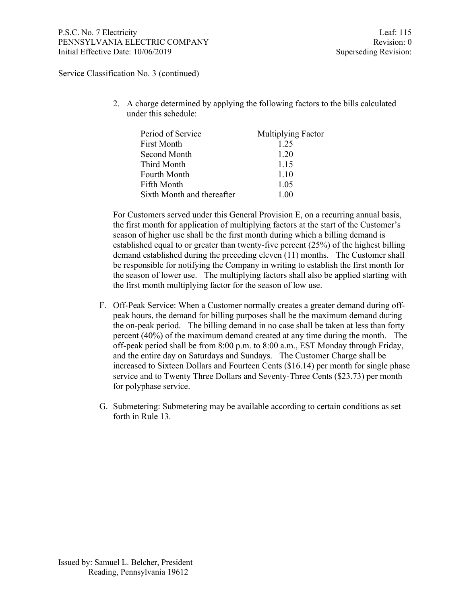2. A charge determined by applying the following factors to the bills calculated under this schedule:

| Period of Service          | <b>Multiplying Factor</b> |
|----------------------------|---------------------------|
| <b>First Month</b>         | 1.25                      |
| Second Month               | 1.20                      |
| Third Month                | 1.15                      |
| Fourth Month               | 1.10                      |
| Fifth Month                | 1.05                      |
| Sixth Month and thereafter | 1 OO                      |

For Customers served under this General Provision E, on a recurring annual basis, the first month for application of multiplying factors at the start of the Customer's season of higher use shall be the first month during which a billing demand is established equal to or greater than twenty-five percent (25%) of the highest billing demand established during the preceding eleven (11) months. The Customer shall be responsible for notifying the Company in writing to establish the first month for the season of lower use. The multiplying factors shall also be applied starting with the first month multiplying factor for the season of low use.

- F. Off-Peak Service: When a Customer normally creates a greater demand during offpeak hours, the demand for billing purposes shall be the maximum demand during the on-peak period. The billing demand in no case shall be taken at less than forty percent (40%) of the maximum demand created at any time during the month. The off-peak period shall be from 8:00 p.m. to 8:00 a.m., EST Monday through Friday, and the entire day on Saturdays and Sundays. The Customer Charge shall be increased to Sixteen Dollars and Fourteen Cents (\$16.14) per month for single phase service and to Twenty Three Dollars and Seventy-Three Cents (\$23.73) per month for polyphase service.
- G. Submetering: Submetering may be available according to certain conditions as set forth in Rule 13.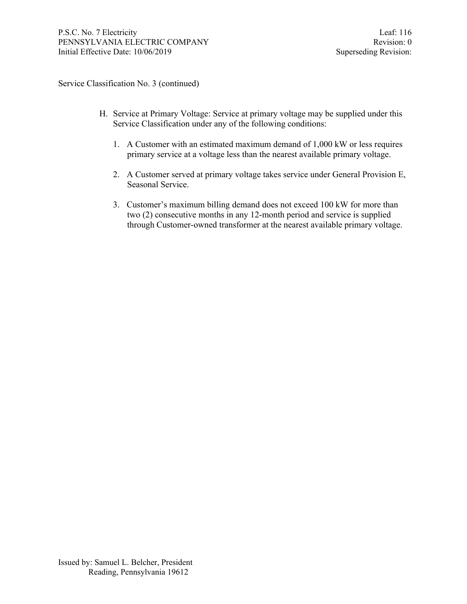- H. Service at Primary Voltage: Service at primary voltage may be supplied under this Service Classification under any of the following conditions:
	- 1. A Customer with an estimated maximum demand of 1,000 kW or less requires primary service at a voltage less than the nearest available primary voltage.
	- 2. A Customer served at primary voltage takes service under General Provision E, Seasonal Service.
	- 3. Customer's maximum billing demand does not exceed 100 kW for more than two (2) consecutive months in any 12-month period and service is supplied through Customer-owned transformer at the nearest available primary voltage.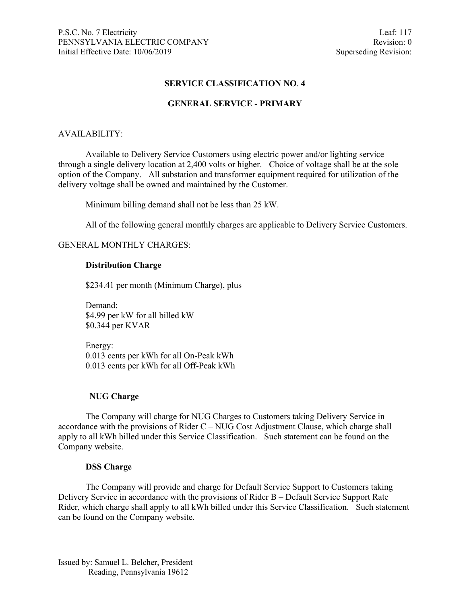### **SERVICE CLASSIFICATION NO**. **4**

### **GENERAL SERVICE - PRIMARY**

#### AVAILABILITY:

Available to Delivery Service Customers using electric power and/or lighting service through a single delivery location at 2,400 volts or higher. Choice of voltage shall be at the sole option of the Company. All substation and transformer equipment required for utilization of the delivery voltage shall be owned and maintained by the Customer.

Minimum billing demand shall not be less than 25 kW.

All of the following general monthly charges are applicable to Delivery Service Customers.

#### GENERAL MONTHLY CHARGES:

#### **Distribution Charge**

\$234.41 per month (Minimum Charge), plus

Demand: \$4.99 per kW for all billed kW \$0.344 per KVAR

Energy: 0.013 cents per kWh for all On-Peak kWh 0.013 cents per kWh for all Off-Peak kWh

### **NUG Charge**

The Company will charge for NUG Charges to Customers taking Delivery Service in accordance with the provisions of Rider C – NUG Cost Adjustment Clause, which charge shall apply to all kWh billed under this Service Classification. Such statement can be found on the Company website.

#### **DSS Charge**

The Company will provide and charge for Default Service Support to Customers taking Delivery Service in accordance with the provisions of Rider B – Default Service Support Rate Rider, which charge shall apply to all kWh billed under this Service Classification. Such statement can be found on the Company website.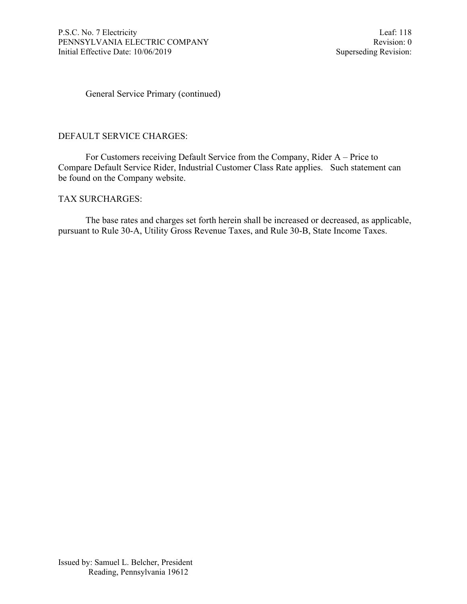General Service Primary (continued)

# DEFAULT SERVICE CHARGES:

For Customers receiving Default Service from the Company, Rider A – Price to Compare Default Service Rider, Industrial Customer Class Rate applies. Such statement can be found on the Company website.

# TAX SURCHARGES:

The base rates and charges set forth herein shall be increased or decreased, as applicable, pursuant to Rule 30-A, Utility Gross Revenue Taxes, and Rule 30-B, State Income Taxes.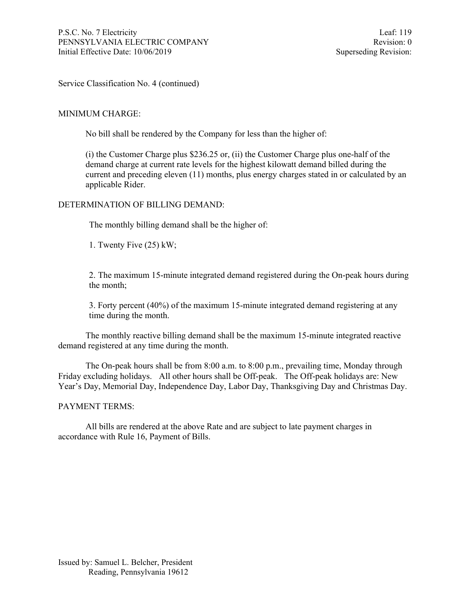### MINIMUM CHARGE:

No bill shall be rendered by the Company for less than the higher of:

(i) the Customer Charge plus \$236.25 or, (ii) the Customer Charge plus one-half of the demand charge at current rate levels for the highest kilowatt demand billed during the current and preceding eleven (11) months, plus energy charges stated in or calculated by an applicable Rider.

### DETERMINATION OF BILLING DEMAND:

The monthly billing demand shall be the higher of:

1. Twenty Five (25) kW;

2. The maximum 15-minute integrated demand registered during the On-peak hours during the month;

3. Forty percent (40%) of the maximum 15-minute integrated demand registering at any time during the month.

The monthly reactive billing demand shall be the maximum 15-minute integrated reactive demand registered at any time during the month.

The On-peak hours shall be from 8:00 a.m. to 8:00 p.m., prevailing time, Monday through Friday excluding holidays. All other hours shall be Off-peak. The Off-peak holidays are: New Year's Day, Memorial Day, Independence Day, Labor Day, Thanksgiving Day and Christmas Day.

### PAYMENT TERMS:

All bills are rendered at the above Rate and are subject to late payment charges in accordance with Rule 16, Payment of Bills.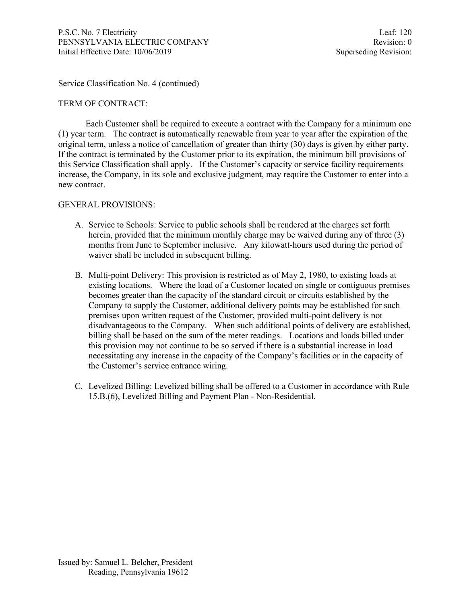### TERM OF CONTRACT:

Each Customer shall be required to execute a contract with the Company for a minimum one (1) year term. The contract is automatically renewable from year to year after the expiration of the original term, unless a notice of cancellation of greater than thirty (30) days is given by either party. If the contract is terminated by the Customer prior to its expiration, the minimum bill provisions of this Service Classification shall apply. If the Customer's capacity or service facility requirements increase, the Company, in its sole and exclusive judgment, may require the Customer to enter into a new contract.

### GENERAL PROVISIONS:

- A. Service to Schools: Service to public schools shall be rendered at the charges set forth herein, provided that the minimum monthly charge may be waived during any of three (3) months from June to September inclusive. Any kilowatt-hours used during the period of waiver shall be included in subsequent billing.
- B. Multi-point Delivery: This provision is restricted as of May 2, 1980, to existing loads at existing locations. Where the load of a Customer located on single or contiguous premises becomes greater than the capacity of the standard circuit or circuits established by the Company to supply the Customer, additional delivery points may be established for such premises upon written request of the Customer, provided multi-point delivery is not disadvantageous to the Company. When such additional points of delivery are established, billing shall be based on the sum of the meter readings. Locations and loads billed under this provision may not continue to be so served if there is a substantial increase in load necessitating any increase in the capacity of the Company's facilities or in the capacity of the Customer's service entrance wiring.
- C. Levelized Billing: Levelized billing shall be offered to a Customer in accordance with Rule 15.B.(6), Levelized Billing and Payment Plan - Non-Residential.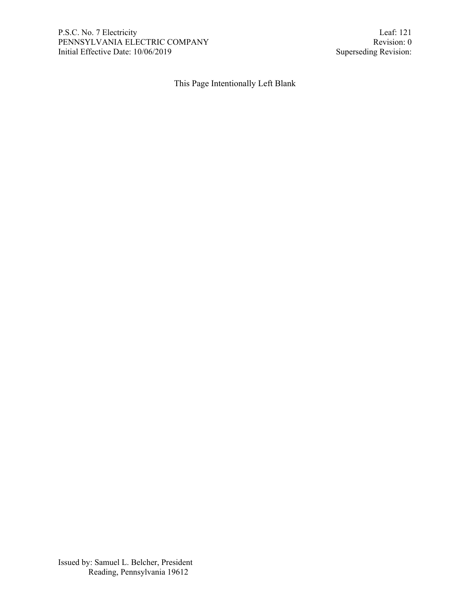This Page Intentionally Left Blank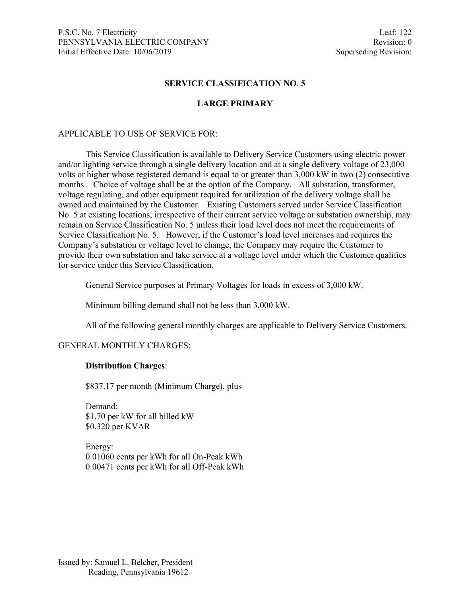### **SERVICE CLASSIFICATION NO**. **5**

### **LARGE PRIMARY**

#### APPLICABLE TO USE OF SERVICE FOR:

This Service Classification is available to Delivery Service Customers using electric power and/or lighting service through a single delivery location and at a single delivery voltage of 23,000 volts or higher whose registered demand is equal to or greater than 3,000 kW in two (2) consecutive months. Choice of voltage shall be at the option of the Company. All substation, transformer, voltage regulating, and other equipment required for utilization of the delivery voltage shall be owned and maintained by the Customer. Existing Customers served under Service Classification No. 5 at existing locations, irrespective of their current service voltage or substation ownership, may remain on Service Classification No. 5 unless their load level does not meet the requirements of Service Classification No. 5. However, if the Customer's load level increases and requires the Company's substation or voltage level to change, the Company may require the Customer to provide their own substation and take service at a voltage level under which the Customer qualifies for service under this Service Classification.

General Service purposes at Primary Voltages for loads in excess of 3,000 kW.

Minimum billing demand shall not be less than 3,000 kW.

All of the following general monthly charges are applicable to Delivery Service Customers.

### GENERAL MONTHLY CHARGES:

#### **Distribution Charges**:

\$837.17 per month (Minimum Charge), plus

Demand: \$1.70 per kW for all billed kW \$0.320 per KVAR

Energy: 0.01060 cents per kWh for all On-Peak kWh 0.00471 cents per kWh for all Off-Peak kWh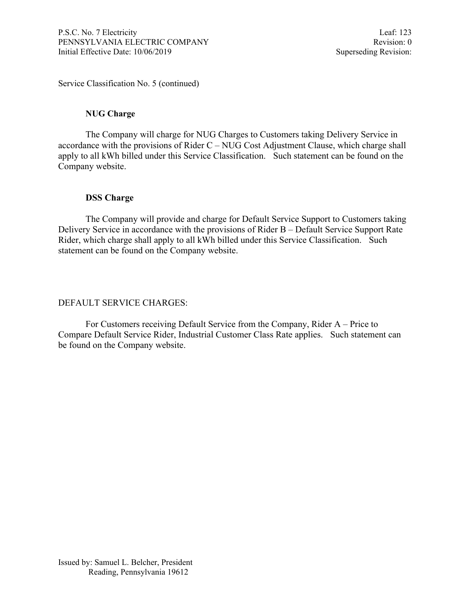## **NUG Charge**

The Company will charge for NUG Charges to Customers taking Delivery Service in accordance with the provisions of Rider C – NUG Cost Adjustment Clause, which charge shall apply to all kWh billed under this Service Classification. Such statement can be found on the Company website.

# **DSS Charge**

The Company will provide and charge for Default Service Support to Customers taking Delivery Service in accordance with the provisions of Rider B – Default Service Support Rate Rider, which charge shall apply to all kWh billed under this Service Classification. Such statement can be found on the Company website.

## DEFAULT SERVICE CHARGES:

For Customers receiving Default Service from the Company, Rider A – Price to Compare Default Service Rider, Industrial Customer Class Rate applies. Such statement can be found on the Company website.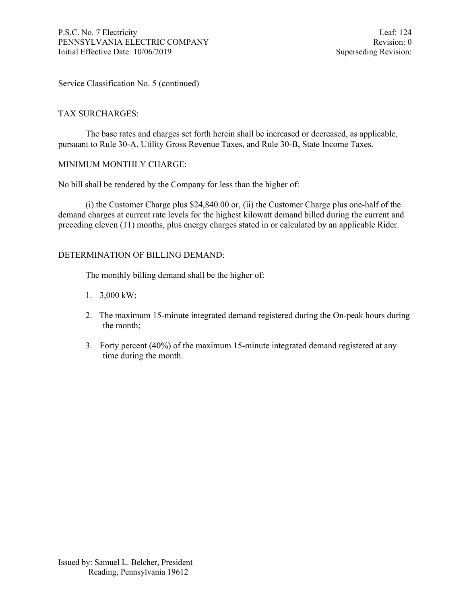### TAX SURCHARGES:

The base rates and charges set forth herein shall be increased or decreased, as applicable, pursuant to Rule 30-A, Utility Gross Revenue Taxes, and Rule 30-B, State Income Taxes.

### MINIMUM MONTHLY CHARGE:

No bill shall be rendered by the Company for less than the higher of:

(i) the Customer Charge plus \$24,840.00 or, (ii) the Customer Charge plus one-half of the demand charges at current rate levels for the highest kilowatt demand billed during the current and preceding eleven (11) months, plus energy charges stated in or calculated by an applicable Rider.

### DETERMINATION OF BILLING DEMAND:

The monthly billing demand shall be the higher of:

- 1. 3,000 kW;
- 2. The maximum 15-minute integrated demand registered during the On-peak hours during the month;
- 3. Forty percent (40%) of the maximum 15-minute integrated demand registered at any time during the month.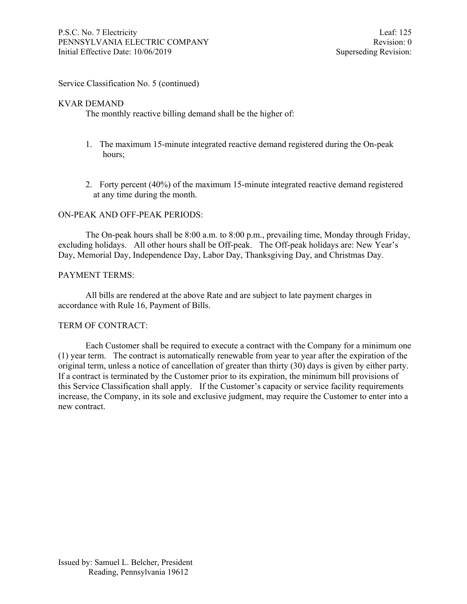#### KVAR DEMAND

The monthly reactive billing demand shall be the higher of:

- 1. The maximum 15-minute integrated reactive demand registered during the On-peak hours;
- 2. Forty percent (40%) of the maximum 15-minute integrated reactive demand registered at any time during the month.

### ON-PEAK AND OFF-PEAK PERIODS:

The On-peak hours shall be 8:00 a.m. to 8:00 p.m., prevailing time, Monday through Friday, excluding holidays. All other hours shall be Off-peak. The Off-peak holidays are: New Year's Day, Memorial Day, Independence Day, Labor Day, Thanksgiving Day, and Christmas Day.

#### PAYMENT TERMS:

All bills are rendered at the above Rate and are subject to late payment charges in accordance with Rule 16, Payment of Bills.

### TERM OF CONTRACT:

Each Customer shall be required to execute a contract with the Company for a minimum one (1) year term. The contract is automatically renewable from year to year after the expiration of the original term, unless a notice of cancellation of greater than thirty (30) days is given by either party. If a contract is terminated by the Customer prior to its expiration, the minimum bill provisions of this Service Classification shall apply. If the Customer's capacity or service facility requirements increase, the Company, in its sole and exclusive judgment, may require the Customer to enter into a new contract.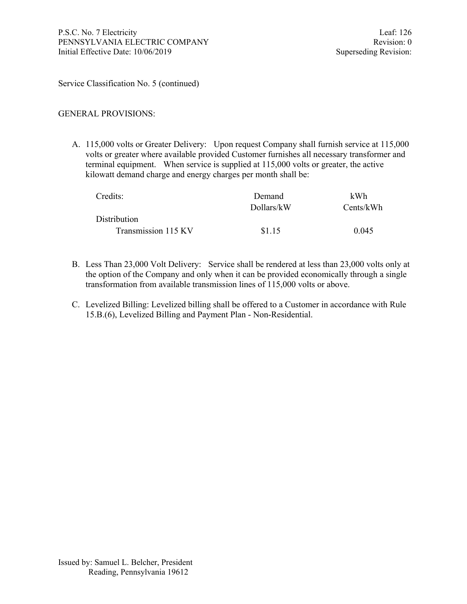### GENERAL PROVISIONS:

A. 115,000 volts or Greater Delivery: Upon request Company shall furnish service at 115,000 volts or greater where available provided Customer furnishes all necessary transformer and terminal equipment. When service is supplied at 115,000 volts or greater, the active kilowatt demand charge and energy charges per month shall be:

| Credits:            | Demand     | kWh       |
|---------------------|------------|-----------|
|                     | Dollars/kW | Cents/kWh |
| Distribution        |            |           |
| Transmission 115 KV | \$1.15     | 0.045     |

- B. Less Than 23,000 Volt Delivery: Service shall be rendered at less than 23,000 volts only at the option of the Company and only when it can be provided economically through a single transformation from available transmission lines of 115,000 volts or above.
- C. Levelized Billing: Levelized billing shall be offered to a Customer in accordance with Rule 15.B.(6), Levelized Billing and Payment Plan - Non-Residential.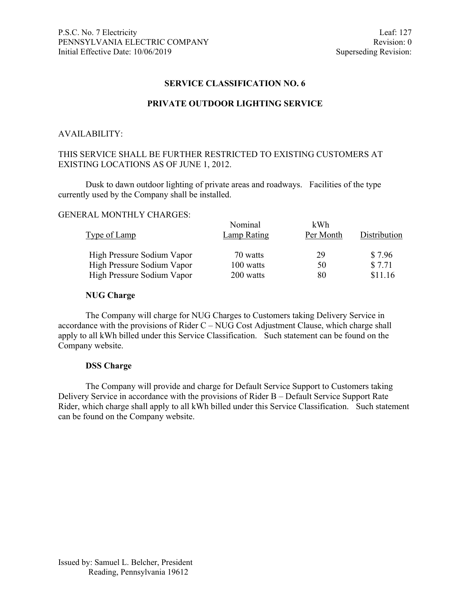## **SERVICE CLASSIFICATION NO. 6**

### **PRIVATE OUTDOOR LIGHTING SERVICE**

### AVAILABILITY:

### THIS SERVICE SHALL BE FURTHER RESTRICTED TO EXISTING CUSTOMERS AT EXISTING LOCATIONS AS OF JUNE 1, 2012.

Dusk to dawn outdoor lighting of private areas and roadways. Facilities of the type currently used by the Company shall be installed.

### GENERAL MONTHLY CHARGES:

| AL MONTHLI CHARUES.        |             |           |              |
|----------------------------|-------------|-----------|--------------|
|                            | Nominal     | kWh       |              |
| Type of Lamp               | Lamp Rating | Per Month | Distribution |
| High Pressure Sodium Vapor | 70 watts    | 29        | \$7.96       |
| High Pressure Sodium Vapor | 100 watts   | 50        | \$7.71       |
| High Pressure Sodium Vapor | 200 watts   | 80        | \$11.16      |
|                            |             |           |              |

### **NUG Charge**

The Company will charge for NUG Charges to Customers taking Delivery Service in accordance with the provisions of Rider C – NUG Cost Adjustment Clause, which charge shall apply to all kWh billed under this Service Classification. Such statement can be found on the Company website.

### **DSS Charge**

The Company will provide and charge for Default Service Support to Customers taking Delivery Service in accordance with the provisions of Rider B – Default Service Support Rate Rider, which charge shall apply to all kWh billed under this Service Classification. Such statement can be found on the Company website.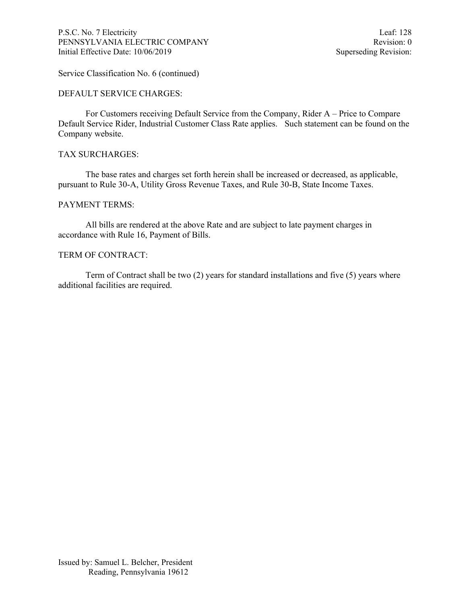### P.S.C. No. 7 Electricity Leaf: 128<br>
PENNSYLVANIA ELECTRIC COMPANY Revision: 0 PENNSYLVANIA ELECTRIC COMPANY Initial Effective Date: 10/06/2019 Superseding Revision:

Service Classification No. 6 (continued)

### DEFAULT SERVICE CHARGES:

For Customers receiving Default Service from the Company, Rider A – Price to Compare Default Service Rider, Industrial Customer Class Rate applies. Such statement can be found on the Company website.

### TAX SURCHARGES:

The base rates and charges set forth herein shall be increased or decreased, as applicable, pursuant to Rule 30-A, Utility Gross Revenue Taxes, and Rule 30-B, State Income Taxes.

### PAYMENT TERMS:

All bills are rendered at the above Rate and are subject to late payment charges in accordance with Rule 16, Payment of Bills.

### TERM OF CONTRACT:

Term of Contract shall be two (2) years for standard installations and five (5) years where additional facilities are required.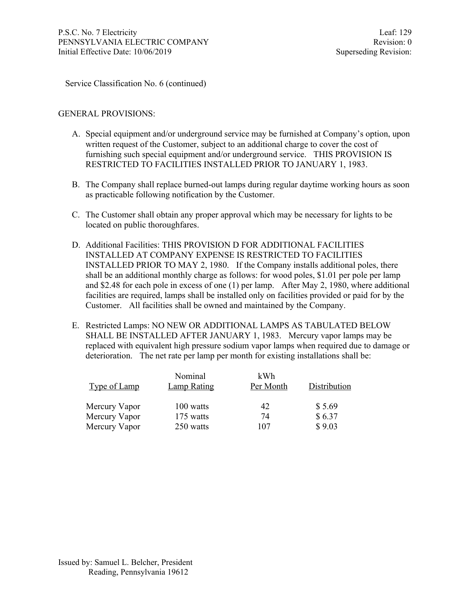### GENERAL PROVISIONS:

- A. Special equipment and/or underground service may be furnished at Company's option, upon written request of the Customer, subject to an additional charge to cover the cost of furnishing such special equipment and/or underground service. THIS PROVISION IS RESTRICTED TO FACILITIES INSTALLED PRIOR TO JANUARY 1, 1983.
- B. The Company shall replace burned-out lamps during regular daytime working hours as soon as practicable following notification by the Customer.
- C. The Customer shall obtain any proper approval which may be necessary for lights to be located on public thoroughfares.
- D. Additional Facilities: THIS PROVISION D FOR ADDITIONAL FACILITIES INSTALLED AT COMPANY EXPENSE IS RESTRICTED TO FACILITIES INSTALLED PRIOR TO MAY 2, 1980. If the Company installs additional poles, there shall be an additional monthly charge as follows: for wood poles, \$1.01 per pole per lamp and \$2.48 for each pole in excess of one (1) per lamp. After May 2, 1980, where additional facilities are required, lamps shall be installed only on facilities provided or paid for by the Customer. All facilities shall be owned and maintained by the Company.
- E. Restricted Lamps: NO NEW OR ADDITIONAL LAMPS AS TABULATED BELOW SHALL BE INSTALLED AFTER JANUARY 1, 1983. Mercury vapor lamps may be replaced with equivalent high pressure sodium vapor lamps when required due to damage or deterioration. The net rate per lamp per month for existing installations shall be:

| <b>Type of Lamp</b> | Nominal<br><b>Lamp Rating</b> | kWh<br>Per Month | Distribution |
|---------------------|-------------------------------|------------------|--------------|
| Mercury Vapor       | 100 watts                     | 42               | \$5.69       |
| Mercury Vapor       | 175 watts                     | 74               | \$6.37       |
| Mercury Vapor       | 250 watts                     | 107              | \$9.03       |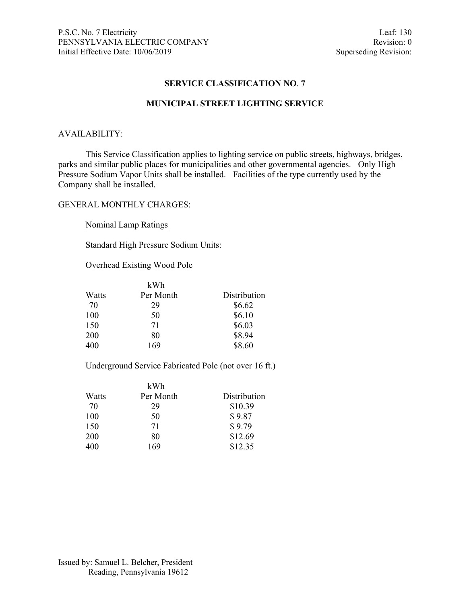## **SERVICE CLASSIFICATION NO**. **7**

#### **MUNICIPAL STREET LIGHTING SERVICE**

#### AVAILABILITY:

This Service Classification applies to lighting service on public streets, highways, bridges, parks and similar public places for municipalities and other governmental agencies. Only High Pressure Sodium Vapor Units shall be installed. Facilities of the type currently used by the Company shall be installed.

#### GENERAL MONTHLY CHARGES:

Nominal Lamp Ratings

Standard High Pressure Sodium Units:

Overhead Existing Wood Pole

|       | kWh       |              |
|-------|-----------|--------------|
| Watts | Per Month | Distribution |
| 70    | 29        | \$6.62       |
| 100   | 50        | \$6.10       |
| 150   | 71        | \$6.03       |
| 200   | 80        | \$8.94       |
| 400   | 169       | \$8.60       |

Underground Service Fabricated Pole (not over 16 ft.)

|       | kWh       |              |
|-------|-----------|--------------|
| Watts | Per Month | Distribution |
| 70    | 29        | \$10.39      |
| 100   | 50        | \$9.87       |
| 150   | 71        | \$9.79       |
| 200   | 80        | \$12.69      |
| 400   | 169       | \$12.35      |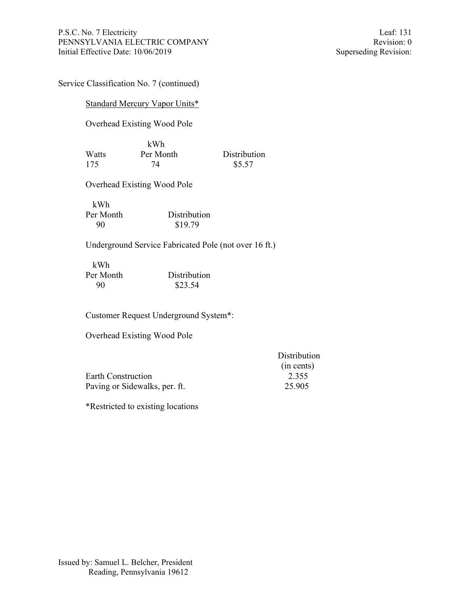Standard Mercury Vapor Units\*

Overhead Existing Wood Pole

 kWh Watts Per Month Distribution<br>175 74 \$5.57  $$5.57$ 

Overhead Existing Wood Pole

kWh<br>Per Month Distribution 90 \$19.79

Underground Service Fabricated Pole (not over 16 ft.)

 kWh Per Month Distribution 90 \$23.54

Customer Request Underground System\*:

Overhead Existing Wood Pole

|                               | Distribution<br>(in cents) |
|-------------------------------|----------------------------|
| Earth Construction            | 2.355                      |
| Paving or Sidewalks, per. ft. | 25.905                     |

\*Restricted to existing locations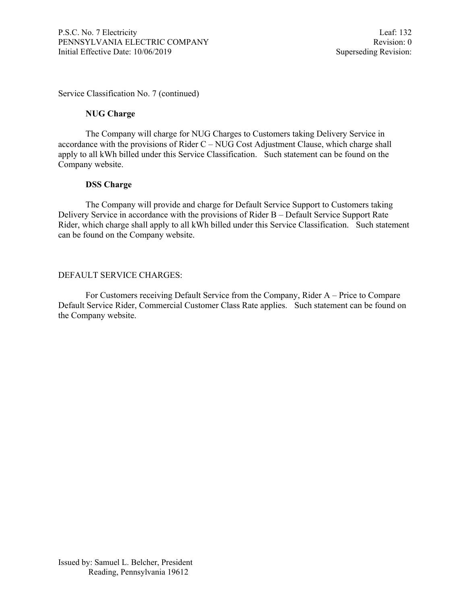## **NUG Charge**

The Company will charge for NUG Charges to Customers taking Delivery Service in accordance with the provisions of Rider C – NUG Cost Adjustment Clause, which charge shall apply to all kWh billed under this Service Classification. Such statement can be found on the Company website.

## **DSS Charge**

The Company will provide and charge for Default Service Support to Customers taking Delivery Service in accordance with the provisions of Rider B – Default Service Support Rate Rider, which charge shall apply to all kWh billed under this Service Classification. Such statement can be found on the Company website.

## DEFAULT SERVICE CHARGES:

For Customers receiving Default Service from the Company, Rider A – Price to Compare Default Service Rider, Commercial Customer Class Rate applies. Such statement can be found on the Company website.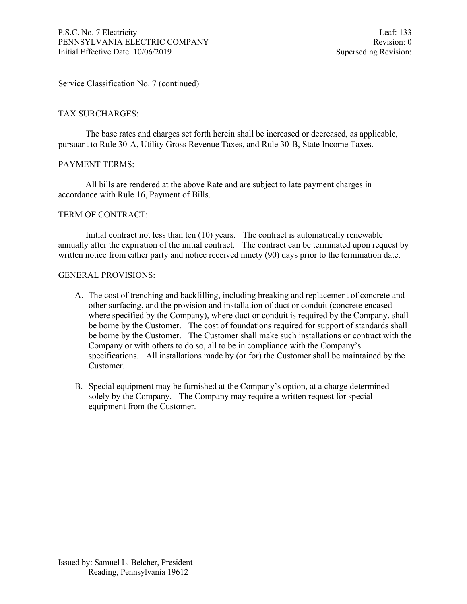### TAX SURCHARGES:

The base rates and charges set forth herein shall be increased or decreased, as applicable, pursuant to Rule 30-A, Utility Gross Revenue Taxes, and Rule 30-B, State Income Taxes.

### PAYMENT TERMS:

All bills are rendered at the above Rate and are subject to late payment charges in accordance with Rule 16, Payment of Bills.

### TERM OF CONTRACT:

Initial contract not less than ten (10) years. The contract is automatically renewable annually after the expiration of the initial contract. The contract can be terminated upon request by written notice from either party and notice received ninety (90) days prior to the termination date.

### GENERAL PROVISIONS:

- A. The cost of trenching and backfilling, including breaking and replacement of concrete and other surfacing, and the provision and installation of duct or conduit (concrete encased where specified by the Company), where duct or conduit is required by the Company, shall be borne by the Customer. The cost of foundations required for support of standards shall be borne by the Customer. The Customer shall make such installations or contract with the Company or with others to do so, all to be in compliance with the Company's specifications. All installations made by (or for) the Customer shall be maintained by the Customer.
- B. Special equipment may be furnished at the Company's option, at a charge determined solely by the Company. The Company may require a written request for special equipment from the Customer.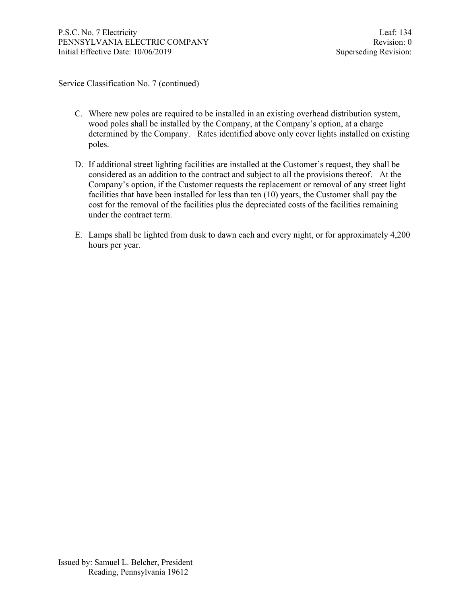- C. Where new poles are required to be installed in an existing overhead distribution system, wood poles shall be installed by the Company, at the Company's option, at a charge determined by the Company. Rates identified above only cover lights installed on existing poles.
- D. If additional street lighting facilities are installed at the Customer's request, they shall be considered as an addition to the contract and subject to all the provisions thereof. At the Company's option, if the Customer requests the replacement or removal of any street light facilities that have been installed for less than ten (10) years, the Customer shall pay the cost for the removal of the facilities plus the depreciated costs of the facilities remaining under the contract term.
- E. Lamps shall be lighted from dusk to dawn each and every night, or for approximately 4,200 hours per year.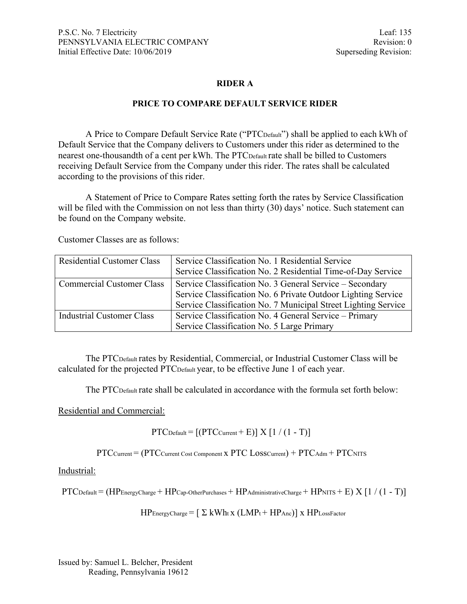# **RIDER A**

## **PRICE TO COMPARE DEFAULT SERVICE RIDER**

A Price to Compare Default Service Rate ("PTCDefault") shall be applied to each kWh of Default Service that the Company delivers to Customers under this rider as determined to the nearest one-thousandth of a cent per kWh. The PTCDefault rate shall be billed to Customers receiving Default Service from the Company under this rider. The rates shall be calculated according to the provisions of this rider.

A Statement of Price to Compare Rates setting forth the rates by Service Classification will be filed with the Commission on not less than thirty (30) days' notice. Such statement can be found on the Company website.

Customer Classes are as follows:

| <b>Residential Customer Class</b> | Service Classification No. 1 Residential Service               |
|-----------------------------------|----------------------------------------------------------------|
|                                   | Service Classification No. 2 Residential Time-of-Day Service   |
| <b>Commercial Customer Class</b>  | Service Classification No. 3 General Service – Secondary       |
|                                   | Service Classification No. 6 Private Outdoor Lighting Service  |
|                                   | Service Classification No. 7 Municipal Street Lighting Service |
| <b>Industrial Customer Class</b>  | Service Classification No. 4 General Service – Primary         |
|                                   | Service Classification No. 5 Large Primary                     |

The PTCDefault rates by Residential, Commercial, or Industrial Customer Class will be calculated for the projected PTC<sub>Default</sub> year, to be effective June 1 of each year.

The PTCDefault rate shall be calculated in accordance with the formula set forth below:

Residential and Commercial:

 $PTC$ Default =  $[(PTC<sub>Current</sub> + E)] X [1 / (1 - T)]$ 

PTCCurrent = (PTCCurrent Cost Component x PTC LossCurrent) + PTCAdm + PTCNITS

Industrial:

 $PTC$ Default = (HPEnergyCharge + HPCap-OtherPurchases + HPAdministrativeCharge + HPNITS + E) X [1 / (1 - T)]

 $HP_{\text{EnergyChange}} = \left[ \sum kWh_t x (LMPt + HP_{\text{Anc}}) \right] x HP_{\text{LossFactor}}$ 

Issued by: Samuel L. Belcher, President Reading, Pennsylvania 19612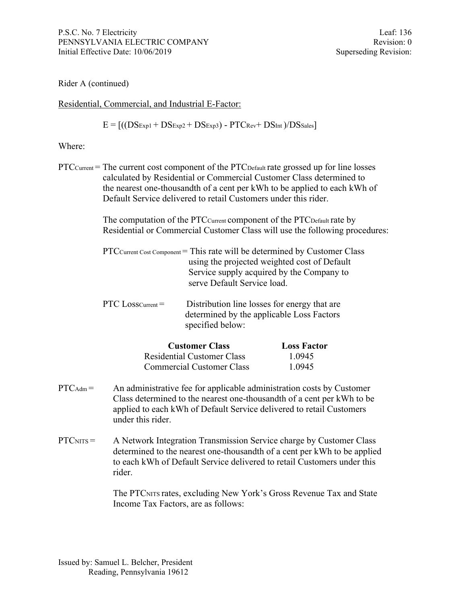Residential, Commercial, and Industrial E-Factor:

 $E = [((DS_{Exp1} + DS_{Exp2} + DS_{Exp3}) - PTC_{Rev} + DS_{Int})/DS_{Sales}]$ 

## Where:

PTCCurrent = The current cost component of the PTCD efault rate grossed up for line losses calculated by Residential or Commercial Customer Class determined to the nearest one-thousandth of a cent per kWh to be applied to each kWh of Default Service delivered to retail Customers under this rider.

> The computation of the PTC<sub>Current</sub> component of the PTC<sub>Default</sub> rate by Residential or Commercial Customer Class will use the following procedures:

| $PTCCurrent Cost Component = This rate will be determined by Customer Class$ |
|------------------------------------------------------------------------------|
| using the projected weighted cost of Default                                 |
| Service supply acquired by the Company to                                    |
| serve Default Service load.                                                  |
|                                                                              |

PTC LossCurrent = Distribution line losses for energy that are determined by the applicable Loss Factors specified below:

| <b>Customer Class</b>             | <b>Loss Factor</b> |
|-----------------------------------|--------------------|
| <b>Residential Customer Class</b> | 1.0945             |
| Commercial Customer Class         | 1.0945             |

- $PTC<sub>Adm</sub> =$  An administrative fee for applicable administration costs by Customer Class determined to the nearest one-thousandth of a cent per kWh to be applied to each kWh of Default Service delivered to retail Customers under this rider.
- PTCNITS = A Network Integration Transmission Service charge by Customer Class determined to the nearest one-thousandth of a cent per kWh to be applied to each kWh of Default Service delivered to retail Customers under this rider.

The PTCNITS rates, excluding New York's Gross Revenue Tax and State Income Tax Factors, are as follows: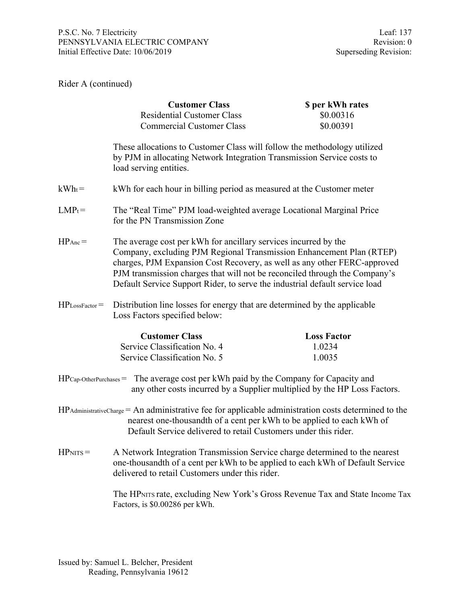|                     | <b>Customer Class</b>                                                                                                                                                                                                                                                                                                                                                            | \$ per kWh rates                                                          |
|---------------------|----------------------------------------------------------------------------------------------------------------------------------------------------------------------------------------------------------------------------------------------------------------------------------------------------------------------------------------------------------------------------------|---------------------------------------------------------------------------|
|                     | <b>Residential Customer Class</b>                                                                                                                                                                                                                                                                                                                                                | \$0.00316                                                                 |
|                     | <b>Commercial Customer Class</b>                                                                                                                                                                                                                                                                                                                                                 | \$0.00391                                                                 |
|                     | These allocations to Customer Class will follow the methodology utilized<br>by PJM in allocating Network Integration Transmission Service costs to<br>load serving entities.                                                                                                                                                                                                     |                                                                           |
| $kWh_t =$           | kWh for each hour in billing period as measured at the Customer meter                                                                                                                                                                                                                                                                                                            |                                                                           |
| $LMP_t =$           | The "Real Time" PJM load-weighted average Locational Marginal Price<br>for the PN Transmission Zone                                                                                                                                                                                                                                                                              |                                                                           |
| $HP_{\text{Anc}} =$ | The average cost per kWh for ancillary services incurred by the<br>Company, excluding PJM Regional Transmission Enhancement Plan (RTEP)<br>charges, PJM Expansion Cost Recovery, as well as any other FERC-approved<br>PJM transmission charges that will not be reconciled through the Company's<br>Default Service Support Rider, to serve the industrial default service load |                                                                           |
| $HP$ LossFactor =   | Distribution line losses for energy that are determined by the applicable<br>Loss Factors specified below:                                                                                                                                                                                                                                                                       |                                                                           |
|                     | <b>Customer Class</b>                                                                                                                                                                                                                                                                                                                                                            | <b>Loss Factor</b>                                                        |
|                     | Service Classification No. 4                                                                                                                                                                                                                                                                                                                                                     | 1.0234                                                                    |
|                     | Service Classification No. 5                                                                                                                                                                                                                                                                                                                                                     | 1.0035                                                                    |
|                     | $HP_{Cap\text{-}OtherPurchases} =$ The average cost per kWh paid by the Company for Capacity and                                                                                                                                                                                                                                                                                 | any other costs incurred by a Supplier multiplied by the HP Loss Factors. |
|                     | $HP$ AdministrativeCharge = An administrative fee for applicable administration costs determined to the<br>nearest one-thousandth of a cent per kWh to be applied to each kWh of<br>Default Service delivered to retail Customers under this rider.                                                                                                                              |                                                                           |
| $HPNITS =$          | A Network Integration Transmission Service charge determined to the nearest<br>one-thousandth of a cent per kWh to be applied to each kWh of Default Service<br>delivered to retail Customers under this rider.                                                                                                                                                                  |                                                                           |
|                     | The HPNITS rate, excluding New York's Gross Revenue Tax and State Income Tax<br>Factors, is \$0.00286 per kWh.                                                                                                                                                                                                                                                                   |                                                                           |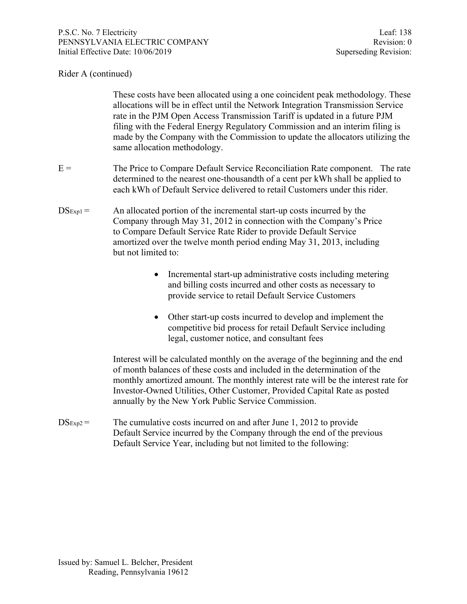These costs have been allocated using a one coincident peak methodology. These allocations will be in effect until the Network Integration Transmission Service rate in the PJM Open Access Transmission Tariff is updated in a future PJM filing with the Federal Energy Regulatory Commission and an interim filing is made by the Company with the Commission to update the allocators utilizing the same allocation methodology.

- $E =$  The Price to Compare Default Service Reconciliation Rate component. The rate determined to the nearest one-thousandth of a cent per kWh shall be applied to each kWh of Default Service delivered to retail Customers under this rider.
- $DS_{Exp1} =$  An allocated portion of the incremental start-up costs incurred by the Company through May 31, 2012 in connection with the Company's Price to Compare Default Service Rate Rider to provide Default Service amortized over the twelve month period ending May 31, 2013, including but not limited to:
	- Incremental start-up administrative costs including metering and billing costs incurred and other costs as necessary to provide service to retail Default Service Customers
	- Other start-up costs incurred to develop and implement the competitive bid process for retail Default Service including legal, customer notice, and consultant fees

Interest will be calculated monthly on the average of the beginning and the end of month balances of these costs and included in the determination of the monthly amortized amount. The monthly interest rate will be the interest rate for Investor-Owned Utilities, Other Customer, Provided Capital Rate as posted annually by the New York Public Service Commission.

 $DS_{Exp2}$  = The cumulative costs incurred on and after June 1, 2012 to provide Default Service incurred by the Company through the end of the previous Default Service Year, including but not limited to the following: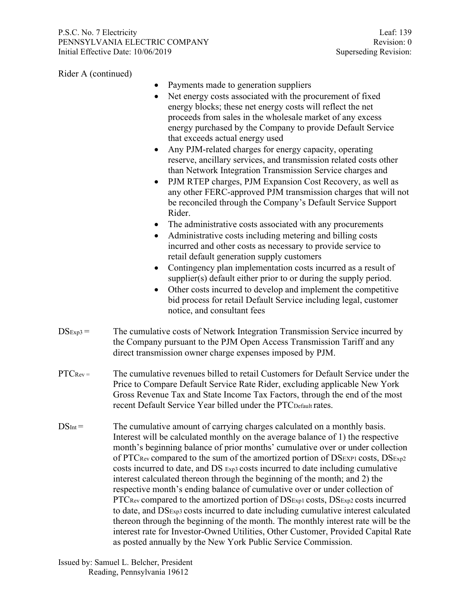- Payments made to generation suppliers
- Net energy costs associated with the procurement of fixed energy blocks; these net energy costs will reflect the net proceeds from sales in the wholesale market of any excess energy purchased by the Company to provide Default Service that exceeds actual energy used
- Any PJM-related charges for energy capacity, operating reserve, ancillary services, and transmission related costs other than Network Integration Transmission Service charges and
- PJM RTEP charges, PJM Expansion Cost Recovery, as well as any other FERC-approved PJM transmission charges that will not be reconciled through the Company's Default Service Support Rider.
- The administrative costs associated with any procurements
- Administrative costs including metering and billing costs incurred and other costs as necessary to provide service to retail default generation supply customers
- Contingency plan implementation costs incurred as a result of supplier(s) default either prior to or during the supply period.
- Other costs incurred to develop and implement the competitive bid process for retail Default Service including legal, customer notice, and consultant fees
- DS<sub>Exp3</sub> = The cumulative costs of Network Integration Transmission Service incurred by the Company pursuant to the PJM Open Access Transmission Tariff and any direct transmission owner charge expenses imposed by PJM.
- PTC<sub>Rev</sub> = The cumulative revenues billed to retail Customers for Default Service under the Price to Compare Default Service Rate Rider, excluding applicable New York Gross Revenue Tax and State Income Tax Factors, through the end of the most recent Default Service Year billed under the PTC<sub>Default</sub> rates.
- $DS<sub>Int</sub> =$  The cumulative amount of carrying charges calculated on a monthly basis. Interest will be calculated monthly on the average balance of 1) the respective month's beginning balance of prior months' cumulative over or under collection of PTCRev compared to the sum of the amortized portion of DSEXP1 costs, DSExp2 costs incurred to date, and DS Exp3 costs incurred to date including cumulative interest calculated thereon through the beginning of the month; and 2) the respective month's ending balance of cumulative over or under collection of PTCRev compared to the amortized portion of DSExp1 costs, DSExp2 costs incurred to date, and DSExp3 costs incurred to date including cumulative interest calculated thereon through the beginning of the month. The monthly interest rate will be the interest rate for Investor-Owned Utilities, Other Customer, Provided Capital Rate as posted annually by the New York Public Service Commission.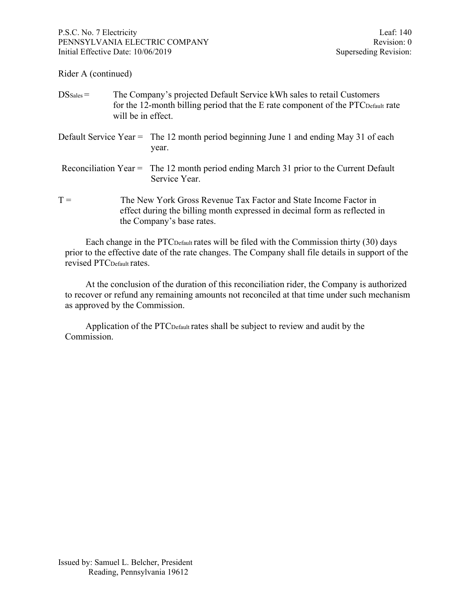DSSales = The Company's projected Default Service kWh sales to retail Customers for the 12-month billing period that the E rate component of the PTC<sub>Default</sub> rate will be in effect.

Default Service Year = The 12 month period beginning June 1 and ending May 31 of each year.

Reconciliation Year = The 12 month period ending March 31 prior to the Current Default Service Year.

T = The New York Gross Revenue Tax Factor and State Income Factor in effect during the billing month expressed in decimal form as reflected in the Company's base rates.

Each change in the PTC<sub>Default</sub> rates will be filed with the Commission thirty (30) days prior to the effective date of the rate changes. The Company shall file details in support of the revised PTC<sub>Default</sub> rates.

At the conclusion of the duration of this reconciliation rider, the Company is authorized to recover or refund any remaining amounts not reconciled at that time under such mechanism as approved by the Commission.

Application of the PTCDefault rates shall be subject to review and audit by the Commission.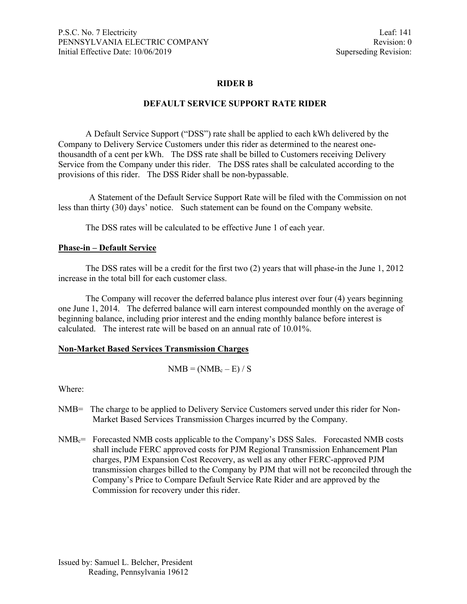## **RIDER B**

### **DEFAULT SERVICE SUPPORT RATE RIDER**

A Default Service Support ("DSS") rate shall be applied to each kWh delivered by the Company to Delivery Service Customers under this rider as determined to the nearest onethousandth of a cent per kWh. The DSS rate shall be billed to Customers receiving Delivery Service from the Company under this rider. The DSS rates shall be calculated according to the provisions of this rider. The DSS Rider shall be non-bypassable.

A Statement of the Default Service Support Rate will be filed with the Commission on not less than thirty (30) days' notice. Such statement can be found on the Company website.

The DSS rates will be calculated to be effective June 1 of each year.

#### **Phase-in – Default Service**

The DSS rates will be a credit for the first two (2) years that will phase-in the June 1, 2012 increase in the total bill for each customer class.

The Company will recover the deferred balance plus interest over four (4) years beginning one June 1, 2014. The deferred balance will earn interest compounded monthly on the average of beginning balance, including prior interest and the ending monthly balance before interest is calculated. The interest rate will be based on an annual rate of 10.01%.

### **Non-Market Based Services Transmission Charges**

$$
NMB = (NMB_c - E) / S
$$

Where:

- NMB= The charge to be applied to Delivery Service Customers served under this rider for Non- Market Based Services Transmission Charges incurred by the Company.
- $NMBc$ = Forecasted NMB costs applicable to the Company's DSS Sales. Forecasted NMB costs shall include FERC approved costs for PJM Regional Transmission Enhancement Plan charges, PJM Expansion Cost Recovery, as well as any other FERC-approved PJM transmission charges billed to the Company by PJM that will not be reconciled through the Company's Price to Compare Default Service Rate Rider and are approved by the Commission for recovery under this rider.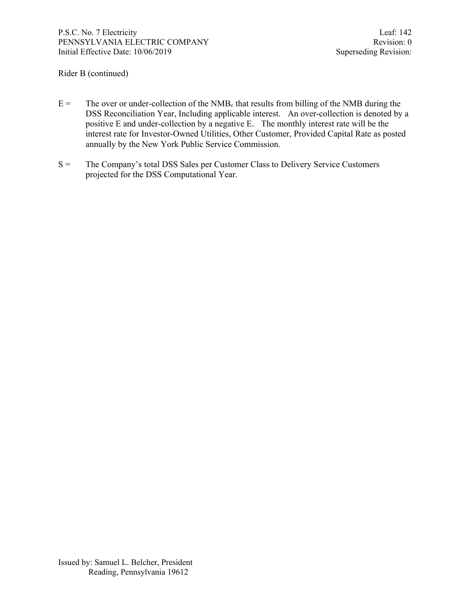- $E =$  The over or under-collection of the NMB<sub>c</sub> that results from billing of the NMB during the DSS Reconciliation Year, Including applicable interest. An over-collection is denoted by a positive E and under-collection by a negative E. The monthly interest rate will be the interest rate for Investor-Owned Utilities, Other Customer, Provided Capital Rate as posted annually by the New York Public Service Commission.
- S = The Company's total DSS Sales per Customer Class to Delivery Service Customers projected for the DSS Computational Year.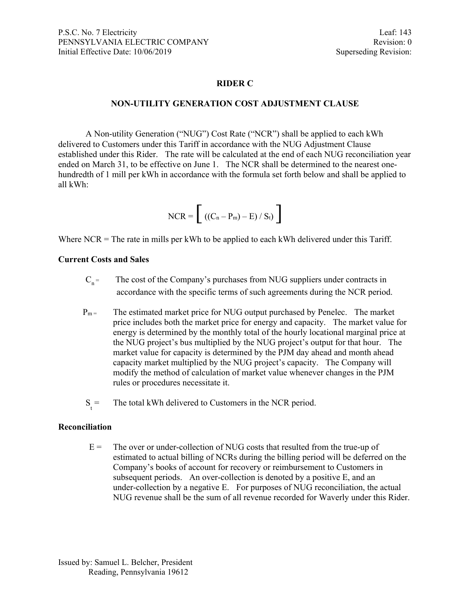### **RIDER C**

### **NON-UTILITY GENERATION COST ADJUSTMENT CLAUSE**

A Non-utility Generation ("NUG") Cost Rate ("NCR") shall be applied to each kWh delivered to Customers under this Tariff in accordance with the NUG Adjustment Clause established under this Rider. The rate will be calculated at the end of each NUG reconciliation year ended on March 31, to be effective on June 1. The NCR shall be determined to the nearest onehundredth of 1 mill per kWh in accordance with the formula set forth below and shall be applied to all kWh:

$$
NCR = \left[ \begin{array}{c} \left( \left( C_n - P_m \right) - E \right) / S_t \end{array} \right]
$$

Where NCR = The rate in mills per kWh to be applied to each kWh delivered under this Tariff.

#### **Current Costs and Sales**

- $C_n$  = The cost of the Company's purchases from NUG suppliers under contracts in accordance with the specific terms of such agreements during the NCR period.
- $P_{\text{m}}$  = The estimated market price for NUG output purchased by Penelec. The market price includes both the market price for energy and capacity. The market value for energy is determined by the monthly total of the hourly locational marginal price at the NUG project's bus multiplied by the NUG project's output for that hour. The market value for capacity is determined by the PJM day ahead and month ahead capacity market multiplied by the NUG project's capacity. The Company will modify the method of calculation of market value whenever changes in the PJM rules or procedures necessitate it.
- $S_t =$ The total kWh delivered to Customers in the NCR period.

#### **Reconciliation**

 $E =$  The over or under-collection of NUG costs that resulted from the true-up of estimated to actual billing of NCRs during the billing period will be deferred on the Company's books of account for recovery or reimbursement to Customers in subsequent periods. An over-collection is denoted by a positive E, and an under-collection by a negative E. For purposes of NUG reconciliation, the actual NUG revenue shall be the sum of all revenue recorded for Waverly under this Rider.